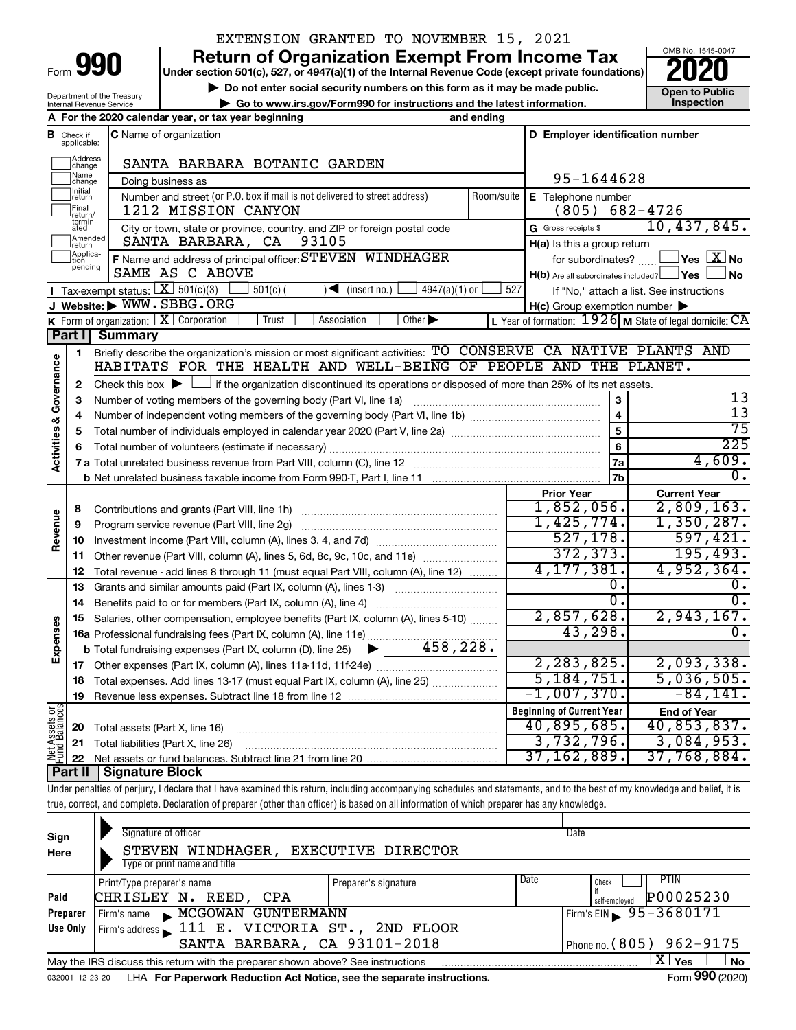| Form | Юľ | 0 |
|------|----|---|
|      |    |   |

# EXTENSION GRANTED TO NOVEMBER 15, 2021

**990** Return of Organization Exempt From Income Tax <br>
Under section 501(c), 527, or 4947(a)(1) of the Internal Revenue Code (except private foundations)<br> **PO20** 

**▶ Do not enter social security numbers on this form as it may be made public. Open to Public**<br>
inspection instructions and the latest information. Inspection **| Go to www.irs.gov/Form990 for instructions and the latest information. Inspection**



Department of the Treasury Internal Revenue Service **A For the 2020 calendar year, or tax year beginning and ending**

|                                    | <b>B</b> Check if applicable: | <b>C</b> Name of organization                                                                                                               |                         | D Employer identification number                                     |                                                           |  |  |
|------------------------------------|-------------------------------|---------------------------------------------------------------------------------------------------------------------------------------------|-------------------------|----------------------------------------------------------------------|-----------------------------------------------------------|--|--|
|                                    | Address<br>change             | SANTA BARBARA BOTANIC GARDEN                                                                                                                |                         |                                                                      |                                                           |  |  |
|                                    | Name<br>change                | Doing business as                                                                                                                           | 95-1644628              |                                                                      |                                                           |  |  |
|                                    | Initial<br> return            | Number and street (or P.O. box if mail is not delivered to street address)                                                                  | Room/suite              | E Telephone number                                                   |                                                           |  |  |
|                                    | Final<br>return/              | 1212 MISSION CANYON                                                                                                                         |                         | $(805)$ 682-4726                                                     |                                                           |  |  |
|                                    | termin-<br>ated               | City or town, state or province, country, and ZIP or foreign postal code                                                                    |                         | G Gross receipts \$                                                  | 10,437,845.                                               |  |  |
|                                    | Amended<br>return             | 93105<br>SANTA BARBARA, CA                                                                                                                  |                         | H(a) Is this a group return                                          |                                                           |  |  |
|                                    | Applica-<br>Ition             | F Name and address of principal officer: STEVEN WINDHAGER                                                                                   |                         | $ {\mathsf Y}$ es $ \overline{{\mathsf X}} $ No<br>for subordinates? |                                                           |  |  |
|                                    | pending                       | SAME AS C ABOVE                                                                                                                             |                         | $H(b)$ Are all subordinates included? $\Box$ Yes                     | <b>No</b>                                                 |  |  |
|                                    |                               | Tax-exempt status: $X \over 301(c)(3)$<br>$501(c)$ (<br>$\sqrt{\bullet}$ (insert no.)<br>$4947(a)(1)$ or                                    | 527                     |                                                                      | If "No," attach a list. See instructions                  |  |  |
|                                    |                               | J Website: WWW.SBBG.ORG                                                                                                                     |                         | $H(c)$ Group exemption number $\blacktriangleright$                  |                                                           |  |  |
|                                    |                               | Association<br>Other $\blacktriangleright$<br><b>K</b> Form of organization: $X$ Corporation<br>Trust                                       |                         |                                                                      | L Year of formation: $1926$ M State of legal domicile: CA |  |  |
|                                    | Part I                        | <b>Summary</b>                                                                                                                              |                         |                                                                      |                                                           |  |  |
|                                    | $\mathbf{1}$                  | Briefly describe the organization's mission or most significant activities: TO CONSERVE CA NATIVE PLANTS AND                                |                         |                                                                      |                                                           |  |  |
| <b>Activities &amp; Governance</b> |                               | HABITATS FOR THE HEALTH AND WELL-BEING OF PEOPLE AND THE PLANET.                                                                            |                         |                                                                      |                                                           |  |  |
|                                    | $\mathbf{2}$                  | Check this box $\blacktriangleright$ $\Box$ if the organization discontinued its operations or disposed of more than 25% of its net assets. |                         |                                                                      |                                                           |  |  |
|                                    | 3                             |                                                                                                                                             |                         | 3                                                                    | 13<br>$\overline{13}$                                     |  |  |
|                                    | 4                             |                                                                                                                                             | $\overline{\mathbf{4}}$ | 75                                                                   |                                                           |  |  |
|                                    | 5                             |                                                                                                                                             |                         | $\overline{5}$                                                       | 225                                                       |  |  |
|                                    | 6                             |                                                                                                                                             | 6                       |                                                                      |                                                           |  |  |
|                                    |                               |                                                                                                                                             | 7a                      | 4,609.<br>Ο.                                                         |                                                           |  |  |
|                                    |                               |                                                                                                                                             | 7 <sub>b</sub>          |                                                                      |                                                           |  |  |
|                                    |                               |                                                                                                                                             |                         | <b>Prior Year</b><br>1,852,056.                                      | <b>Current Year</b><br>2,809,163.                         |  |  |
| Revenue                            | 8                             |                                                                                                                                             |                         | 1,425,774.                                                           | $1,350,287$ .                                             |  |  |
|                                    | 9<br>10                       | Program service revenue (Part VIII, line 2g)                                                                                                |                         | 527, 178.                                                            | 597,421.                                                  |  |  |
|                                    | 11                            | Other revenue (Part VIII, column (A), lines 5, 6d, 8c, 9c, 10c, and 11e)                                                                    |                         | 372, 373.                                                            | 195,493.                                                  |  |  |
|                                    | 12                            | Total revenue - add lines 8 through 11 (must equal Part VIII, column (A), line 12)                                                          |                         | 4, 177, 381.                                                         | 4,952,364.                                                |  |  |
|                                    | 13                            | Grants and similar amounts paid (Part IX, column (A), lines 1-3)                                                                            |                         | 0.                                                                   | 0.                                                        |  |  |
|                                    | 14                            | Benefits paid to or for members (Part IX, column (A), line 4)                                                                               |                         | 0.                                                                   | Ο.                                                        |  |  |
|                                    | 15                            | Salaries, other compensation, employee benefits (Part IX, column (A), lines 5-10)                                                           |                         | 2,857,628.                                                           | 2,943,167.                                                |  |  |
| Expenses                           |                               |                                                                                                                                             |                         | 43, 298.                                                             | $\overline{0}$ .                                          |  |  |
|                                    |                               |                                                                                                                                             |                         |                                                                      |                                                           |  |  |
|                                    |                               |                                                                                                                                             |                         | 2,283,825.                                                           | 2,093,338.                                                |  |  |
|                                    | 18                            | Total expenses. Add lines 13-17 (must equal Part IX, column (A), line 25)                                                                   |                         | 5,184,751.                                                           | 5,036,505.                                                |  |  |
|                                    | 19                            |                                                                                                                                             |                         | $-1,007,370.$                                                        | $-84,141.$                                                |  |  |
|                                    |                               |                                                                                                                                             |                         | <b>Beginning of Current Year</b>                                     | <b>End of Year</b>                                        |  |  |
| Net Assets or<br>Fund Balances     | 20                            | Total assets (Part X, line 16)                                                                                                              |                         | 40,895,685.                                                          | 40,853,837.                                               |  |  |
|                                    | 21                            | Total liabilities (Part X, line 26)                                                                                                         |                         | 3,732,796.                                                           | 3,084,953.                                                |  |  |
|                                    | 22                            |                                                                                                                                             |                         | 37, 162, 889.                                                        | 37,768,884.                                               |  |  |
|                                    |                               | <b>Part II   Signature Block</b>                                                                                                            |                         |                                                                      |                                                           |  |  |

Under penalties of perjury, I declare that I have examined this return, including accompanying schedules and statements, and to the best of my knowledge and belief, it is true, correct, and complete. Declaration of preparer (other than officer) is based on all information of which preparer has any knowledge.

| Sign<br>Here                                             | Signature of officer<br>STEVEN WINDHAGER,<br>Type or print name and title                                        | <b>EXECUTIVE DIRECTOR</b> |      | Date                         |  |  |  |
|----------------------------------------------------------|------------------------------------------------------------------------------------------------------------------|---------------------------|------|------------------------------|--|--|--|
|                                                          | Print/Type preparer's name                                                                                       | Preparer's signature      | Date | Check                        |  |  |  |
| Paid                                                     | CHRISLEY N. REED, CPA                                                                                            |                           |      | P00025230<br>self-emploved   |  |  |  |
| Preparer                                                 | MCGOWAN GUNTERMANN<br>Firm's name $\blacksquare$                                                                 |                           |      | Firm's EIN $\, 95 - 3680171$ |  |  |  |
| Use Only                                                 | Firm's address 111 E. VICTORIA ST., 2ND FLOOR                                                                    |                           |      |                              |  |  |  |
| SANTA BARBARA, CA 93101-2018<br>Phone no. (805) 962-9175 |                                                                                                                  |                           |      |                              |  |  |  |
|                                                          | x.<br><b>No</b><br><b>Yes</b><br>May the IRS discuss this return with the preparer shown above? See instructions |                           |      |                              |  |  |  |
|                                                          | Form 990 (2020)<br>LHA For Paperwork Reduction Act Notice, see the separate instructions.<br>032001 12-23-20     |                           |      |                              |  |  |  |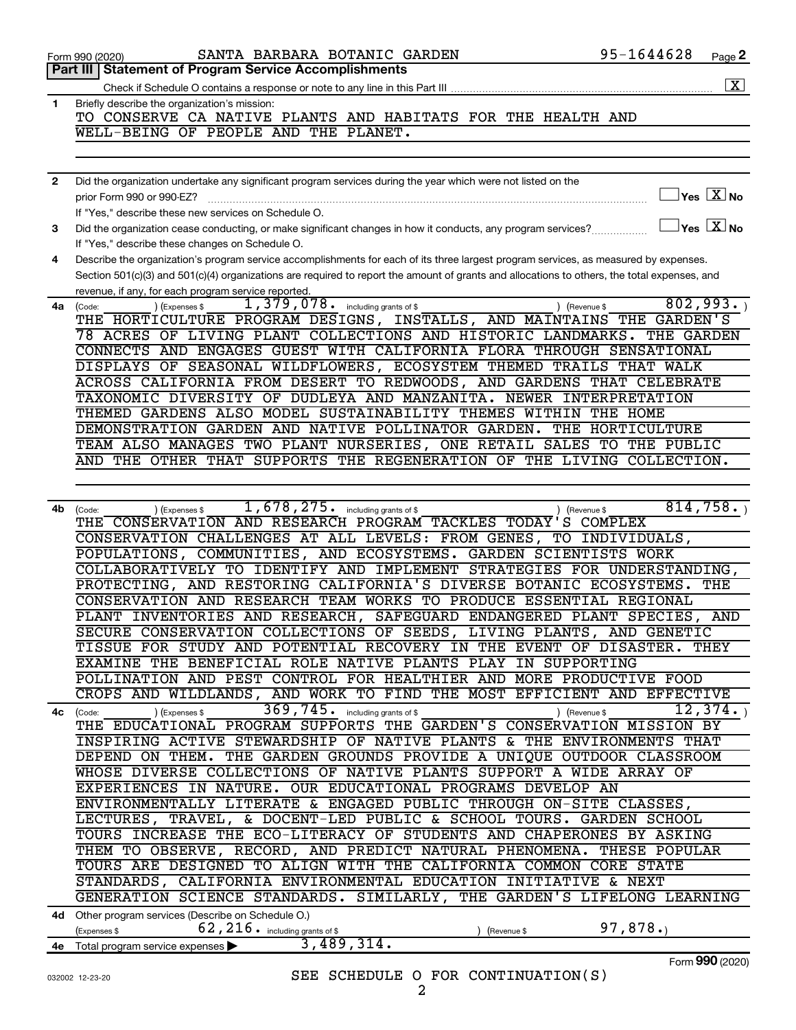|              | 95-1644628<br>SANTA BARBARA BOTANIC GARDEN<br>Form 990 (2020)                                                                                                                                          | Page 2             |
|--------------|--------------------------------------------------------------------------------------------------------------------------------------------------------------------------------------------------------|--------------------|
|              | Part III   Statement of Program Service Accomplishments                                                                                                                                                |                    |
|              |                                                                                                                                                                                                        | $\boxed{\text{X}}$ |
| 1.           | Briefly describe the organization's mission:<br>TO CONSERVE CA NATIVE PLANTS AND HABITATS FOR THE HEALTH AND                                                                                           |                    |
|              | WELL-BEING OF PEOPLE AND THE PLANET.                                                                                                                                                                   |                    |
|              |                                                                                                                                                                                                        |                    |
|              |                                                                                                                                                                                                        |                    |
| $\mathbf{2}$ | Did the organization undertake any significant program services during the year which were not listed on the                                                                                           |                    |
|              | $\overline{\ }$ Yes $\overline{\phantom{a}X}$ No<br>prior Form 990 or 990-EZ?                                                                                                                          |                    |
|              | If "Yes," describe these new services on Schedule O.                                                                                                                                                   |                    |
| З            | $\exists$ Yes $\boxed{\text{X}}$ No<br>Did the organization cease conducting, or make significant changes in how it conducts, any program services?<br>If "Yes," describe these changes on Schedule O. |                    |
| 4            | Describe the organization's program service accomplishments for each of its three largest program services, as measured by expenses.                                                                   |                    |
|              | Section 501(c)(3) and 501(c)(4) organizations are required to report the amount of grants and allocations to others, the total expenses, and                                                           |                    |
|              | revenue, if any, for each program service reported.                                                                                                                                                    |                    |
| 4a           | 1,379,078. including grants of \$<br>802,993.<br>) (Expenses \$<br>) (Revenue \$<br>(Code:                                                                                                             |                    |
|              | THE HORTICULTURE PROGRAM DESIGNS, INSTALLS, AND MAINTAINS THE GARDEN'S                                                                                                                                 |                    |
|              | 78 ACRES OF LIVING PLANT COLLECTIONS AND HISTORIC LANDMARKS. THE GARDEN                                                                                                                                |                    |
|              | CONNECTS AND ENGAGES GUEST WITH CALIFORNIA FLORA THROUGH SENSATIONAL                                                                                                                                   |                    |
|              | DISPLAYS OF SEASONAL WILDFLOWERS, ECOSYSTEM THEMED TRAILS THAT WALK                                                                                                                                    |                    |
|              | ACROSS CALIFORNIA FROM DESERT TO REDWOODS, AND GARDENS THAT CELEBRATE                                                                                                                                  |                    |
|              | TAXONOMIC DIVERSITY OF DUDLEYA AND MANZANITA. NEWER INTERPRETATION                                                                                                                                     |                    |
|              | THEMED GARDENS ALSO MODEL SUSTAINABILITY THEMES WITHIN THE HOME                                                                                                                                        |                    |
|              | DEMONSTRATION GARDEN AND NATIVE POLLINATOR GARDEN. THE HORTICULTURE                                                                                                                                    |                    |
|              | TEAM ALSO MANAGES TWO PLANT NURSERIES, ONE RETAIL SALES TO THE PUBLIC                                                                                                                                  |                    |
|              | AND THE OTHER THAT SUPPORTS THE REGENERATION OF THE LIVING COLLECTION.                                                                                                                                 |                    |
|              |                                                                                                                                                                                                        |                    |
|              |                                                                                                                                                                                                        |                    |
|              | 1, 678, 275. including grants of \$<br>814,758.                                                                                                                                                        |                    |
| 4b.          | ) (Expenses \$<br>) (Revenue \$<br>(Code:<br>THE CONSERVATION AND RESEARCH PROGRAM TACKLES TODAY'S COMPLEX                                                                                             |                    |
|              | CONSERVATION CHALLENGES AT ALL LEVELS: FROM GENES, TO INDIVIDUALS,                                                                                                                                     |                    |
|              |                                                                                                                                                                                                        |                    |
|              | POPULATIONS, COMMUNITIES, AND ECOSYSTEMS. GARDEN SCIENTISTS WORK                                                                                                                                       |                    |
|              | COLLABORATIVELY TO IDENTIFY AND IMPLEMENT STRATEGIES FOR UNDERSTANDING,                                                                                                                                |                    |
|              | PROTECTING, AND RESTORING CALIFORNIA'S DIVERSE BOTANIC ECOSYSTEMS.<br>THE                                                                                                                              |                    |
|              | CONSERVATION AND RESEARCH TEAM WORKS TO PRODUCE ESSENTIAL REGIONAL                                                                                                                                     |                    |
|              | PLANT INVENTORIES AND RESEARCH, SAFEGUARD ENDANGERED PLANT SPECIES,                                                                                                                                    | AND                |
|              | SECURE CONSERVATION COLLECTIONS OF SEEDS, LIVING PLANTS, AND GENETIC                                                                                                                                   |                    |
|              | TISSUE FOR STUDY AND POTENTIAL RECOVERY IN THE EVENT OF DISASTER. THEY                                                                                                                                 |                    |
|              | EXAMINE THE BENEFICIAL ROLE NATIVE PLANTS PLAY IN SUPPORTING                                                                                                                                           |                    |
|              | POLLINATION AND PEST CONTROL FOR HEALTHIER AND MORE PRODUCTIVE FOOD                                                                                                                                    |                    |
|              | CROPS AND WILDLANDS, AND WORK TO FIND THE MOST EFFICIENT AND EFFECTIVE                                                                                                                                 |                    |
| 4с           | 369, 745. including grants of \$<br>12,374.<br>) (Expenses \$<br>) (Revenue \$<br>(Code:                                                                                                               |                    |
|              | THE EDUCATIONAL PROGRAM SUPPORTS THE GARDEN'S CONSERVATION MISSION BY                                                                                                                                  |                    |
|              | INSPIRING ACTIVE STEWARDSHIP OF NATIVE PLANTS & THE ENVIRONMENTS THAT                                                                                                                                  |                    |
|              | DEPEND ON THEM. THE GARDEN GROUNDS PROVIDE A UNIQUE OUTDOOR CLASSROOM                                                                                                                                  |                    |
|              | WHOSE DIVERSE COLLECTIONS OF NATIVE PLANTS SUPPORT A WIDE ARRAY OF                                                                                                                                     |                    |
|              | EXPERIENCES IN NATURE. OUR EDUCATIONAL PROGRAMS DEVELOP AN                                                                                                                                             |                    |
|              | ENVIRONMENTALLY LITERATE & ENGAGED PUBLIC THROUGH ON-SITE CLASSES,                                                                                                                                     |                    |
|              |                                                                                                                                                                                                        |                    |
|              | LECTURES, TRAVEL, & DOCENT-LED PUBLIC & SCHOOL TOURS. GARDEN SCHOOL                                                                                                                                    |                    |
|              | TOURS INCREASE THE ECO-LITERACY OF STUDENTS AND CHAPERONES BY ASKING                                                                                                                                   |                    |
|              | THEM TO OBSERVE, RECORD, AND PREDICT NATURAL PHENOMENA. THESE POPULAR                                                                                                                                  |                    |
|              | TOURS ARE DESIGNED TO ALIGN WITH THE CALIFORNIA COMMON CORE STATE                                                                                                                                      |                    |
|              | STANDARDS, CALIFORNIA ENVIRONMENTAL EDUCATION INITIATIVE & NEXT                                                                                                                                        |                    |
|              | GENERATION SCIENCE STANDARDS. SIMILARLY, THE GARDEN'S LIFELONG LEARNING                                                                                                                                |                    |
| 4d -         | Other program services (Describe on Schedule O.)                                                                                                                                                       |                    |
|              | 97,878.<br>62, 216. including grants of \$<br>(Expenses \$<br>(Revenue \$                                                                                                                              |                    |
|              | 3,489,314.<br>4e Total program service expenses >                                                                                                                                                      |                    |
|              | Form 990 (2020)                                                                                                                                                                                        |                    |
|              | SEE SCHEDULE O FOR CONTINUATION(S)<br>032002 12-23-20                                                                                                                                                  |                    |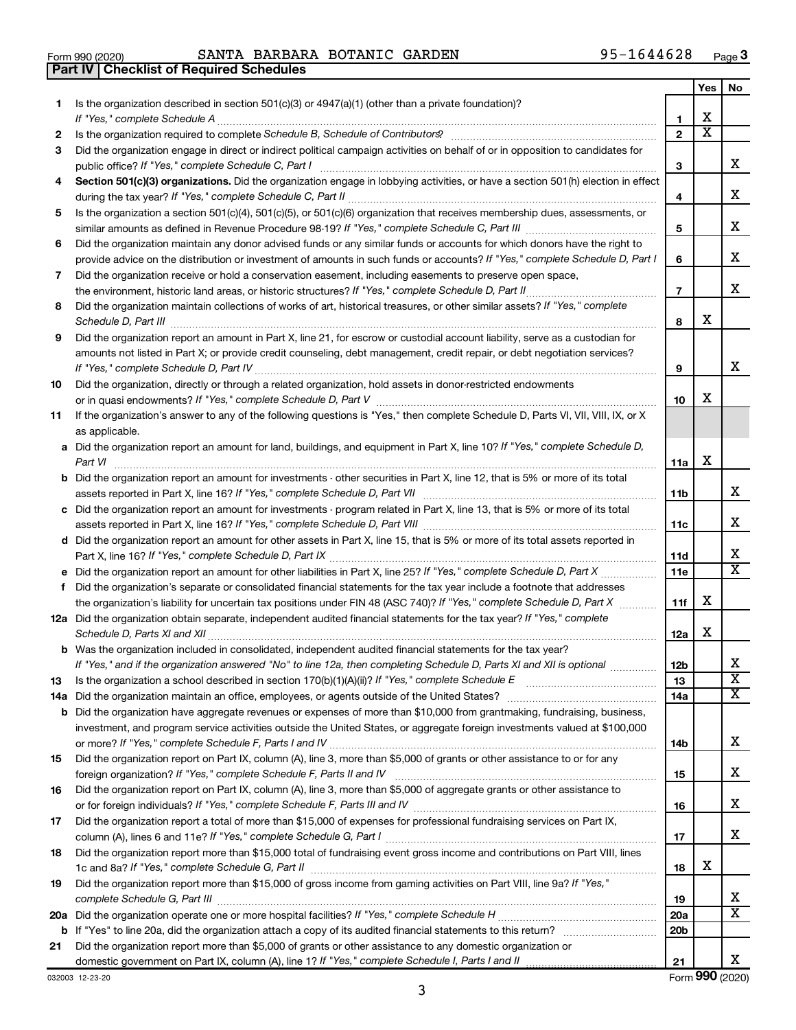|  | Form 990 (2020) |  |
|--|-----------------|--|

**Part IV Checklist of Required Schedules**

Form 990 (2020) Page SANTA BARBARA BOTANIC GARDEN 95-1644628

|    |                                                                                                                                                                                                                                                           |                        | Yes | No                           |
|----|-----------------------------------------------------------------------------------------------------------------------------------------------------------------------------------------------------------------------------------------------------------|------------------------|-----|------------------------------|
| 1. | Is the organization described in section 501(c)(3) or 4947(a)(1) (other than a private foundation)?                                                                                                                                                       |                        |     |                              |
|    |                                                                                                                                                                                                                                                           | 1                      | х   |                              |
| 2  |                                                                                                                                                                                                                                                           | $\overline{2}$         | х   |                              |
| 3  | Did the organization engage in direct or indirect political campaign activities on behalf of or in opposition to candidates for                                                                                                                           |                        |     |                              |
|    | public office? If "Yes," complete Schedule C, Part I                                                                                                                                                                                                      | 3                      |     | x                            |
| 4  | Section 501(c)(3) organizations. Did the organization engage in lobbying activities, or have a section 501(h) election in effect                                                                                                                          |                        |     | x                            |
|    |                                                                                                                                                                                                                                                           | 4                      |     |                              |
| 5  | Is the organization a section 501(c)(4), 501(c)(5), or 501(c)(6) organization that receives membership dues, assessments, or                                                                                                                              |                        |     | х                            |
|    |                                                                                                                                                                                                                                                           | 5                      |     |                              |
| 6  | Did the organization maintain any donor advised funds or any similar funds or accounts for which donors have the right to<br>provide advice on the distribution or investment of amounts in such funds or accounts? If "Yes," complete Schedule D, Part I | 6                      |     | х                            |
| 7  | Did the organization receive or hold a conservation easement, including easements to preserve open space,                                                                                                                                                 |                        |     |                              |
|    |                                                                                                                                                                                                                                                           | $\overline{7}$         |     | х                            |
| 8  | Did the organization maintain collections of works of art, historical treasures, or other similar assets? If "Yes," complete                                                                                                                              |                        |     |                              |
|    | Schedule D, Part III <b>www.community.community.community.community.community.community.com</b>                                                                                                                                                           | 8                      | x   |                              |
| 9  | Did the organization report an amount in Part X, line 21, for escrow or custodial account liability, serve as a custodian for                                                                                                                             |                        |     |                              |
|    | amounts not listed in Part X; or provide credit counseling, debt management, credit repair, or debt negotiation services?                                                                                                                                 |                        |     |                              |
|    |                                                                                                                                                                                                                                                           | 9                      |     | x                            |
| 10 | Did the organization, directly or through a related organization, hold assets in donor-restricted endowments                                                                                                                                              |                        |     |                              |
|    |                                                                                                                                                                                                                                                           | 10                     | x   |                              |
| 11 | If the organization's answer to any of the following questions is "Yes," then complete Schedule D, Parts VI, VII, VIII, IX, or X                                                                                                                          |                        |     |                              |
|    | as applicable.                                                                                                                                                                                                                                            |                        |     |                              |
|    | a Did the organization report an amount for land, buildings, and equipment in Part X, line 10? If "Yes," complete Schedule D,                                                                                                                             |                        |     |                              |
|    | Part VI                                                                                                                                                                                                                                                   | 11a                    | х   |                              |
|    | <b>b</b> Did the organization report an amount for investments - other securities in Part X, line 12, that is 5% or more of its total                                                                                                                     |                        |     |                              |
|    |                                                                                                                                                                                                                                                           | 11b                    |     | х                            |
|    | c Did the organization report an amount for investments - program related in Part X, line 13, that is 5% or more of its total                                                                                                                             |                        |     |                              |
|    |                                                                                                                                                                                                                                                           | 11c                    |     | х                            |
|    | d Did the organization report an amount for other assets in Part X, line 15, that is 5% or more of its total assets reported in                                                                                                                           |                        |     |                              |
|    |                                                                                                                                                                                                                                                           | 11d                    |     | х<br>$\overline{\mathbf{X}}$ |
|    |                                                                                                                                                                                                                                                           | <b>11e</b>             |     |                              |
| f  | Did the organization's separate or consolidated financial statements for the tax year include a footnote that addresses                                                                                                                                   |                        | х   |                              |
|    | the organization's liability for uncertain tax positions under FIN 48 (ASC 740)? If "Yes," complete Schedule D, Part X<br>12a Did the organization obtain separate, independent audited financial statements for the tax year? If "Yes," complete         | 11f                    |     |                              |
|    |                                                                                                                                                                                                                                                           | 12a                    | х   |                              |
|    | <b>b</b> Was the organization included in consolidated, independent audited financial statements for the tax year?                                                                                                                                        |                        |     |                              |
|    | If "Yes," and if the organization answered "No" to line 12a, then completing Schedule D, Parts XI and XII is optional                                                                                                                                     | 12 <sub>b</sub>        |     |                              |
| 13 |                                                                                                                                                                                                                                                           | 13                     |     | $\overline{\mathbf{X}}$      |
|    |                                                                                                                                                                                                                                                           | 14a                    |     | X.                           |
|    | <b>b</b> Did the organization have aggregate revenues or expenses of more than \$10,000 from grantmaking, fundraising, business,                                                                                                                          |                        |     |                              |
|    | investment, and program service activities outside the United States, or aggregate foreign investments valued at \$100,000                                                                                                                                |                        |     |                              |
|    |                                                                                                                                                                                                                                                           | 14b                    |     | х                            |
| 15 | Did the organization report on Part IX, column (A), line 3, more than \$5,000 of grants or other assistance to or for any                                                                                                                                 |                        |     |                              |
|    |                                                                                                                                                                                                                                                           | 15                     |     | x                            |
| 16 | Did the organization report on Part IX, column (A), line 3, more than \$5,000 of aggregate grants or other assistance to                                                                                                                                  |                        |     |                              |
|    |                                                                                                                                                                                                                                                           | 16                     |     | x                            |
| 17 | Did the organization report a total of more than \$15,000 of expenses for professional fundraising services on Part IX,                                                                                                                                   |                        |     |                              |
|    |                                                                                                                                                                                                                                                           | 17                     |     | x                            |
| 18 | Did the organization report more than \$15,000 total of fundraising event gross income and contributions on Part VIII, lines                                                                                                                              |                        |     |                              |
|    |                                                                                                                                                                                                                                                           | 18                     | x   |                              |
| 19 | Did the organization report more than \$15,000 of gross income from gaming activities on Part VIII, line 9a? If "Yes,"                                                                                                                                    |                        |     |                              |
|    |                                                                                                                                                                                                                                                           | 19                     |     | x<br>x                       |
|    |                                                                                                                                                                                                                                                           | 20a<br>20 <sub>b</sub> |     |                              |
| 21 | Did the organization report more than \$5,000 of grants or other assistance to any domestic organization or                                                                                                                                               |                        |     |                              |
|    |                                                                                                                                                                                                                                                           | 21                     |     | х                            |
|    |                                                                                                                                                                                                                                                           |                        |     |                              |

3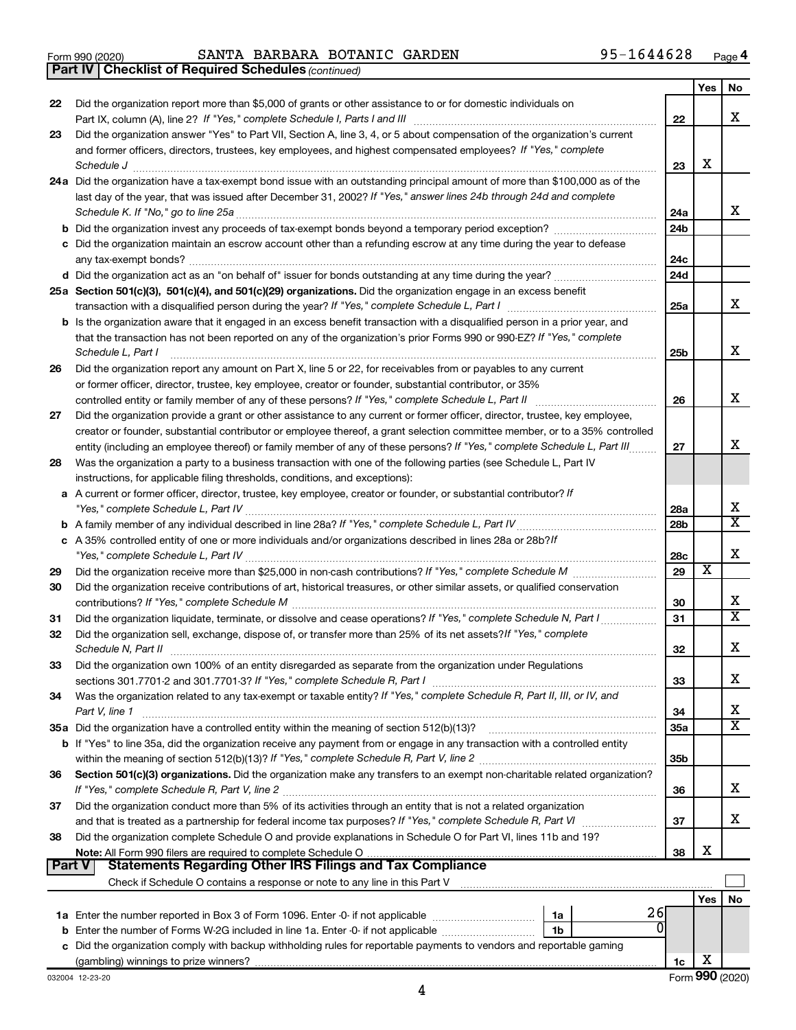|  | Form 990 (2020) |
|--|-----------------|
|  |                 |

Form 990 (2020) Page SANTA BARBARA BOTANIC GARDEN 95-1644628

*(continued)* **Part IV Checklist of Required Schedules**

|        |                                                                                                                                                                                                                                                            |                 | Yes | No                      |
|--------|------------------------------------------------------------------------------------------------------------------------------------------------------------------------------------------------------------------------------------------------------------|-----------------|-----|-------------------------|
| 22     | Did the organization report more than \$5,000 of grants or other assistance to or for domestic individuals on                                                                                                                                              |                 |     |                         |
|        |                                                                                                                                                                                                                                                            | 22              |     | x                       |
| 23     | Did the organization answer "Yes" to Part VII, Section A, line 3, 4, or 5 about compensation of the organization's current                                                                                                                                 |                 |     |                         |
|        | and former officers, directors, trustees, key employees, and highest compensated employees? If "Yes," complete                                                                                                                                             |                 |     |                         |
|        | Schedule J                                                                                                                                                                                                                                                 | 23              | х   |                         |
|        | 24a Did the organization have a tax-exempt bond issue with an outstanding principal amount of more than \$100,000 as of the                                                                                                                                |                 |     |                         |
|        | last day of the year, that was issued after December 31, 2002? If "Yes," answer lines 24b through 24d and complete                                                                                                                                         |                 |     |                         |
|        | Schedule K. If "No," go to line 25a                                                                                                                                                                                                                        | 24a             |     | х                       |
|        |                                                                                                                                                                                                                                                            | 24 <sub>b</sub> |     |                         |
|        | c Did the organization maintain an escrow account other than a refunding escrow at any time during the year to defease                                                                                                                                     |                 |     |                         |
|        |                                                                                                                                                                                                                                                            | 24c             |     |                         |
|        |                                                                                                                                                                                                                                                            | 24 <sub>d</sub> |     |                         |
|        | 25a Section 501(c)(3), 501(c)(4), and 501(c)(29) organizations. Did the organization engage in an excess benefit                                                                                                                                           |                 |     | x                       |
|        |                                                                                                                                                                                                                                                            | 25a             |     |                         |
|        | b Is the organization aware that it engaged in an excess benefit transaction with a disqualified person in a prior year, and                                                                                                                               |                 |     |                         |
|        | that the transaction has not been reported on any of the organization's prior Forms 990 or 990-EZ? If "Yes," complete                                                                                                                                      |                 |     | х                       |
|        | Schedule L, Part I                                                                                                                                                                                                                                         | 25b             |     |                         |
| 26     | Did the organization report any amount on Part X, line 5 or 22, for receivables from or payables to any current                                                                                                                                            |                 |     |                         |
|        | or former officer, director, trustee, key employee, creator or founder, substantial contributor, or 35%                                                                                                                                                    | 26              |     | x                       |
|        | controlled entity or family member of any of these persons? If "Yes," complete Schedule L, Part II                                                                                                                                                         |                 |     |                         |
| 27     | Did the organization provide a grant or other assistance to any current or former officer, director, trustee, key employee,<br>creator or founder, substantial contributor or employee thereof, a grant selection committee member, or to a 35% controlled |                 |     |                         |
|        | entity (including an employee thereof) or family member of any of these persons? If "Yes," complete Schedule L, Part III                                                                                                                                   | 27              |     | х                       |
| 28     | Was the organization a party to a business transaction with one of the following parties (see Schedule L, Part IV                                                                                                                                          |                 |     |                         |
|        | instructions, for applicable filing thresholds, conditions, and exceptions):                                                                                                                                                                               |                 |     |                         |
|        | a A current or former officer, director, trustee, key employee, creator or founder, or substantial contributor? If                                                                                                                                         |                 |     |                         |
|        |                                                                                                                                                                                                                                                            | 28a             |     | х                       |
|        |                                                                                                                                                                                                                                                            | 28 <sub>b</sub> |     | $\overline{\texttt{x}}$ |
|        | c A 35% controlled entity of one or more individuals and/or organizations described in lines 28a or 28b?If                                                                                                                                                 |                 |     |                         |
|        |                                                                                                                                                                                                                                                            | 28c             |     | х                       |
| 29     |                                                                                                                                                                                                                                                            | 29              | X   |                         |
| 30     | Did the organization receive contributions of art, historical treasures, or other similar assets, or qualified conservation                                                                                                                                |                 |     |                         |
|        |                                                                                                                                                                                                                                                            | 30              |     | х                       |
| 31     | Did the organization liquidate, terminate, or dissolve and cease operations? If "Yes," complete Schedule N, Part I                                                                                                                                         | 31              |     | $\overline{\texttt{x}}$ |
| 32     | Did the organization sell, exchange, dispose of, or transfer more than 25% of its net assets? If "Yes," complete                                                                                                                                           |                 |     |                         |
|        | Schedule N, Part II                                                                                                                                                                                                                                        | 32              |     | х                       |
| 33     | Did the organization own 100% of an entity disregarded as separate from the organization under Regulations                                                                                                                                                 |                 |     |                         |
|        |                                                                                                                                                                                                                                                            | 33              |     | х                       |
| 34     | Was the organization related to any tax-exempt or taxable entity? If "Yes," complete Schedule R, Part II, III, or IV, and                                                                                                                                  |                 |     |                         |
|        | Part V, line 1                                                                                                                                                                                                                                             | 34              |     | х                       |
|        |                                                                                                                                                                                                                                                            | 35a             |     | $\overline{\mathbf{x}}$ |
|        | <b>b</b> If "Yes" to line 35a, did the organization receive any payment from or engage in any transaction with a controlled entity                                                                                                                         |                 |     |                         |
|        |                                                                                                                                                                                                                                                            | 35 <sub>b</sub> |     |                         |
| 36     | Section 501(c)(3) organizations. Did the organization make any transfers to an exempt non-charitable related organization?                                                                                                                                 |                 |     |                         |
|        |                                                                                                                                                                                                                                                            | 36              |     | x                       |
| 37     | Did the organization conduct more than 5% of its activities through an entity that is not a related organization                                                                                                                                           |                 |     |                         |
|        |                                                                                                                                                                                                                                                            | 37              |     | x                       |
| 38     | Did the organization complete Schedule O and provide explanations in Schedule O for Part VI, lines 11b and 19?                                                                                                                                             |                 |     |                         |
|        |                                                                                                                                                                                                                                                            | 38              | х   |                         |
| Part V | Statements Regarding Other IRS Filings and Tax Compliance                                                                                                                                                                                                  |                 |     |                         |
|        | Check if Schedule O contains a response or note to any line in this Part V <b>Constant Contains and Check</b> if Schedule O contains a response or note to any line in this Part V                                                                         |                 |     |                         |
|        | 26                                                                                                                                                                                                                                                         |                 | Yes | No                      |
|        | 1a<br>ΩI                                                                                                                                                                                                                                                   |                 |     |                         |
|        | b Enter the number of Forms W-2G included in line 1a. Enter -0- if not applicable<br>1b<br>c Did the organization comply with backup withholding rules for reportable payments to vendors and reportable gaming                                            |                 |     |                         |
|        |                                                                                                                                                                                                                                                            | 1c              | х   |                         |
|        |                                                                                                                                                                                                                                                            |                 |     |                         |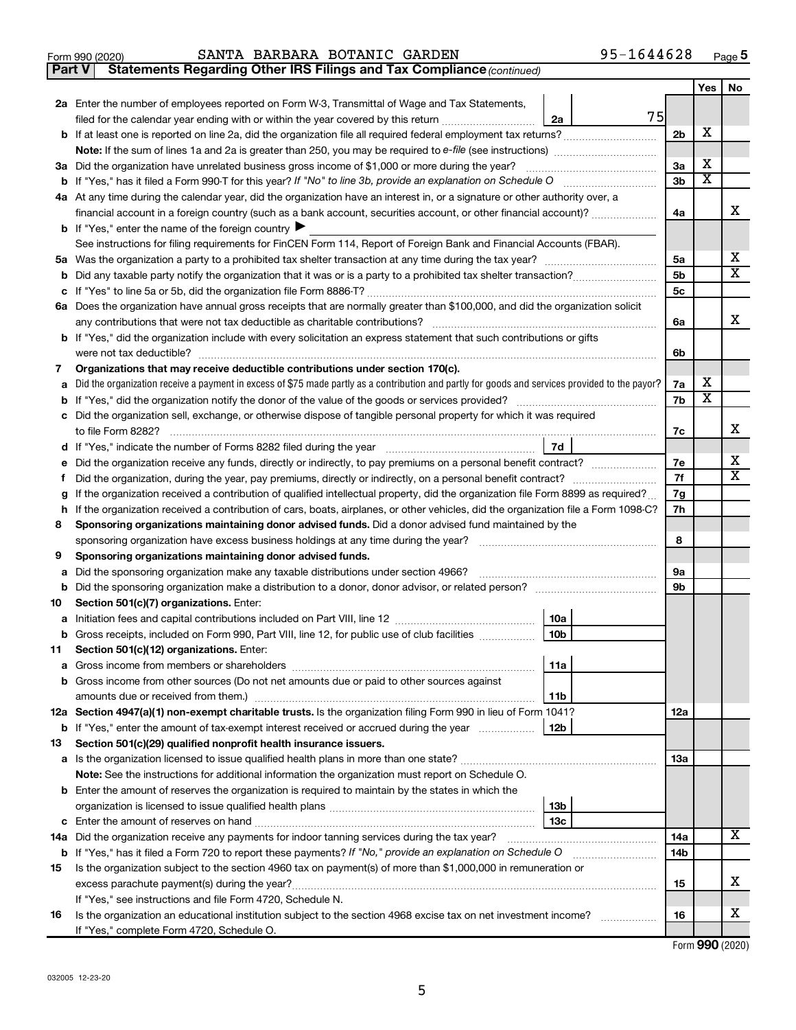|  | Form 990 (2020) |
|--|-----------------|
|  |                 |

## Form 990 (2020) Page SANTA BARBARA BOTANIC GARDEN 95-1644628

**Part V** Statements Regarding Other IRS Filings and Tax Compliance (continued)

|        |                                                                                                                                                                         |                | Yes    | No |
|--------|-------------------------------------------------------------------------------------------------------------------------------------------------------------------------|----------------|--------|----|
|        | 2a Enter the number of employees reported on Form W-3, Transmittal of Wage and Tax Statements,                                                                          |                |        |    |
|        | 75<br>filed for the calendar year ending with or within the year covered by this return <i>manumumumum</i><br>2a                                                        |                |        |    |
|        |                                                                                                                                                                         | 2 <sub>b</sub> | х      |    |
|        |                                                                                                                                                                         |                |        |    |
|        | 3a Did the organization have unrelated business gross income of \$1,000 or more during the year?                                                                        | 3a             | х      |    |
| b      |                                                                                                                                                                         | 3b             | х      |    |
|        | 4a At any time during the calendar year, did the organization have an interest in, or a signature or other authority over, a                                            |                |        |    |
|        | financial account in a foreign country (such as a bank account, securities account, or other financial account)?                                                        | 4a             |        | х  |
|        | <b>b</b> If "Yes," enter the name of the foreign country                                                                                                                |                |        |    |
|        | See instructions for filing requirements for FinCEN Form 114, Report of Foreign Bank and Financial Accounts (FBAR).                                                     |                |        |    |
| 5а     |                                                                                                                                                                         | 5a             |        | х  |
| b      |                                                                                                                                                                         | 5b             |        | х  |
| с      |                                                                                                                                                                         | 5с             |        |    |
|        | 6a Does the organization have annual gross receipts that are normally greater than \$100,000, and did the organization solicit                                          |                |        |    |
|        |                                                                                                                                                                         | 6a             |        | x  |
|        | <b>b</b> If "Yes," did the organization include with every solicitation an express statement that such contributions or gifts                                           |                |        |    |
|        | were not tax deductible?                                                                                                                                                | 6b             |        |    |
| 7      | Organizations that may receive deductible contributions under section 170(c).                                                                                           |                |        |    |
| а      | Did the organization receive a payment in excess of \$75 made partly as a contribution and partly for goods and services provided to the payor?                         | 7a             | х<br>х |    |
| b      |                                                                                                                                                                         | 7b             |        |    |
| с      | Did the organization sell, exchange, or otherwise dispose of tangible personal property for which it was required                                                       |                |        | х  |
|        |                                                                                                                                                                         | 7c             |        |    |
| d      | 7d<br>If "Yes," indicate the number of Forms 8282 filed during the year [11,111] [11] Notice 11] [12] If "Yes," indicate the number of Forms 8282 filed during the year |                |        | х  |
| е      | Did the organization receive any funds, directly or indirectly, to pay premiums on a personal benefit contract?                                                         | 7e<br>7f       |        | х  |
| f      | If the organization received a contribution of qualified intellectual property, did the organization file Form 8899 as required?                                        | 7g             |        |    |
| g<br>h | If the organization received a contribution of cars, boats, airplanes, or other vehicles, did the organization file a Form 1098-C?                                      | 7h             |        |    |
| 8      | Sponsoring organizations maintaining donor advised funds. Did a donor advised fund maintained by the                                                                    |                |        |    |
|        | sponsoring organization have excess business holdings at any time during the year?                                                                                      | 8              |        |    |
| 9      | Sponsoring organizations maintaining donor advised funds.                                                                                                               |                |        |    |
| а      | Did the sponsoring organization make any taxable distributions under section 4966?                                                                                      | 9а             |        |    |
| b      | Did the sponsoring organization make a distribution to a donor, donor advisor, or related person?                                                                       | 9b             |        |    |
| 10     | Section 501(c)(7) organizations. Enter:                                                                                                                                 |                |        |    |
| а      | 10a                                                                                                                                                                     |                |        |    |
|        | 10 <sub>b</sub><br><b>b</b> Gross receipts, included on Form 990, Part VIII, line 12, for public use of club facilities <i>manument</i> .                               |                |        |    |
| 11.    | Section 501(c)(12) organizations. Enter:                                                                                                                                |                |        |    |
|        | 11a<br><b>a</b> Gross income from members or shareholders                                                                                                               |                |        |    |
|        | <b>b</b> Gross income from other sources (Do not net amounts due or paid to other sources against                                                                       |                |        |    |
|        | 11b                                                                                                                                                                     |                |        |    |
|        | 12a Section 4947(a)(1) non-exempt charitable trusts. Is the organization filing Form 990 in lieu of Form 1041?                                                          | 12a            |        |    |
|        | 12 <sub>b</sub><br><b>b</b> If "Yes," enter the amount of tax-exempt interest received or accrued during the year                                                       |                |        |    |
| 13     | Section 501(c)(29) qualified nonprofit health insurance issuers.                                                                                                        |                |        |    |
|        |                                                                                                                                                                         | 13a            |        |    |
|        | Note: See the instructions for additional information the organization must report on Schedule O.                                                                       |                |        |    |
|        | <b>b</b> Enter the amount of reserves the organization is required to maintain by the states in which the                                                               |                |        |    |
|        | 13 <sub>b</sub>                                                                                                                                                         |                |        |    |
|        | 13с                                                                                                                                                                     |                |        | X  |
|        | 14a Did the organization receive any payments for indoor tanning services during the tax year?                                                                          | 14a            |        |    |
|        | <b>b</b> If "Yes," has it filed a Form 720 to report these payments? If "No," provide an explanation on Schedule O                                                      | 14b            |        |    |
| 15     | Is the organization subject to the section 4960 tax on payment(s) of more than \$1,000,000 in remuneration or                                                           |                |        | x  |
|        |                                                                                                                                                                         | 15             |        |    |
|        | If "Yes," see instructions and file Form 4720, Schedule N.                                                                                                              | 16             |        | х  |
| 16     | Is the organization an educational institution subject to the section 4968 excise tax on net investment income?<br>If "Yes," complete Form 4720, Schedule O.            |                |        |    |
|        |                                                                                                                                                                         |                |        |    |

Form (2020) **990**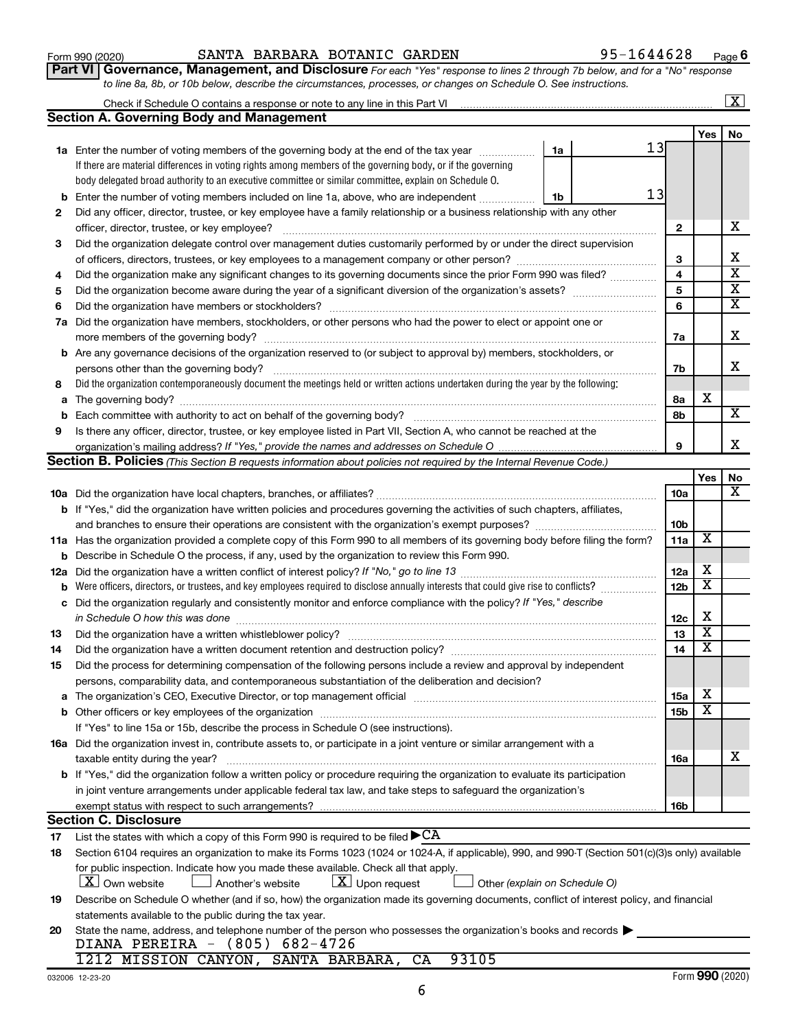# Form 990 (2020) Page SANTA BARBARA BOTANIC GARDEN 95-1644628

Check if Schedule O contains a response or note to any line in this Part VI

**Part VI** Governance, Management, and Disclosure For each "Yes" response to lines 2 through 7b below, and for a "No" response *to line 8a, 8b, or 10b below, describe the circumstances, processes, or changes on Schedule O. See instructions.*

|     | <b>Section A. Governing Body and Management</b>                                                                                                                                                                                |                 |                         |                         |
|-----|--------------------------------------------------------------------------------------------------------------------------------------------------------------------------------------------------------------------------------|-----------------|-------------------------|-------------------------|
|     |                                                                                                                                                                                                                                |                 | Yes                     | No                      |
|     | 13<br>1a Enter the number of voting members of the governing body at the end of the tax year<br>1a                                                                                                                             |                 |                         |                         |
|     | If there are material differences in voting rights among members of the governing body, or if the governing                                                                                                                    |                 |                         |                         |
|     | body delegated broad authority to an executive committee or similar committee, explain on Schedule O.                                                                                                                          |                 |                         |                         |
| b   | 13<br>Enter the number of voting members included on line 1a, above, who are independent<br>1b                                                                                                                                 |                 |                         |                         |
| 2   | Did any officer, director, trustee, or key employee have a family relationship or a business relationship with any other                                                                                                       |                 |                         |                         |
|     |                                                                                                                                                                                                                                | 2               |                         | х                       |
| 3   | Did the organization delegate control over management duties customarily performed by or under the direct supervision                                                                                                          |                 |                         |                         |
|     |                                                                                                                                                                                                                                | 3               |                         | X                       |
| 4   | Did the organization make any significant changes to its governing documents since the prior Form 990 was filed?                                                                                                               | 4               |                         | $\overline{\mathbf{x}}$ |
| 5   |                                                                                                                                                                                                                                | 5               |                         | X                       |
| 6   |                                                                                                                                                                                                                                | 6               |                         | $\overline{\mathbf{x}}$ |
|     | 7a Did the organization have members, stockholders, or other persons who had the power to elect or appoint one or                                                                                                              |                 |                         |                         |
|     |                                                                                                                                                                                                                                | 7a              |                         | X                       |
|     | <b>b</b> Are any governance decisions of the organization reserved to (or subject to approval by) members, stockholders, or                                                                                                    |                 |                         |                         |
|     |                                                                                                                                                                                                                                | 7b              |                         | х                       |
| 8   | Did the organization contemporaneously document the meetings held or written actions undertaken during the year by the following:                                                                                              |                 |                         |                         |
| а   |                                                                                                                                                                                                                                | 8а              | х                       |                         |
|     |                                                                                                                                                                                                                                | 8b              |                         | $\overline{\mathbf{X}}$ |
| 9   | Is there any officer, director, trustee, or key employee listed in Part VII, Section A, who cannot be reached at the                                                                                                           |                 |                         |                         |
|     |                                                                                                                                                                                                                                | 9               |                         | x                       |
|     | Section B. Policies (This Section B requests information about policies not required by the Internal Revenue Code.)                                                                                                            |                 |                         |                         |
|     |                                                                                                                                                                                                                                |                 | Yes                     | No                      |
|     |                                                                                                                                                                                                                                | <b>10a</b>      |                         | x                       |
|     | <b>b</b> If "Yes," did the organization have written policies and procedures governing the activities of such chapters, affiliates,                                                                                            |                 |                         |                         |
|     |                                                                                                                                                                                                                                | 10b             |                         |                         |
|     | 11a Has the organization provided a complete copy of this Form 990 to all members of its governing body before filing the form?                                                                                                | 11a             | X                       |                         |
|     | <b>b</b> Describe in Schedule O the process, if any, used by the organization to review this Form 990.                                                                                                                         |                 |                         |                         |
| 12a |                                                                                                                                                                                                                                | 12a             | X                       |                         |
| b   | Were officers, directors, or trustees, and key employees required to disclose annually interests that could give rise to conflicts?                                                                                            | 12 <sub>b</sub> | х                       |                         |
| с   | Did the organization regularly and consistently monitor and enforce compliance with the policy? If "Yes," describe                                                                                                             |                 |                         |                         |
|     | in Schedule O how this was done                                                                                                                                                                                                | 12c             | X                       |                         |
| 13  |                                                                                                                                                                                                                                | 13              | х                       |                         |
| 14  | Did the organization have a written document retention and destruction policy? [11] manufaction manufaction in                                                                                                                 | 14              | $\overline{\textbf{x}}$ |                         |
| 15  | Did the process for determining compensation of the following persons include a review and approval by independent                                                                                                             |                 |                         |                         |
|     | persons, comparability data, and contemporaneous substantiation of the deliberation and decision?                                                                                                                              |                 |                         |                         |
|     | The organization's CEO, Executive Director, or top management official [111] [12] manuscription and an intervention of the organization's CEO, Executive Director, or top management official [11] manuscription and the organ | 15a             | $\overline{\textbf{X}}$ |                         |
|     |                                                                                                                                                                                                                                | 15b             | X                       |                         |
|     | If "Yes" to line 15a or 15b, describe the process in Schedule O (see instructions).                                                                                                                                            |                 |                         |                         |
|     | 16a Did the organization invest in, contribute assets to, or participate in a joint venture or similar arrangement with a                                                                                                      |                 |                         |                         |
|     | taxable entity during the year?                                                                                                                                                                                                | 16a             |                         | х                       |
|     | b If "Yes," did the organization follow a written policy or procedure requiring the organization to evaluate its participation                                                                                                 |                 |                         |                         |
|     | in joint venture arrangements under applicable federal tax law, and take steps to safeguard the organization's                                                                                                                 |                 |                         |                         |
|     | exempt status with respect to such arrangements?                                                                                                                                                                               | 16b             |                         |                         |
|     | <b>Section C. Disclosure</b>                                                                                                                                                                                                   |                 |                         |                         |
| 17  | List the states with which a copy of this Form 990 is required to be filed $\blacktriangleright$ CA                                                                                                                            |                 |                         |                         |
| 18  | Section 6104 requires an organization to make its Forms 1023 (1024 or 1024-A, if applicable), 990, and 990-T (Section 501(c)(3)s only) available                                                                               |                 |                         |                         |
|     | for public inspection. Indicate how you made these available. Check all that apply.                                                                                                                                            |                 |                         |                         |
|     | $\lfloor x \rfloor$ Upon request<br>$\lfloor X \rfloor$ Own website<br>Another's website<br>Other (explain on Schedule O)                                                                                                      |                 |                         |                         |
| 19  | Describe on Schedule O whether (and if so, how) the organization made its governing documents, conflict of interest policy, and financial                                                                                      |                 |                         |                         |
|     | statements available to the public during the tax year.                                                                                                                                                                        |                 |                         |                         |
| 20  | State the name, address, and telephone number of the person who possesses the organization's books and records                                                                                                                 |                 |                         |                         |
|     | DIANA PEREIRA - (805) 682-4726                                                                                                                                                                                                 |                 |                         |                         |
|     | 93105<br>1212 MISSION CANYON,<br>SANTA BARBARA,<br>CA                                                                                                                                                                          |                 |                         |                         |
|     | 032006 12-23-20                                                                                                                                                                                                                |                 | Form 990 (2020)         |                         |

 $\boxed{\text{X}}$ 

6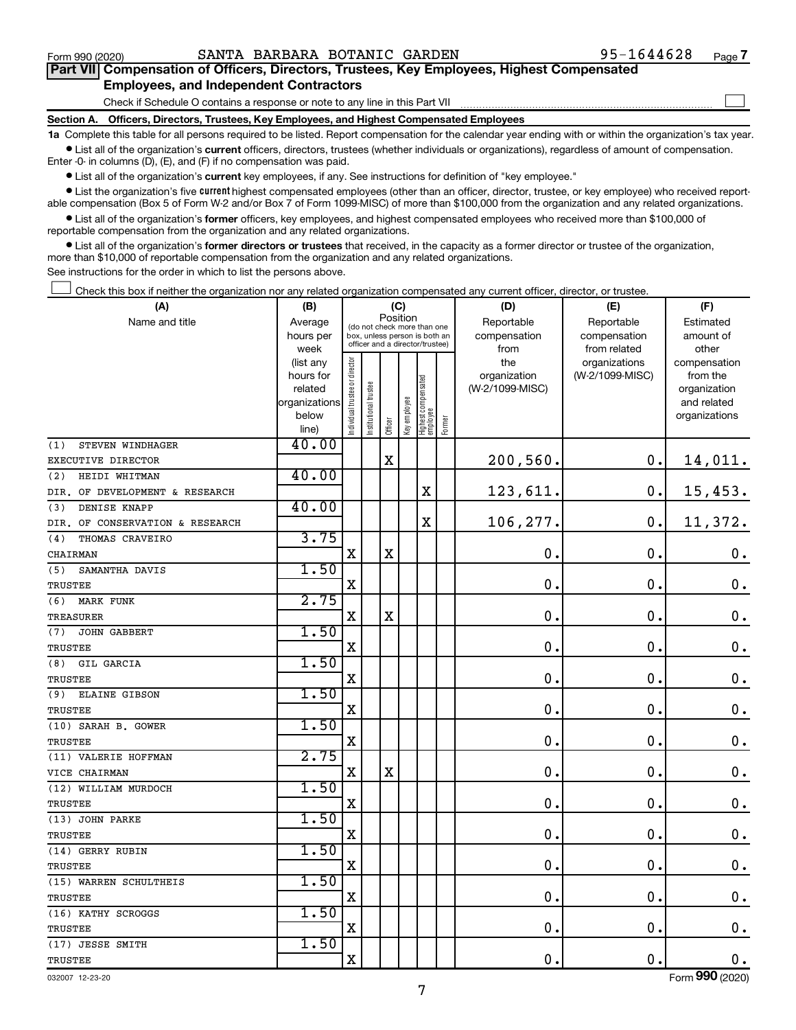$\Box$ 

| Part VII Compensation of Officers, Directors, Trustees, Key Employees, Highest Compensated |  |  |
|--------------------------------------------------------------------------------------------|--|--|
| <b>Employees, and Independent Contractors</b>                                              |  |  |

Check if Schedule O contains a response or note to any line in this Part VII

**Section A. Officers, Directors, Trustees, Key Employees, and Highest Compensated Employees**

**1a**  Complete this table for all persons required to be listed. Report compensation for the calendar year ending with or within the organization's tax year.  $\bullet$  List all of the organization's current officers, directors, trustees (whether individuals or organizations), regardless of amount of compensation.

Enter -0- in columns (D), (E), and (F) if no compensation was paid.

**•** List all of the organization's current key employees, if any. See instructions for definition of "key employee."

• List the organization's five *current* highest compensated employees (other than an officer, director, trustee, or key employee) who received reportable compensation (Box 5 of Form W-2 and/or Box 7 of Form 1099-MISC) of more than \$100,000 from the organization and any related organizations.

 $\bullet$  List all of the organization's former officers, key employees, and highest compensated employees who received more than \$100,000 of reportable compensation from the organization and any related organizations.

**•** List all of the organization's former directors or trustees that received, in the capacity as a former director or trustee of the organization, more than \$10,000 of reportable compensation from the organization and any related organizations.

See instructions for the order in which to list the persons above.

Check this box if neither the organization nor any related organization compensated any current officer, director, or trustee.  $\Box$ 

| Position<br>Reportable<br>Name and title<br>Average<br>Reportable<br>Estimated<br>(do not check more than one<br>compensation<br>hours per<br>box, unless person is both an<br>compensation<br>amount of<br>officer and a director/trustee)<br>from related<br>other<br>week<br>from<br>Individual trustee or director<br>the<br>(list any<br>organizations<br>compensation<br>(W-2/1099-MISC)<br>organization<br>from the<br>hours for<br>  Highest compensated<br>  employee<br>Institutional trustee<br>(W-2/1099-MISC)<br>related<br>Key employee<br>organizations<br>below<br>Former<br>Officer<br>line)<br>40.00<br>(1)<br>STEVEN WINDHAGER<br>$\mathbf X$<br>200,560.<br>$\mathbf 0$ .<br>14,011.<br>EXECUTIVE DIRECTOR<br>40.00<br>(2)<br>HEIDI WHITMAN<br>123,611.<br>$\mathbf 0$ .<br>15,453.<br>X<br>DIR. OF DEVELOPMENT & RESEARCH<br>40.00<br>DENISE KNAPP<br>(3)<br>$\rm X$<br>106,277.<br>$\mathbf 0$ .<br>11,372.<br>DIR. OF CONSERVATION & RESEARCH<br>3.75<br>THOMAS CRAVEIRO<br>(4)<br>$\mathbf X$<br>X<br>$\mathbf 0$ .<br>$\mathbf 0$ .<br>CHAIRMAN<br>1.50<br>SAMANTHA DAVIS<br>(5)<br>$\mathbf 0$ .<br>$\mathbf 0$ .<br>$\mathbf X$<br>TRUSTEE<br>2.75<br>(6)<br><b>MARK FUNK</b><br>X<br>$\mathbf 0$ .<br>$\mathbf 0$ .<br>$\mathbf X$<br>TREASURER<br>1.50<br>(7)<br><b>JOHN GABBERT</b> | (A)            | (B) |             |  | (C) |  |  | (D)           | (E)           | (F)                |
|-------------------------------------------------------------------------------------------------------------------------------------------------------------------------------------------------------------------------------------------------------------------------------------------------------------------------------------------------------------------------------------------------------------------------------------------------------------------------------------------------------------------------------------------------------------------------------------------------------------------------------------------------------------------------------------------------------------------------------------------------------------------------------------------------------------------------------------------------------------------------------------------------------------------------------------------------------------------------------------------------------------------------------------------------------------------------------------------------------------------------------------------------------------------------------------------------------------------------------------------------------------------------------------------------------------------|----------------|-----|-------------|--|-----|--|--|---------------|---------------|--------------------|
|                                                                                                                                                                                                                                                                                                                                                                                                                                                                                                                                                                                                                                                                                                                                                                                                                                                                                                                                                                                                                                                                                                                                                                                                                                                                                                                   |                |     |             |  |     |  |  |               |               |                    |
|                                                                                                                                                                                                                                                                                                                                                                                                                                                                                                                                                                                                                                                                                                                                                                                                                                                                                                                                                                                                                                                                                                                                                                                                                                                                                                                   |                |     |             |  |     |  |  |               |               |                    |
|                                                                                                                                                                                                                                                                                                                                                                                                                                                                                                                                                                                                                                                                                                                                                                                                                                                                                                                                                                                                                                                                                                                                                                                                                                                                                                                   |                |     |             |  |     |  |  |               |               |                    |
|                                                                                                                                                                                                                                                                                                                                                                                                                                                                                                                                                                                                                                                                                                                                                                                                                                                                                                                                                                                                                                                                                                                                                                                                                                                                                                                   |                |     |             |  |     |  |  |               |               |                    |
|                                                                                                                                                                                                                                                                                                                                                                                                                                                                                                                                                                                                                                                                                                                                                                                                                                                                                                                                                                                                                                                                                                                                                                                                                                                                                                                   |                |     |             |  |     |  |  |               |               | organization       |
|                                                                                                                                                                                                                                                                                                                                                                                                                                                                                                                                                                                                                                                                                                                                                                                                                                                                                                                                                                                                                                                                                                                                                                                                                                                                                                                   |                |     |             |  |     |  |  |               |               | and related        |
|                                                                                                                                                                                                                                                                                                                                                                                                                                                                                                                                                                                                                                                                                                                                                                                                                                                                                                                                                                                                                                                                                                                                                                                                                                                                                                                   |                |     |             |  |     |  |  |               |               | organizations      |
|                                                                                                                                                                                                                                                                                                                                                                                                                                                                                                                                                                                                                                                                                                                                                                                                                                                                                                                                                                                                                                                                                                                                                                                                                                                                                                                   |                |     |             |  |     |  |  |               |               |                    |
|                                                                                                                                                                                                                                                                                                                                                                                                                                                                                                                                                                                                                                                                                                                                                                                                                                                                                                                                                                                                                                                                                                                                                                                                                                                                                                                   |                |     |             |  |     |  |  |               |               |                    |
|                                                                                                                                                                                                                                                                                                                                                                                                                                                                                                                                                                                                                                                                                                                                                                                                                                                                                                                                                                                                                                                                                                                                                                                                                                                                                                                   |                |     |             |  |     |  |  |               |               |                    |
|                                                                                                                                                                                                                                                                                                                                                                                                                                                                                                                                                                                                                                                                                                                                                                                                                                                                                                                                                                                                                                                                                                                                                                                                                                                                                                                   |                |     |             |  |     |  |  |               |               |                    |
|                                                                                                                                                                                                                                                                                                                                                                                                                                                                                                                                                                                                                                                                                                                                                                                                                                                                                                                                                                                                                                                                                                                                                                                                                                                                                                                   |                |     |             |  |     |  |  |               |               |                    |
|                                                                                                                                                                                                                                                                                                                                                                                                                                                                                                                                                                                                                                                                                                                                                                                                                                                                                                                                                                                                                                                                                                                                                                                                                                                                                                                   |                |     |             |  |     |  |  |               |               |                    |
|                                                                                                                                                                                                                                                                                                                                                                                                                                                                                                                                                                                                                                                                                                                                                                                                                                                                                                                                                                                                                                                                                                                                                                                                                                                                                                                   |                |     |             |  |     |  |  |               |               |                    |
|                                                                                                                                                                                                                                                                                                                                                                                                                                                                                                                                                                                                                                                                                                                                                                                                                                                                                                                                                                                                                                                                                                                                                                                                                                                                                                                   |                |     |             |  |     |  |  |               |               |                    |
|                                                                                                                                                                                                                                                                                                                                                                                                                                                                                                                                                                                                                                                                                                                                                                                                                                                                                                                                                                                                                                                                                                                                                                                                                                                                                                                   |                |     |             |  |     |  |  |               |               | $\mathbf 0$ .      |
|                                                                                                                                                                                                                                                                                                                                                                                                                                                                                                                                                                                                                                                                                                                                                                                                                                                                                                                                                                                                                                                                                                                                                                                                                                                                                                                   |                |     |             |  |     |  |  |               |               |                    |
|                                                                                                                                                                                                                                                                                                                                                                                                                                                                                                                                                                                                                                                                                                                                                                                                                                                                                                                                                                                                                                                                                                                                                                                                                                                                                                                   |                |     |             |  |     |  |  |               |               | $\mathbf 0$ .      |
|                                                                                                                                                                                                                                                                                                                                                                                                                                                                                                                                                                                                                                                                                                                                                                                                                                                                                                                                                                                                                                                                                                                                                                                                                                                                                                                   |                |     |             |  |     |  |  |               |               |                    |
|                                                                                                                                                                                                                                                                                                                                                                                                                                                                                                                                                                                                                                                                                                                                                                                                                                                                                                                                                                                                                                                                                                                                                                                                                                                                                                                   |                |     |             |  |     |  |  |               |               | $\mathbf 0$ .      |
|                                                                                                                                                                                                                                                                                                                                                                                                                                                                                                                                                                                                                                                                                                                                                                                                                                                                                                                                                                                                                                                                                                                                                                                                                                                                                                                   |                |     |             |  |     |  |  |               |               |                    |
|                                                                                                                                                                                                                                                                                                                                                                                                                                                                                                                                                                                                                                                                                                                                                                                                                                                                                                                                                                                                                                                                                                                                                                                                                                                                                                                   | <b>TRUSTEE</b> |     | $\mathbf X$ |  |     |  |  | $\mathbf 0$ . | $\mathbf 0$ . | $\mathbf 0$ .      |
| 1.50<br>(8)<br>GIL GARCIA                                                                                                                                                                                                                                                                                                                                                                                                                                                                                                                                                                                                                                                                                                                                                                                                                                                                                                                                                                                                                                                                                                                                                                                                                                                                                         |                |     |             |  |     |  |  |               |               |                    |
| $\mathbf X$<br>$\mathbf 0$ .<br>$\mathbf 0$ .<br>TRUSTEE                                                                                                                                                                                                                                                                                                                                                                                                                                                                                                                                                                                                                                                                                                                                                                                                                                                                                                                                                                                                                                                                                                                                                                                                                                                          |                |     |             |  |     |  |  |               |               | $\mathbf 0$ .      |
| 1.50<br>(9) ELAINE GIBSON                                                                                                                                                                                                                                                                                                                                                                                                                                                                                                                                                                                                                                                                                                                                                                                                                                                                                                                                                                                                                                                                                                                                                                                                                                                                                         |                |     |             |  |     |  |  |               |               |                    |
| $\mathbf 0$ .<br>$\mathbf 0$ .<br>$\mathbf X$<br>TRUSTEE                                                                                                                                                                                                                                                                                                                                                                                                                                                                                                                                                                                                                                                                                                                                                                                                                                                                                                                                                                                                                                                                                                                                                                                                                                                          |                |     |             |  |     |  |  |               |               | $\mathbf 0$ .      |
| 1.50<br>(10) SARAH B. GOWER                                                                                                                                                                                                                                                                                                                                                                                                                                                                                                                                                                                                                                                                                                                                                                                                                                                                                                                                                                                                                                                                                                                                                                                                                                                                                       |                |     |             |  |     |  |  |               |               |                    |
| $\mathbf X$<br>$\mathbf 0$ .<br>$\mathbf 0$ .<br>TRUSTEE                                                                                                                                                                                                                                                                                                                                                                                                                                                                                                                                                                                                                                                                                                                                                                                                                                                                                                                                                                                                                                                                                                                                                                                                                                                          |                |     |             |  |     |  |  |               |               | $\mathbf 0$ .      |
| 2.75<br>(11) VALERIE HOFFMAN                                                                                                                                                                                                                                                                                                                                                                                                                                                                                                                                                                                                                                                                                                                                                                                                                                                                                                                                                                                                                                                                                                                                                                                                                                                                                      |                |     |             |  |     |  |  |               |               |                    |
| $\mathbf X$<br>$\mathbf X$<br>$\mathbf 0$ .<br>$\mathbf 0$ .<br>VICE CHAIRMAN                                                                                                                                                                                                                                                                                                                                                                                                                                                                                                                                                                                                                                                                                                                                                                                                                                                                                                                                                                                                                                                                                                                                                                                                                                     |                |     |             |  |     |  |  |               |               | $\mathbf 0$ .      |
| 1.50<br>(12) WILLIAM MURDOCH                                                                                                                                                                                                                                                                                                                                                                                                                                                                                                                                                                                                                                                                                                                                                                                                                                                                                                                                                                                                                                                                                                                                                                                                                                                                                      |                |     |             |  |     |  |  |               |               |                    |
| $\rm X$<br>$\mathbf 0$ .<br>$\mathbf 0$ .<br>TRUSTEE                                                                                                                                                                                                                                                                                                                                                                                                                                                                                                                                                                                                                                                                                                                                                                                                                                                                                                                                                                                                                                                                                                                                                                                                                                                              |                |     |             |  |     |  |  |               |               | $\mathbf 0$ .      |
| 1.50<br>(13) JOHN PARKE                                                                                                                                                                                                                                                                                                                                                                                                                                                                                                                                                                                                                                                                                                                                                                                                                                                                                                                                                                                                                                                                                                                                                                                                                                                                                           |                |     |             |  |     |  |  |               |               |                    |
| X<br>$\mathbf 0$ .<br>$\mathbf 0$ .<br><b>TRUSTEE</b>                                                                                                                                                                                                                                                                                                                                                                                                                                                                                                                                                                                                                                                                                                                                                                                                                                                                                                                                                                                                                                                                                                                                                                                                                                                             |                |     |             |  |     |  |  |               |               | $\mathbf 0$ .      |
| 1.50<br>(14) GERRY RUBIN                                                                                                                                                                                                                                                                                                                                                                                                                                                                                                                                                                                                                                                                                                                                                                                                                                                                                                                                                                                                                                                                                                                                                                                                                                                                                          |                |     |             |  |     |  |  |               |               |                    |
| $\mathbf 0$ .<br>$\mathbf 0$ .<br>$\mathbf X$<br><b>TRUSTEE</b>                                                                                                                                                                                                                                                                                                                                                                                                                                                                                                                                                                                                                                                                                                                                                                                                                                                                                                                                                                                                                                                                                                                                                                                                                                                   |                |     |             |  |     |  |  |               |               | $\mathbf 0$ .      |
| 1.50<br>(15) WARREN SCHULTHEIS                                                                                                                                                                                                                                                                                                                                                                                                                                                                                                                                                                                                                                                                                                                                                                                                                                                                                                                                                                                                                                                                                                                                                                                                                                                                                    |                |     |             |  |     |  |  |               |               |                    |
| $\mathbf 0$ .<br>$\mathbf 0$ .<br>X<br><b>TRUSTEE</b>                                                                                                                                                                                                                                                                                                                                                                                                                                                                                                                                                                                                                                                                                                                                                                                                                                                                                                                                                                                                                                                                                                                                                                                                                                                             |                |     |             |  |     |  |  |               |               | $\boldsymbol{0}$ . |
| 1.50<br>(16) KATHY SCROGGS                                                                                                                                                                                                                                                                                                                                                                                                                                                                                                                                                                                                                                                                                                                                                                                                                                                                                                                                                                                                                                                                                                                                                                                                                                                                                        |                |     |             |  |     |  |  |               |               |                    |
| $\mathbf X$<br>$\mathbf 0$ .<br>$\mathbf 0$ .<br>TRUSTEE                                                                                                                                                                                                                                                                                                                                                                                                                                                                                                                                                                                                                                                                                                                                                                                                                                                                                                                                                                                                                                                                                                                                                                                                                                                          |                |     |             |  |     |  |  |               |               | $\mathbf 0$ .      |
| 1.50<br>(17) JESSE SMITH                                                                                                                                                                                                                                                                                                                                                                                                                                                                                                                                                                                                                                                                                                                                                                                                                                                                                                                                                                                                                                                                                                                                                                                                                                                                                          |                |     |             |  |     |  |  |               |               |                    |
| $\mathbf 0$ .<br>$\mathbf 0$ .<br>$\mathbf X$<br><b>TRUSTEE</b>                                                                                                                                                                                                                                                                                                                                                                                                                                                                                                                                                                                                                                                                                                                                                                                                                                                                                                                                                                                                                                                                                                                                                                                                                                                   |                |     |             |  |     |  |  |               |               | $\mathbf 0$ .      |

032007 12-23-20

Form (2020) **990**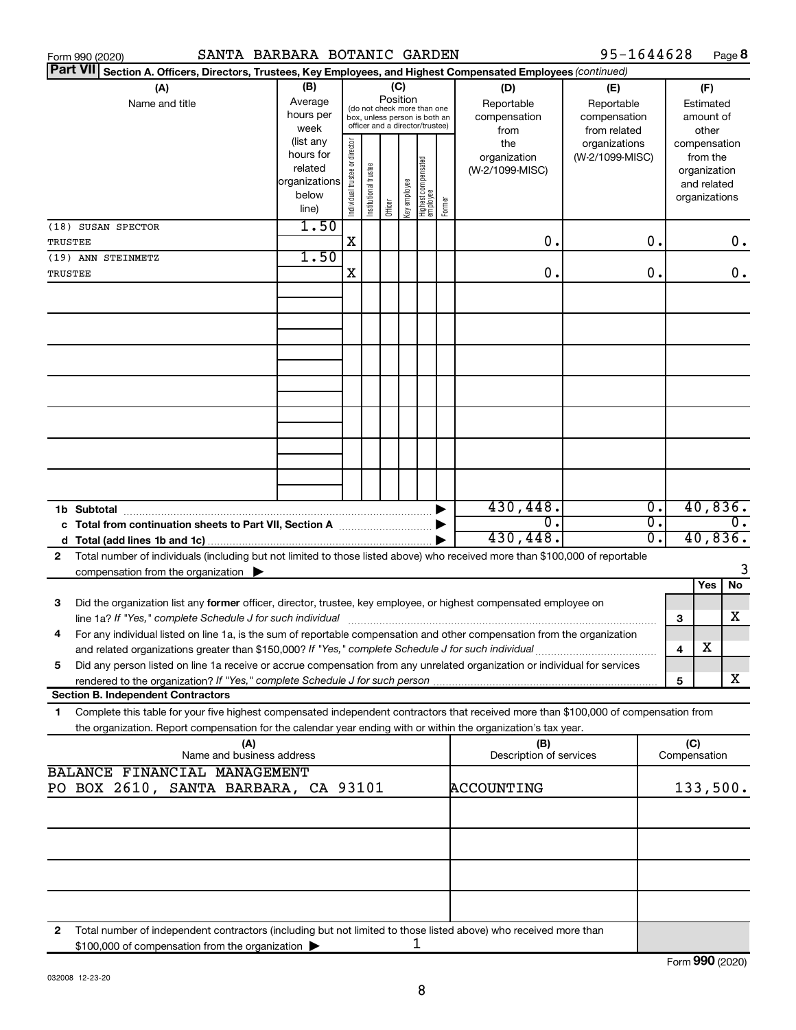|                | Form 990 (2020)                                                                                                                                                                                                                                        | SANTA BARBARA BOTANIC GARDEN                            |                                                                                                                          |                      |         |              |                                   |        |                                           | 95-1644628                                        |                                                            |                     |                                                                          | Page 8           |
|----------------|--------------------------------------------------------------------------------------------------------------------------------------------------------------------------------------------------------------------------------------------------------|---------------------------------------------------------|--------------------------------------------------------------------------------------------------------------------------|----------------------|---------|--------------|-----------------------------------|--------|-------------------------------------------|---------------------------------------------------|------------------------------------------------------------|---------------------|--------------------------------------------------------------------------|------------------|
|                | <b>Part VII</b><br>Section A. Officers, Directors, Trustees, Key Employees, and Highest Compensated Employees (continued)                                                                                                                              |                                                         |                                                                                                                          |                      |         |              |                                   |        |                                           |                                                   |                                                            |                     |                                                                          |                  |
|                | (A)<br>Name and title                                                                                                                                                                                                                                  | (B)<br>Average<br>hours per<br>week                     | Position<br>(do not check more than one<br>box, unless person is both an<br>officer and a director/trustee)<br>(list any |                      |         | (C)          |                                   |        | (D)<br>Reportable<br>compensation<br>from | (E)<br>Reportable<br>compensation<br>from related |                                                            |                     | (F)<br>Estimated<br>amount of<br>other                                   |                  |
|                |                                                                                                                                                                                                                                                        | hours for<br>related<br>organizations<br>below<br>line) | Individual trustee or director                                                                                           | nstitutional trustee | Officer | Key employee | Highest compensated<br>  employee | Former | the<br>organization<br>(W-2/1099-MISC)    | organizations<br>(W-2/1099-MISC)                  |                                                            |                     | compensation<br>from the<br>organization<br>and related<br>organizations |                  |
|                | (18) SUSAN SPECTOR                                                                                                                                                                                                                                     | 1.50                                                    |                                                                                                                          |                      |         |              |                                   |        |                                           |                                                   |                                                            |                     |                                                                          |                  |
| TRUSTEE        |                                                                                                                                                                                                                                                        | 1.50                                                    | X                                                                                                                        |                      |         |              |                                   |        | 0.                                        |                                                   | 0.                                                         |                     |                                                                          | $0$ .            |
| <b>TRUSTEE</b> | (19) ANN STEINMETZ                                                                                                                                                                                                                                     |                                                         | х                                                                                                                        |                      |         |              |                                   |        | 0.                                        |                                                   | 0.                                                         |                     |                                                                          | 0.               |
|                |                                                                                                                                                                                                                                                        |                                                         |                                                                                                                          |                      |         |              |                                   |        |                                           |                                                   |                                                            |                     |                                                                          |                  |
|                |                                                                                                                                                                                                                                                        |                                                         |                                                                                                                          |                      |         |              |                                   |        |                                           |                                                   |                                                            |                     |                                                                          |                  |
|                |                                                                                                                                                                                                                                                        |                                                         |                                                                                                                          |                      |         |              |                                   |        |                                           |                                                   |                                                            |                     |                                                                          |                  |
|                |                                                                                                                                                                                                                                                        |                                                         |                                                                                                                          |                      |         |              |                                   |        |                                           |                                                   |                                                            |                     |                                                                          |                  |
|                |                                                                                                                                                                                                                                                        |                                                         |                                                                                                                          |                      |         |              |                                   |        |                                           |                                                   |                                                            |                     |                                                                          |                  |
|                |                                                                                                                                                                                                                                                        |                                                         |                                                                                                                          |                      |         |              |                                   |        |                                           |                                                   |                                                            |                     |                                                                          |                  |
|                |                                                                                                                                                                                                                                                        |                                                         |                                                                                                                          |                      |         |              |                                   |        |                                           |                                                   |                                                            |                     |                                                                          |                  |
|                |                                                                                                                                                                                                                                                        |                                                         |                                                                                                                          |                      |         |              |                                   |        | 430,448.<br>σ.                            |                                                   | $\overline{\mathfrak{o}}$ .<br>$\overline{\mathfrak{o}}$ . |                     | 40,836.                                                                  | $\overline{0}$ . |
|                |                                                                                                                                                                                                                                                        |                                                         |                                                                                                                          |                      |         |              |                                   |        | 430,448.                                  |                                                   | $\overline{0}$ .                                           |                     | 40,836.                                                                  |                  |
| 2              | Total number of individuals (including but not limited to those listed above) who received more than \$100,000 of reportable<br>compensation from the organization $\blacktriangleright$                                                               |                                                         |                                                                                                                          |                      |         |              |                                   |        |                                           |                                                   |                                                            |                     |                                                                          | 3                |
|                |                                                                                                                                                                                                                                                        |                                                         |                                                                                                                          |                      |         |              |                                   |        |                                           |                                                   |                                                            |                     | Yes                                                                      | No               |
| 3              | Did the organization list any former officer, director, trustee, key employee, or highest compensated employee on<br>line 1a? If "Yes," complete Schedule J for such individual manufacture content to the successive complete schedu                  |                                                         |                                                                                                                          |                      |         |              |                                   |        |                                           |                                                   |                                                            | 3                   |                                                                          | х                |
|                | For any individual listed on line 1a, is the sum of reportable compensation and other compensation from the organization<br>and related organizations greater than \$150,000? If "Yes," complete Schedule J for such individual                        |                                                         |                                                                                                                          |                      |         |              |                                   |        |                                           |                                                   |                                                            | 4                   | х                                                                        |                  |
| 5              | Did any person listed on line 1a receive or accrue compensation from any unrelated organization or individual for services                                                                                                                             |                                                         |                                                                                                                          |                      |         |              |                                   |        |                                           |                                                   |                                                            | 5                   |                                                                          | X                |
|                | <b>Section B. Independent Contractors</b>                                                                                                                                                                                                              |                                                         |                                                                                                                          |                      |         |              |                                   |        |                                           |                                                   |                                                            |                     |                                                                          |                  |
| 1.             | Complete this table for your five highest compensated independent contractors that received more than \$100,000 of compensation from<br>the organization. Report compensation for the calendar year ending with or within the organization's tax year. |                                                         |                                                                                                                          |                      |         |              |                                   |        |                                           |                                                   |                                                            |                     |                                                                          |                  |
|                | (A)<br>Name and business address                                                                                                                                                                                                                       |                                                         |                                                                                                                          |                      |         |              |                                   |        | (B)<br>Description of services            |                                                   |                                                            | (C)<br>Compensation |                                                                          |                  |
|                | BALANCE FINANCIAL MANAGEMENT<br>PO BOX 2610, SANTA BARBARA, CA 93101                                                                                                                                                                                   |                                                         |                                                                                                                          |                      |         |              |                                   |        | ACCOUNTING                                |                                                   |                                                            |                     | 133,500.                                                                 |                  |
|                |                                                                                                                                                                                                                                                        |                                                         |                                                                                                                          |                      |         |              |                                   |        |                                           |                                                   |                                                            |                     |                                                                          |                  |
|                |                                                                                                                                                                                                                                                        |                                                         |                                                                                                                          |                      |         |              |                                   |        |                                           |                                                   |                                                            |                     |                                                                          |                  |
|                |                                                                                                                                                                                                                                                        |                                                         |                                                                                                                          |                      |         |              |                                   |        |                                           |                                                   |                                                            |                     |                                                                          |                  |
|                |                                                                                                                                                                                                                                                        |                                                         |                                                                                                                          |                      |         |              |                                   |        |                                           |                                                   |                                                            |                     |                                                                          |                  |
| 2              | Total number of independent contractors (including but not limited to those listed above) who received more than<br>\$100,000 of compensation from the organization                                                                                    |                                                         |                                                                                                                          |                      |         |              | 1                                 |        |                                           |                                                   |                                                            |                     |                                                                          |                  |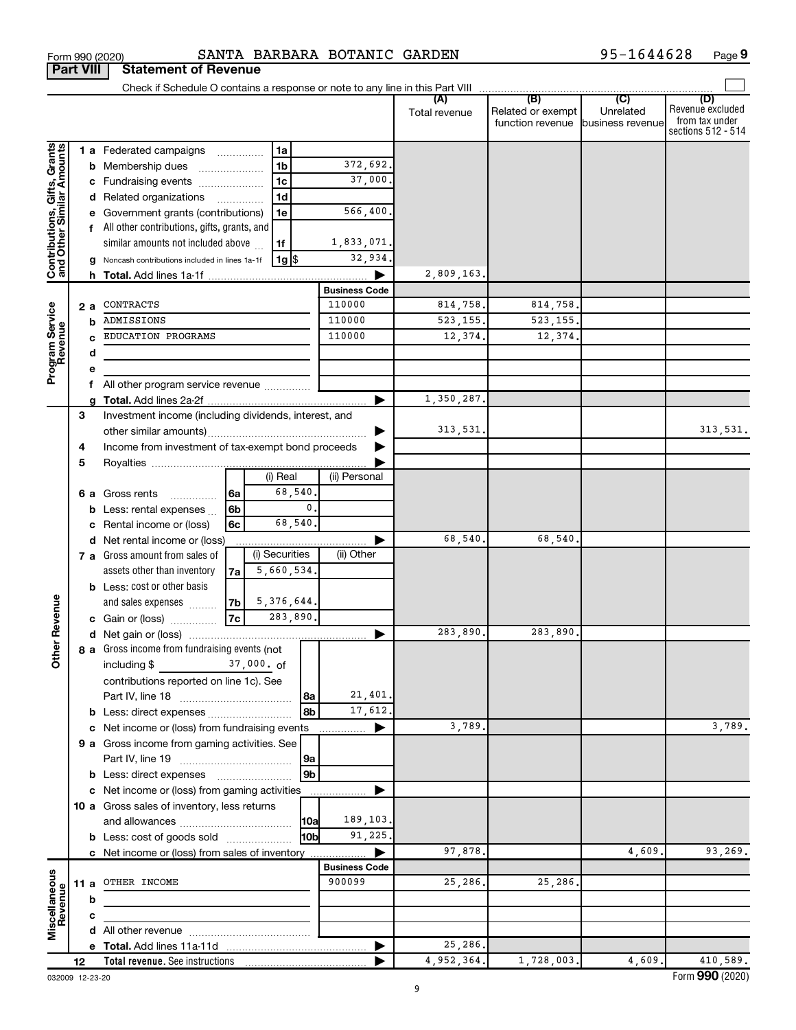|                                                           |    |      |                                                       |      |                   |                |                      | (A)<br>Total revenue | (B)<br>Related or exempt<br>function revenue business revenue | (C)<br>Unrelated | Revenue excluded<br>from tax under<br>sections 512 - 514 |
|-----------------------------------------------------------|----|------|-------------------------------------------------------|------|-------------------|----------------|----------------------|----------------------|---------------------------------------------------------------|------------------|----------------------------------------------------------|
|                                                           |    |      | <b>1 a</b> Federated campaigns                        |      | 1a                |                |                      |                      |                                                               |                  |                                                          |
|                                                           |    |      | <b>b</b> Membership dues                              |      | 1 <sub>b</sub>    |                | 372,692.             |                      |                                                               |                  |                                                          |
|                                                           |    |      | c Fundraising events                                  |      | 1 <sub>c</sub>    |                | 37,000               |                      |                                                               |                  |                                                          |
|                                                           |    |      | d Related organizations                               |      | 1 <sub>d</sub>    |                |                      |                      |                                                               |                  |                                                          |
|                                                           |    |      | e Government grants (contributions)                   |      | 1e                |                | 566,400              |                      |                                                               |                  |                                                          |
|                                                           |    |      | f All other contributions, gifts, grants, and         |      |                   |                |                      |                      |                                                               |                  |                                                          |
|                                                           |    |      | similar amounts not included above                    |      | 1f                |                | 1,833,071.           |                      |                                                               |                  |                                                          |
|                                                           |    |      | g Noncash contributions included in lines 1a-1f       |      | 1g  \$            |                | 32,934.              |                      |                                                               |                  |                                                          |
| Contributions, Gifts, Grants<br>and Other Similar Amounts |    |      |                                                       |      |                   |                |                      | 2,809,163.           |                                                               |                  |                                                          |
|                                                           |    |      |                                                       |      |                   |                | <b>Business Code</b> |                      |                                                               |                  |                                                          |
|                                                           |    | 2a   | CONTRACTS                                             |      |                   |                | 110000               | 814,758.             | 814,758.                                                      |                  |                                                          |
| Program Service<br>Revenue                                |    |      | ADMISSIONS                                            |      |                   |                | 110000               | 523, 155.            | 523, 155.                                                     |                  |                                                          |
|                                                           |    |      | EDUCATION PROGRAMS                                    |      |                   |                | 110000               | 12,374.              | 12,374.                                                       |                  |                                                          |
|                                                           |    | d    |                                                       |      |                   |                |                      |                      |                                                               |                  |                                                          |
|                                                           |    |      |                                                       |      |                   |                |                      |                      |                                                               |                  |                                                          |
|                                                           |    |      | All other program service revenue                     |      |                   |                |                      |                      |                                                               |                  |                                                          |
|                                                           |    |      |                                                       |      |                   |                |                      | 1,350,287.           |                                                               |                  |                                                          |
|                                                           | 3  |      | Investment income (including dividends, interest, and |      |                   |                |                      |                      |                                                               |                  |                                                          |
|                                                           |    |      |                                                       |      |                   |                |                      | 313,531.             |                                                               |                  | 313,531.                                                 |
|                                                           | 4  |      | Income from investment of tax-exempt bond proceeds    |      |                   |                |                      |                      |                                                               |                  |                                                          |
|                                                           | 5  |      |                                                       |      |                   |                |                      |                      |                                                               |                  |                                                          |
|                                                           |    |      |                                                       |      | (i) Real          |                | (ii) Personal        |                      |                                                               |                  |                                                          |
|                                                           |    |      | 6 a Gross rents<br>.                                  | 6a   | 68,540.           |                |                      |                      |                                                               |                  |                                                          |
|                                                           |    |      | <b>b</b> Less: rental expenses $\ldots$               | 6b   |                   | $\mathbf{0}$ . |                      |                      |                                                               |                  |                                                          |
|                                                           |    |      | c Rental income or (loss)                             | 6c   | 68,540.           |                |                      |                      |                                                               |                  |                                                          |
|                                                           |    |      | d Net rental income or (loss)                         |      |                   |                |                      | 68,540.              | 68,540.                                                       |                  |                                                          |
|                                                           |    |      | 7 a Gross amount from sales of                        |      | (i) Securities    |                | (ii) Other           |                      |                                                               |                  |                                                          |
|                                                           |    |      | assets other than inventory                           | 7a l | 5,660,534.        |                |                      |                      |                                                               |                  |                                                          |
|                                                           |    |      | <b>b</b> Less: cost or other basis                    |      |                   |                |                      |                      |                                                               |                  |                                                          |
|                                                           |    |      | and sales expenses                                    |      | $ 7b $ 5,376,644. |                |                      |                      |                                                               |                  |                                                          |
| ther Revenue                                              |    |      | c Gain or (loss)                                      | 7c   | 283,890.          |                |                      |                      |                                                               |                  |                                                          |
|                                                           |    |      |                                                       |      |                   |                |                      | 283,890.             | 283,890.                                                      |                  |                                                          |
|                                                           |    |      | 8 a Gross income from fundraising events (not         |      |                   |                |                      |                      |                                                               |                  |                                                          |
| Ò                                                         |    |      | including \$                                          |      | $37,000.$ of      |                |                      |                      |                                                               |                  |                                                          |
|                                                           |    |      | contributions reported on line 1c). See               |      |                   |                |                      |                      |                                                               |                  |                                                          |
|                                                           |    |      |                                                       |      |                   | 8a             | 21,401.              |                      |                                                               |                  |                                                          |
|                                                           |    |      | <b>b</b> Less: direct expenses <b>contained b</b>     |      |                   | 8b             | 17,612.              |                      |                                                               |                  |                                                          |
|                                                           |    |      | c Net income or (loss) from fundraising events        |      |                   |                | ▶                    | 3,789.               |                                                               |                  | 3,789.                                                   |
|                                                           |    |      | 9 a Gross income from gaming activities. See          |      |                   |                |                      |                      |                                                               |                  |                                                          |
|                                                           |    |      |                                                       |      |                   | 9a             |                      |                      |                                                               |                  |                                                          |
|                                                           |    |      | <b>b</b> Less: direct expenses <b>manually</b>        |      |                   | 9 <sub>b</sub> |                      |                      |                                                               |                  |                                                          |
|                                                           |    |      | c Net income or (loss) from gaming activities         |      |                   |                | ▶                    |                      |                                                               |                  |                                                          |
|                                                           |    |      | 10 a Gross sales of inventory, less returns           |      |                   |                |                      |                      |                                                               |                  |                                                          |
|                                                           |    |      |                                                       |      |                   | 10a            | 189,103.             |                      |                                                               |                  |                                                          |
|                                                           |    |      | <b>b</b> Less: cost of goods sold                     |      |                   | l10b           | 91,225.              |                      |                                                               |                  |                                                          |
|                                                           |    |      | c Net income or (loss) from sales of inventory        |      |                   |                |                      | 97,878.              |                                                               | 4,609            | 93,269.                                                  |
|                                                           |    |      |                                                       |      |                   |                | <b>Business Code</b> |                      |                                                               |                  |                                                          |
| Miscellaneous<br>Revenue                                  |    | 11 a | OTHER INCOME                                          |      |                   |                | 900099               | 25,286.              | 25,286.                                                       |                  |                                                          |
|                                                           |    | b    |                                                       |      |                   |                |                      |                      |                                                               |                  |                                                          |
|                                                           |    | c    |                                                       |      |                   |                |                      |                      |                                                               |                  |                                                          |
|                                                           |    |      |                                                       |      |                   |                |                      |                      |                                                               |                  |                                                          |
|                                                           |    |      |                                                       |      |                   |                |                      | 25,286.              |                                                               |                  |                                                          |
|                                                           | 12 |      | Total revenue. See instructions                       |      |                   |                |                      | 4,952,364.           | 1,728,003.                                                    | 4,609            | 410,589.                                                 |

032009 12-23-20

| Form 990 (2020) |                                       | SANTA B |  |
|-----------------|---------------------------------------|---------|--|
|                 | <b>Part VIII Statement of Revenue</b> |         |  |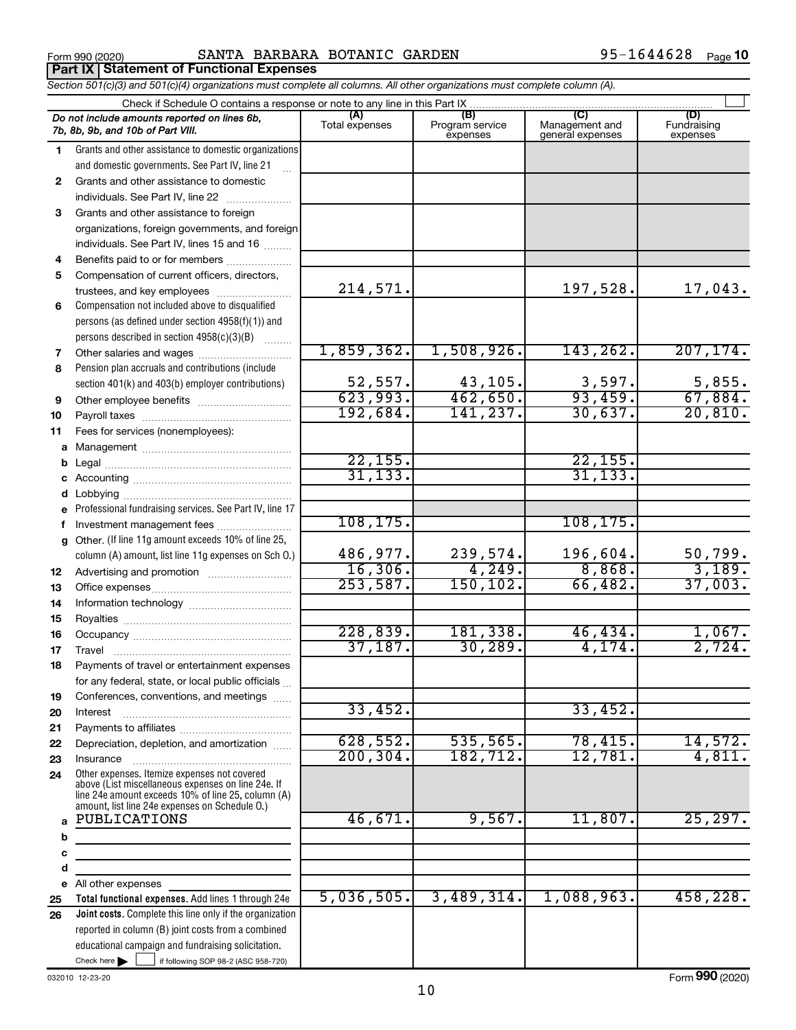Form 990 (2020) Page SANTA BARBARA BOTANIC GARDEN 95-1644628 **Part IX Statement of Functional Expenses**

*Section 501(c)(3) and 501(c)(4) organizations must complete all columns. All other organizations must complete column (A).*

|              | Check if Schedule O contains a response or note to any line in this Part IX                                                                                                                                |                       |                                    |                                           |                                |
|--------------|------------------------------------------------------------------------------------------------------------------------------------------------------------------------------------------------------------|-----------------------|------------------------------------|-------------------------------------------|--------------------------------|
|              | Do not include amounts reported on lines 6b,<br>7b, 8b, 9b, and 10b of Part VIII.                                                                                                                          | (A)<br>Total expenses | (B)<br>Program service<br>expenses | (C)<br>Management and<br>general expenses | (D)<br>Fundraising<br>expenses |
| 1.           | Grants and other assistance to domestic organizations                                                                                                                                                      |                       |                                    |                                           |                                |
|              | and domestic governments. See Part IV, line 21                                                                                                                                                             |                       |                                    |                                           |                                |
| $\mathbf{2}$ | Grants and other assistance to domestic                                                                                                                                                                    |                       |                                    |                                           |                                |
|              | individuals. See Part IV, line 22                                                                                                                                                                          |                       |                                    |                                           |                                |
| 3            | Grants and other assistance to foreign                                                                                                                                                                     |                       |                                    |                                           |                                |
|              | organizations, foreign governments, and foreign                                                                                                                                                            |                       |                                    |                                           |                                |
|              | individuals. See Part IV, lines 15 and 16                                                                                                                                                                  |                       |                                    |                                           |                                |
| 4            | Benefits paid to or for members                                                                                                                                                                            |                       |                                    |                                           |                                |
| 5            | Compensation of current officers, directors,                                                                                                                                                               |                       |                                    |                                           |                                |
|              | trustees, and key employees                                                                                                                                                                                | 214,571.              |                                    | 197,528.                                  | 17,043.                        |
| 6            | Compensation not included above to disqualified                                                                                                                                                            |                       |                                    |                                           |                                |
|              | persons (as defined under section 4958(f)(1)) and                                                                                                                                                          |                       |                                    |                                           |                                |
|              | persons described in section 4958(c)(3)(B)                                                                                                                                                                 |                       |                                    |                                           |                                |
| 7            |                                                                                                                                                                                                            | 1,859,362.            | 1,508,926.                         | 143, 262.                                 | 207, 174.                      |
| 8            | Pension plan accruals and contributions (include                                                                                                                                                           |                       |                                    |                                           |                                |
|              | section 401(k) and 403(b) employer contributions)                                                                                                                                                          | 52,557.               | 43,105.                            | 3,597.                                    | 5,855.                         |
| 9            | Other employee benefits                                                                                                                                                                                    | 623,993.              | 462,650.                           | 93,459.                                   | 67,884.                        |
| 10           |                                                                                                                                                                                                            | 192,684.              | 141,237.                           | 30,637.                                   | 20,810.                        |
| 11           | Fees for services (nonemployees):                                                                                                                                                                          |                       |                                    |                                           |                                |
|              |                                                                                                                                                                                                            |                       |                                    |                                           |                                |
|              |                                                                                                                                                                                                            | 22, 155.              |                                    | 22, 155.                                  |                                |
|              |                                                                                                                                                                                                            | 31, 133.              |                                    | 31, 133.                                  |                                |
|              |                                                                                                                                                                                                            |                       |                                    |                                           |                                |
| е            | Professional fundraising services. See Part IV, line 17                                                                                                                                                    |                       |                                    |                                           |                                |
| f            | Investment management fees                                                                                                                                                                                 | 108, 175.             |                                    | 108, 175.                                 |                                |
|              | g Other. (If line 11g amount exceeds 10% of line 25,                                                                                                                                                       |                       |                                    |                                           |                                |
|              | column (A) amount, list line 11g expenses on Sch O.)                                                                                                                                                       | 486,977.              | 239,574.                           | 196,604.                                  | 50,799.                        |
| 12           |                                                                                                                                                                                                            | 16, 306.              | 4,249.                             | 8,868.                                    | 3,189.                         |
| 13           |                                                                                                                                                                                                            | 253,587.              | 150, 102.                          | 66,482.                                   | 37,003.                        |
| 14           |                                                                                                                                                                                                            |                       |                                    |                                           |                                |
| 15           |                                                                                                                                                                                                            |                       |                                    |                                           |                                |
| 16           |                                                                                                                                                                                                            | 228,839.              | 181,338.                           | 46, 434.                                  | 1,067.                         |
| 17           |                                                                                                                                                                                                            | 37,187.               | 30, 289.                           | 4,174.                                    | 2,724.                         |
| 18           | Payments of travel or entertainment expenses                                                                                                                                                               |                       |                                    |                                           |                                |
|              | for any federal, state, or local public officials                                                                                                                                                          |                       |                                    |                                           |                                |
| 19           | Conferences, conventions, and meetings                                                                                                                                                                     |                       |                                    |                                           |                                |
| 20           | Interest                                                                                                                                                                                                   | 33,452.               |                                    | 33,452.                                   |                                |
| 21           |                                                                                                                                                                                                            |                       |                                    |                                           |                                |
| 22           | Depreciation, depletion, and amortization                                                                                                                                                                  | 628,552.              | 535,565.                           | 78,415.                                   | 14,572.                        |
| 23           | Insurance                                                                                                                                                                                                  | 200, 304.             | 182,712.                           | 12,781.                                   | 4,811.                         |
| 24           | Other expenses. Itemize expenses not covered<br>above (List miscellaneous expenses on line 24e. If<br>line 24e amount exceeds 10% of line 25, column (A)<br>amount, list line 24e expenses on Schedule O.) |                       |                                    |                                           |                                |
| a            | PUBLICATIONS                                                                                                                                                                                               | 46,671.               | 9,567.                             | 11,807.                                   | 25, 297.                       |
| b            |                                                                                                                                                                                                            |                       |                                    |                                           |                                |
| c            |                                                                                                                                                                                                            |                       |                                    |                                           |                                |
| d            |                                                                                                                                                                                                            |                       |                                    |                                           |                                |
|              | e All other expenses                                                                                                                                                                                       |                       |                                    |                                           |                                |
| 25           | Total functional expenses. Add lines 1 through 24e                                                                                                                                                         | 5,036,505.            | 3,489,314.                         | 1,088,963.                                | 458, 228.                      |
| 26           | Joint costs. Complete this line only if the organization                                                                                                                                                   |                       |                                    |                                           |                                |
|              | reported in column (B) joint costs from a combined                                                                                                                                                         |                       |                                    |                                           |                                |
|              | educational campaign and fundraising solicitation.                                                                                                                                                         |                       |                                    |                                           |                                |
|              | Check here $\blacktriangleright$<br>if following SOP 98-2 (ASC 958-720)                                                                                                                                    |                       |                                    |                                           |                                |

032010 12-23-20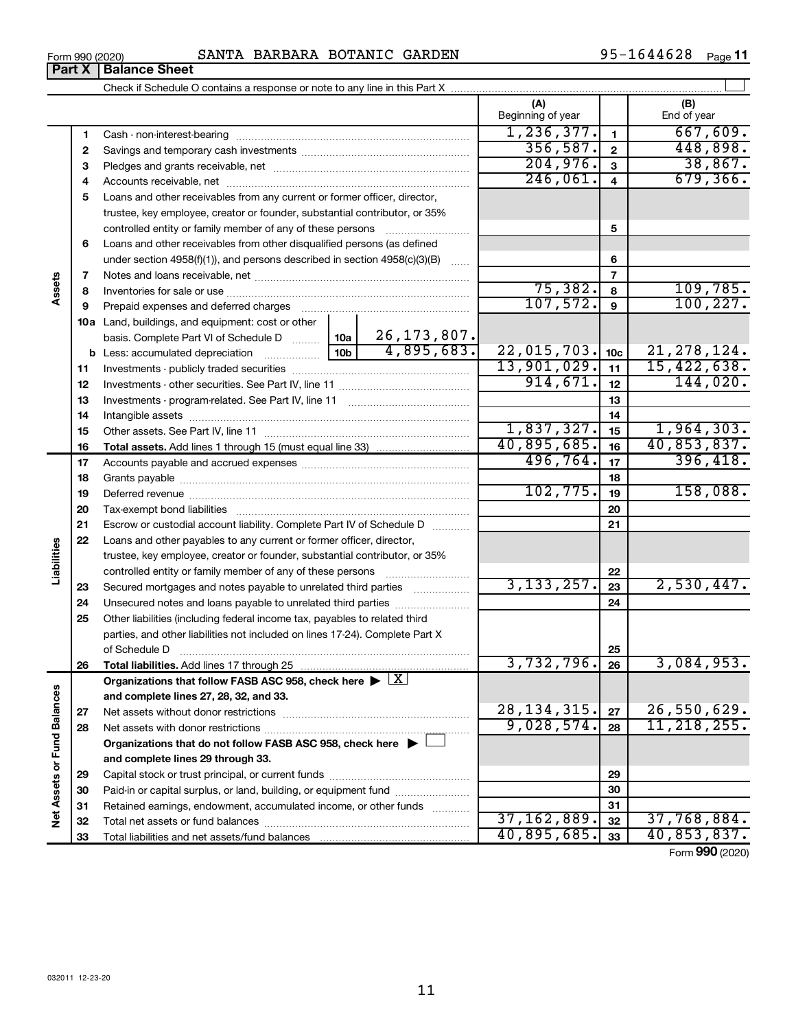## Form 990 (2020) Page SANTA BARBARA BOTANIC GARDEN 95-1644628

95-1644628 Page 11

|                             | Form 990 (2020)<br><b>Part X</b> | SANIA BARBARA BUIANIC GARDEN<br><b>Balance Sheet</b>                                                                                                                                                                          |                          |                 | <b>JJ-I044040</b><br>Page II |
|-----------------------------|----------------------------------|-------------------------------------------------------------------------------------------------------------------------------------------------------------------------------------------------------------------------------|--------------------------|-----------------|------------------------------|
|                             |                                  |                                                                                                                                                                                                                               |                          |                 |                              |
|                             |                                  |                                                                                                                                                                                                                               | (A)<br>Beginning of year |                 | (B)<br>End of year           |
|                             |                                  |                                                                                                                                                                                                                               | 1, 236, 377.             |                 | 667,609.                     |
|                             | 1                                |                                                                                                                                                                                                                               | 356, 587.                | $\mathbf{1}$    | 448,898.                     |
|                             | $\mathbf{2}$                     |                                                                                                                                                                                                                               | 204,976.                 | $\mathbf{2}$    | 38,867.                      |
|                             | 3                                |                                                                                                                                                                                                                               | 246,061.                 | 3               | 679, 366.                    |
|                             | 4                                |                                                                                                                                                                                                                               |                          | $\overline{4}$  |                              |
|                             | 5                                | Loans and other receivables from any current or former officer, director,                                                                                                                                                     |                          |                 |                              |
|                             |                                  | trustee, key employee, creator or founder, substantial contributor, or 35%                                                                                                                                                    |                          |                 |                              |
|                             |                                  | controlled entity or family member of any of these persons                                                                                                                                                                    |                          | 5               |                              |
|                             | 6                                | Loans and other receivables from other disqualified persons (as defined                                                                                                                                                       |                          |                 |                              |
|                             |                                  | under section 4958(f)(1)), and persons described in section 4958(c)(3)(B)                                                                                                                                                     |                          | 6               |                              |
| Assets                      | 7                                |                                                                                                                                                                                                                               |                          | $\overline{7}$  |                              |
|                             | 8                                |                                                                                                                                                                                                                               | 75,382.                  | 8               | 109,785.                     |
|                             | 9                                | Prepaid expenses and deferred charges                                                                                                                                                                                         | 107,572.                 | 9               | 100, 227.                    |
|                             |                                  | 10a Land, buildings, and equipment: cost or other                                                                                                                                                                             |                          |                 |                              |
|                             |                                  | 26, 173, 807.<br>basis. Complete Part VI of Schedule D  10a                                                                                                                                                                   |                          |                 |                              |
|                             |                                  | 4,895,683.                                                                                                                                                                                                                    | 22,015,703.              | 10 <sub>c</sub> | 21, 278, 124.                |
|                             | 11                               |                                                                                                                                                                                                                               | 13,901,029.              | 11              | 15,422,638.                  |
|                             | 12                               |                                                                                                                                                                                                                               | 914,671.                 | 12              | 144,020.                     |
|                             | 13                               |                                                                                                                                                                                                                               |                          | 13              |                              |
|                             | 14                               |                                                                                                                                                                                                                               |                          | 14              |                              |
|                             | 15                               |                                                                                                                                                                                                                               | 1,837,327.               | 15              | 1,964,303.                   |
|                             | 16                               |                                                                                                                                                                                                                               | 40,895,685.              | 16              | 40,853,837.                  |
|                             | 17                               |                                                                                                                                                                                                                               | 496, 764.                | 17              | 396,418.                     |
|                             | 18                               |                                                                                                                                                                                                                               |                          | 18              |                              |
|                             | 19                               | Deferred revenue manual contracts and contracts are all the manual contracts and contracts are all the contracts of the contracts of the contracts of the contracts of the contracts of the contracts of the contracts of the | 102, 775.                | 19              | 158,088.                     |
|                             | 20                               |                                                                                                                                                                                                                               |                          | 20              |                              |
|                             | 21                               | Escrow or custodial account liability. Complete Part IV of Schedule D                                                                                                                                                         |                          | 21              |                              |
|                             | 22                               | Loans and other payables to any current or former officer, director,                                                                                                                                                          |                          |                 |                              |
|                             |                                  | trustee, key employee, creator or founder, substantial contributor, or 35%                                                                                                                                                    |                          |                 |                              |
| Liabilities                 |                                  | controlled entity or family member of any of these persons                                                                                                                                                                    |                          | 22              |                              |
|                             | 23                               | Secured mortgages and notes payable to unrelated third parties <i>manumum</i>                                                                                                                                                 | 3, 133, 257.             | 23              | 2,530,447.                   |
|                             | 24                               | Unsecured notes and loans payable to unrelated third parties                                                                                                                                                                  |                          | 24              |                              |
|                             | 25                               | Other liabilities (including federal income tax, payables to related third                                                                                                                                                    |                          |                 |                              |
|                             |                                  | parties, and other liabilities not included on lines 17-24). Complete Part X                                                                                                                                                  |                          |                 |                              |
|                             |                                  | of Schedule D                                                                                                                                                                                                                 |                          | 25              |                              |
|                             | 26                               | Total liabilities. Add lines 17 through 25                                                                                                                                                                                    | 3,732,796.               | 26              | 3,084,953.                   |
|                             |                                  | Organizations that follow FASB ASC 958, check here $\blacktriangleright \lfloor \underline{X} \rfloor$                                                                                                                        |                          |                 |                              |
|                             |                                  | and complete lines 27, 28, 32, and 33.                                                                                                                                                                                        |                          |                 |                              |
|                             | 27                               | Net assets without donor restrictions                                                                                                                                                                                         | 28, 134, 315.            | 27              | 26,550,629.                  |
| Net Assets or Fund Balances | 28                               |                                                                                                                                                                                                                               | 9,028,574.               | 28              | 11, 218, 255.                |
|                             |                                  | Organizations that do not follow FASB ASC 958, check here $\blacktriangleright$                                                                                                                                               |                          |                 |                              |
|                             |                                  | and complete lines 29 through 33.                                                                                                                                                                                             |                          |                 |                              |
|                             | 29                               |                                                                                                                                                                                                                               |                          | 29              |                              |
|                             | 30                               | Paid-in or capital surplus, or land, building, or equipment fund                                                                                                                                                              |                          | 30              |                              |
|                             | 31                               | Retained earnings, endowment, accumulated income, or other funds                                                                                                                                                              |                          | 31              |                              |
|                             | 32                               |                                                                                                                                                                                                                               | 37,162,889.              | 32              | 37,768,884.                  |
|                             | 33                               |                                                                                                                                                                                                                               | 40,895,685.              | 33              | 40,853,837.                  |

Form (2020) **990**

| Form 990 (2020) |
|-----------------|
|-----------------|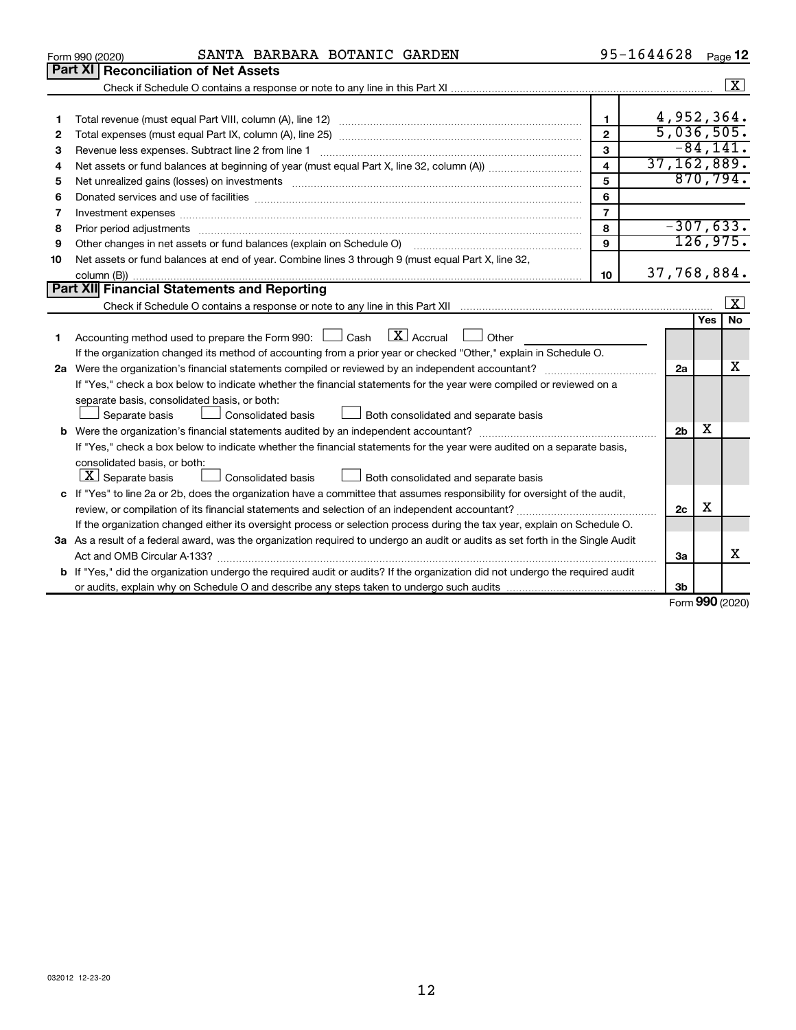|    | SANTA BARBARA BOTANIC GARDEN<br>Form 990 (2020)                                                                                      |                         | 95-1644628     |              | Page 12      |  |  |
|----|--------------------------------------------------------------------------------------------------------------------------------------|-------------------------|----------------|--------------|--------------|--|--|
|    | <b>Part XI</b><br><b>Reconciliation of Net Assets</b>                                                                                |                         |                |              |              |  |  |
|    |                                                                                                                                      |                         |                |              | $\sqrt{X}$   |  |  |
|    |                                                                                                                                      |                         |                |              |              |  |  |
| 1  |                                                                                                                                      | $\mathbf{1}$            | 4,952,364.     |              |              |  |  |
| 2  |                                                                                                                                      | $\mathbf{2}$            | 5,036,505.     |              |              |  |  |
| З  | Revenue less expenses. Subtract line 2 from line 1                                                                                   | 3                       |                |              | $-84,141.$   |  |  |
| 4  |                                                                                                                                      | $\overline{\mathbf{4}}$ | 37, 162, 889.  |              |              |  |  |
| 5  |                                                                                                                                      | 5                       |                |              | 870,794.     |  |  |
| 6  |                                                                                                                                      | 6                       |                |              |              |  |  |
| 7  | Investment expenses www.communication.com/www.communication.com/www.communication.com/www.com                                        | $\overline{7}$          |                |              |              |  |  |
| 8  |                                                                                                                                      | 8                       | $-307,633.$    |              |              |  |  |
| 9  | Other changes in net assets or fund balances (explain on Schedule O)                                                                 | 9                       |                |              | 126,975.     |  |  |
| 10 | Net assets or fund balances at end of year. Combine lines 3 through 9 (must equal Part X, line 32,                                   |                         |                |              |              |  |  |
|    |                                                                                                                                      | 10                      | 37,768,884.    |              |              |  |  |
|    | <b>Part XII Financial Statements and Reporting</b>                                                                                   |                         |                |              |              |  |  |
|    |                                                                                                                                      |                         |                |              | $\mathbf{X}$ |  |  |
|    |                                                                                                                                      |                         |                | Yes          | <b>No</b>    |  |  |
| 1. | $\lfloor \mathbf{X} \rfloor$ Accrual<br>Accounting method used to prepare the Form 990: [130] Cash<br>Other                          |                         |                |              |              |  |  |
|    | If the organization changed its method of accounting from a prior year or checked "Other," explain in Schedule O.                    |                         |                |              |              |  |  |
|    |                                                                                                                                      |                         | 2a             |              | x            |  |  |
|    | If "Yes," check a box below to indicate whether the financial statements for the year were compiled or reviewed on a                 |                         |                |              |              |  |  |
|    | separate basis, consolidated basis, or both:                                                                                         |                         |                |              |              |  |  |
|    | Both consolidated and separate basis<br>Separate basis<br>Consolidated basis                                                         |                         |                |              |              |  |  |
|    |                                                                                                                                      |                         | 2 <sub>b</sub> | x            |              |  |  |
|    | If "Yes," check a box below to indicate whether the financial statements for the year were audited on a separate basis,              |                         |                |              |              |  |  |
|    | consolidated basis, or both:                                                                                                         |                         |                |              |              |  |  |
|    | $ \mathbf{X} $ Separate basis<br>Consolidated basis<br>Both consolidated and separate basis                                          |                         |                |              |              |  |  |
|    | c If "Yes" to line 2a or 2b, does the organization have a committee that assumes responsibility for oversight of the audit,          |                         |                |              |              |  |  |
|    |                                                                                                                                      |                         | 2c             | х            |              |  |  |
|    | If the organization changed either its oversight process or selection process during the tax year, explain on Schedule O.            |                         |                |              |              |  |  |
|    | 3a As a result of a federal award, was the organization required to undergo an audit or audits as set forth in the Single Audit      |                         |                |              |              |  |  |
|    |                                                                                                                                      |                         | За             |              | x            |  |  |
|    | <b>b</b> If "Yes," did the organization undergo the required audit or audits? If the organization did not undergo the required audit |                         |                |              |              |  |  |
|    |                                                                                                                                      |                         | 3b             | $000 \text{$ |              |  |  |

Form (2020) **990**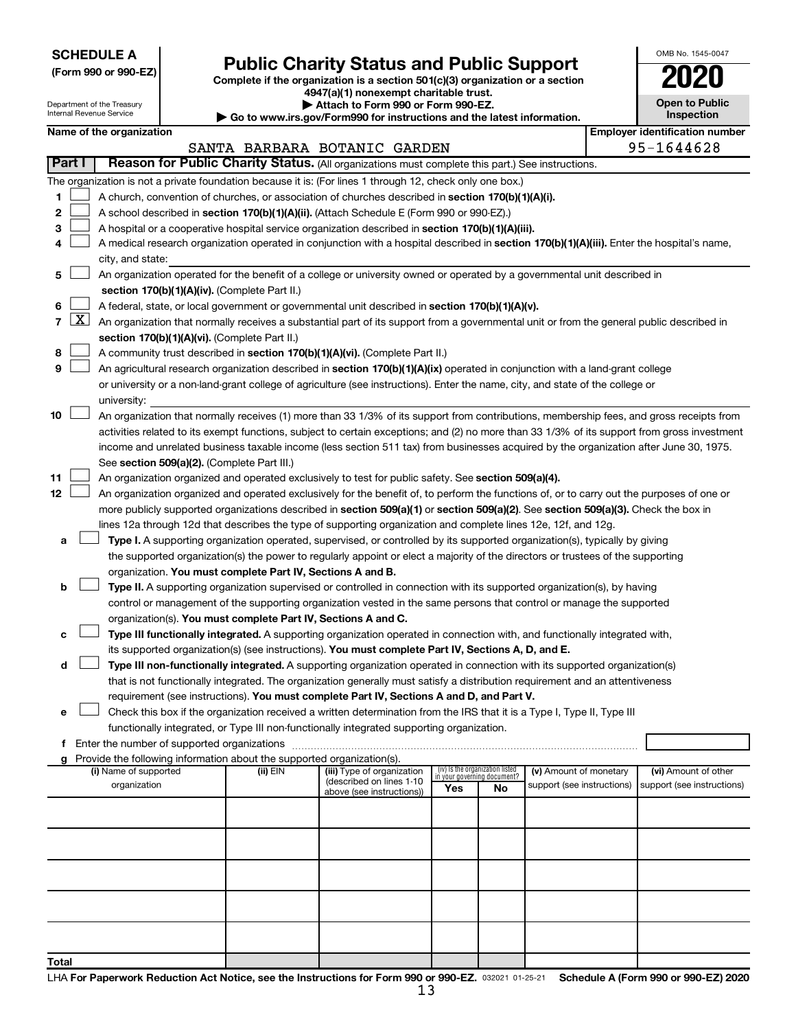**SCHEDULE A**

Department of the Treasury Internal Revenue Service

# Form 990 or 990-EZ) **Public Charity Status and Public Support**<br>
Complete if the organization is a section 501(c)(3) organization or a section<br> **2020**

**4947(a)(1) nonexempt charitable trust. | Attach to Form 990 or Form 990-EZ.** 

**| Go to www.irs.gov/Form990 for instructions and the latest information.**

| <b>Open to Public</b><br>Inspection |
|-------------------------------------|

OMB No. 1545-0047

 $\mathbf I$ 

|                | Name of the organization<br><b>Employer identification number</b><br>SANTA BARBARA BOTANIC GARDEN                                |                                                                                                                                               |          |                            |                                    |    |                            |  |                            |  |  |  |  |
|----------------|----------------------------------------------------------------------------------------------------------------------------------|-----------------------------------------------------------------------------------------------------------------------------------------------|----------|----------------------------|------------------------------------|----|----------------------------|--|----------------------------|--|--|--|--|
|                |                                                                                                                                  |                                                                                                                                               |          |                            |                                    |    |                            |  | 95-1644628                 |  |  |  |  |
|                | Part I                                                                                                                           | Reason for Public Charity Status. (All organizations must complete this part.) See instructions.                                              |          |                            |                                    |    |                            |  |                            |  |  |  |  |
|                |                                                                                                                                  | The organization is not a private foundation because it is: (For lines 1 through 12, check only one box.)                                     |          |                            |                                    |    |                            |  |                            |  |  |  |  |
| 1              |                                                                                                                                  | A church, convention of churches, or association of churches described in section 170(b)(1)(A)(i).                                            |          |                            |                                    |    |                            |  |                            |  |  |  |  |
| 2              |                                                                                                                                  | A school described in section 170(b)(1)(A)(ii). (Attach Schedule E (Form 990 or 990-EZ).)                                                     |          |                            |                                    |    |                            |  |                            |  |  |  |  |
| 3              |                                                                                                                                  | A hospital or a cooperative hospital service organization described in section 170(b)(1)(A)(iii).                                             |          |                            |                                    |    |                            |  |                            |  |  |  |  |
| 4              |                                                                                                                                  | A medical research organization operated in conjunction with a hospital described in section 170(b)(1)(A)(iii). Enter the hospital's name,    |          |                            |                                    |    |                            |  |                            |  |  |  |  |
|                |                                                                                                                                  | city, and state:                                                                                                                              |          |                            |                                    |    |                            |  |                            |  |  |  |  |
| 5              |                                                                                                                                  | An organization operated for the benefit of a college or university owned or operated by a governmental unit described in                     |          |                            |                                    |    |                            |  |                            |  |  |  |  |
|                |                                                                                                                                  | section 170(b)(1)(A)(iv). (Complete Part II.)                                                                                                 |          |                            |                                    |    |                            |  |                            |  |  |  |  |
| 6              |                                                                                                                                  | A federal, state, or local government or governmental unit described in section 170(b)(1)(A)(v).                                              |          |                            |                                    |    |                            |  |                            |  |  |  |  |
| $\overline{7}$ |                                                                                                                                  | $X$ An organization that normally receives a substantial part of its support from a governmental unit or from the general public described in |          |                            |                                    |    |                            |  |                            |  |  |  |  |
|                |                                                                                                                                  | section 170(b)(1)(A)(vi). (Complete Part II.)                                                                                                 |          |                            |                                    |    |                            |  |                            |  |  |  |  |
| 8              |                                                                                                                                  | A community trust described in section 170(b)(1)(A)(vi). (Complete Part II.)                                                                  |          |                            |                                    |    |                            |  |                            |  |  |  |  |
| 9              |                                                                                                                                  | An agricultural research organization described in section 170(b)(1)(A)(ix) operated in conjunction with a land-grant college                 |          |                            |                                    |    |                            |  |                            |  |  |  |  |
|                |                                                                                                                                  | or university or a non-land-grant college of agriculture (see instructions). Enter the name, city, and state of the college or                |          |                            |                                    |    |                            |  |                            |  |  |  |  |
|                |                                                                                                                                  | university:                                                                                                                                   |          |                            |                                    |    |                            |  |                            |  |  |  |  |
| 10             |                                                                                                                                  | An organization that normally receives (1) more than 33 1/3% of its support from contributions, membership fees, and gross receipts from      |          |                            |                                    |    |                            |  |                            |  |  |  |  |
|                |                                                                                                                                  | activities related to its exempt functions, subject to certain exceptions; and (2) no more than 33 1/3% of its support from gross investment  |          |                            |                                    |    |                            |  |                            |  |  |  |  |
|                |                                                                                                                                  | income and unrelated business taxable income (less section 511 tax) from businesses acquired by the organization after June 30, 1975.         |          |                            |                                    |    |                            |  |                            |  |  |  |  |
|                |                                                                                                                                  | See section 509(a)(2). (Complete Part III.)                                                                                                   |          |                            |                                    |    |                            |  |                            |  |  |  |  |
| 11             |                                                                                                                                  | An organization organized and operated exclusively to test for public safety. See section 509(a)(4).                                          |          |                            |                                    |    |                            |  |                            |  |  |  |  |
| 12             |                                                                                                                                  | An organization organized and operated exclusively for the benefit of, to perform the functions of, or to carry out the purposes of one or    |          |                            |                                    |    |                            |  |                            |  |  |  |  |
|                |                                                                                                                                  | more publicly supported organizations described in section 509(a)(1) or section 509(a)(2). See section 509(a)(3). Check the box in            |          |                            |                                    |    |                            |  |                            |  |  |  |  |
|                |                                                                                                                                  | lines 12a through 12d that describes the type of supporting organization and complete lines 12e, 12f, and 12g.                                |          |                            |                                    |    |                            |  |                            |  |  |  |  |
|                | Type I. A supporting organization operated, supervised, or controlled by its supported organization(s), typically by giving<br>а |                                                                                                                                               |          |                            |                                    |    |                            |  |                            |  |  |  |  |
|                | the supported organization(s) the power to regularly appoint or elect a majority of the directors or trustees of the supporting  |                                                                                                                                               |          |                            |                                    |    |                            |  |                            |  |  |  |  |
|                |                                                                                                                                  | organization. You must complete Part IV, Sections A and B.                                                                                    |          |                            |                                    |    |                            |  |                            |  |  |  |  |
| b              |                                                                                                                                  | Type II. A supporting organization supervised or controlled in connection with its supported organization(s), by having                       |          |                            |                                    |    |                            |  |                            |  |  |  |  |
|                |                                                                                                                                  | control or management of the supporting organization vested in the same persons that control or manage the supported                          |          |                            |                                    |    |                            |  |                            |  |  |  |  |
|                |                                                                                                                                  | organization(s). You must complete Part IV, Sections A and C.                                                                                 |          |                            |                                    |    |                            |  |                            |  |  |  |  |
| с              |                                                                                                                                  | Type III functionally integrated. A supporting organization operated in connection with, and functionally integrated with,                    |          |                            |                                    |    |                            |  |                            |  |  |  |  |
|                |                                                                                                                                  | its supported organization(s) (see instructions). You must complete Part IV, Sections A, D, and E.                                            |          |                            |                                    |    |                            |  |                            |  |  |  |  |
| d              |                                                                                                                                  | Type III non-functionally integrated. A supporting organization operated in connection with its supported organization(s)                     |          |                            |                                    |    |                            |  |                            |  |  |  |  |
|                |                                                                                                                                  | that is not functionally integrated. The organization generally must satisfy a distribution requirement and an attentiveness                  |          |                            |                                    |    |                            |  |                            |  |  |  |  |
|                |                                                                                                                                  | requirement (see instructions). You must complete Part IV, Sections A and D, and Part V.                                                      |          |                            |                                    |    |                            |  |                            |  |  |  |  |
|                |                                                                                                                                  | Check this box if the organization received a written determination from the IRS that it is a Type I, Type II, Type III                       |          |                            |                                    |    |                            |  |                            |  |  |  |  |
|                |                                                                                                                                  | functionally integrated, or Type III non-functionally integrated supporting organization.                                                     |          |                            |                                    |    |                            |  |                            |  |  |  |  |
| f.             |                                                                                                                                  | Enter the number of supported organizations                                                                                                   |          |                            |                                    |    |                            |  |                            |  |  |  |  |
|                |                                                                                                                                  | g Provide the following information about the supported organization(s).<br>(i) Name of supported                                             | (ii) EIN | (iii) Type of organization | (iv) Is the organization listed    |    | (v) Amount of monetary     |  | (vi) Amount of other       |  |  |  |  |
|                |                                                                                                                                  | organization                                                                                                                                  |          | (described on lines 1-10   | in your governing document?<br>Yes | No | support (see instructions) |  | support (see instructions) |  |  |  |  |
|                |                                                                                                                                  |                                                                                                                                               |          | above (see instructions))  |                                    |    |                            |  |                            |  |  |  |  |
|                |                                                                                                                                  |                                                                                                                                               |          |                            |                                    |    |                            |  |                            |  |  |  |  |
|                |                                                                                                                                  |                                                                                                                                               |          |                            |                                    |    |                            |  |                            |  |  |  |  |
|                |                                                                                                                                  |                                                                                                                                               |          |                            |                                    |    |                            |  |                            |  |  |  |  |
|                |                                                                                                                                  |                                                                                                                                               |          |                            |                                    |    |                            |  |                            |  |  |  |  |
|                |                                                                                                                                  |                                                                                                                                               |          |                            |                                    |    |                            |  |                            |  |  |  |  |
|                |                                                                                                                                  |                                                                                                                                               |          |                            |                                    |    |                            |  |                            |  |  |  |  |
|                |                                                                                                                                  |                                                                                                                                               |          |                            |                                    |    |                            |  |                            |  |  |  |  |
|                |                                                                                                                                  |                                                                                                                                               |          |                            |                                    |    |                            |  |                            |  |  |  |  |
|                |                                                                                                                                  |                                                                                                                                               |          |                            |                                    |    |                            |  |                            |  |  |  |  |
| <b>Total</b>   |                                                                                                                                  |                                                                                                                                               |          |                            |                                    |    |                            |  |                            |  |  |  |  |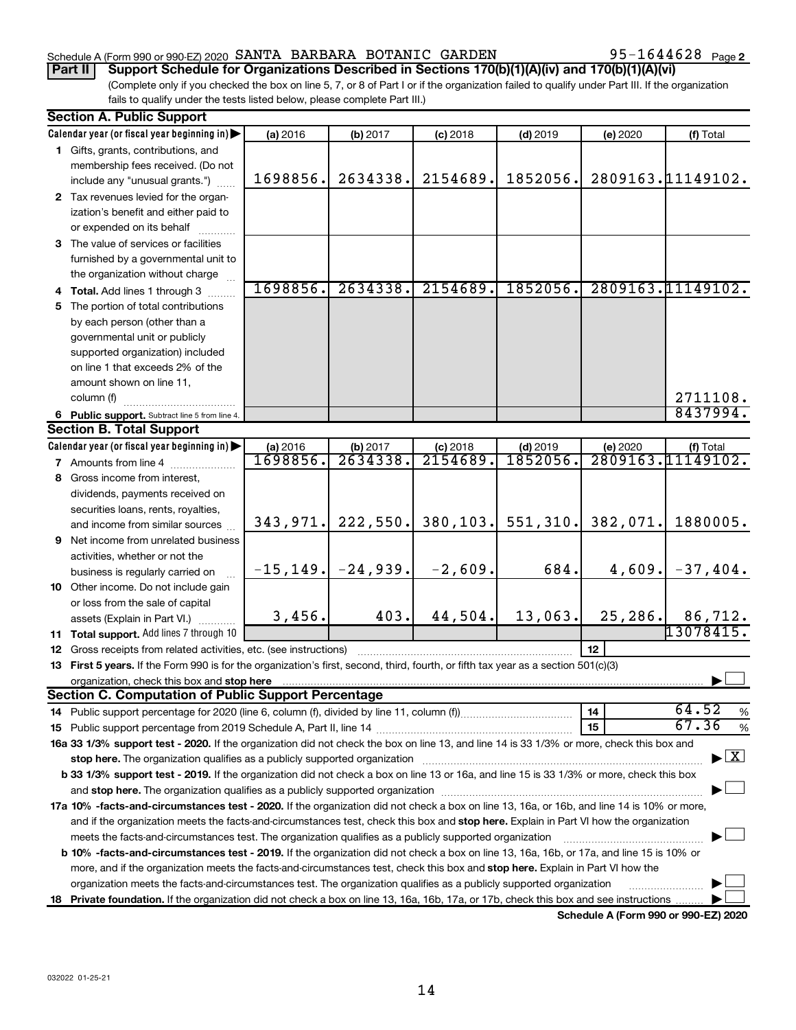## Schedule A (Form 990 or 990-EZ) 2020 SANTA BARBARA BOTANIC GARDEN  $95-1644628$  Page

95-1644628 Page 2

(Complete only if you checked the box on line 5, 7, or 8 of Part I or if the organization failed to qualify under Part III. If the organization fails to qualify under the tests listed below, please complete Part III.) **Part II Support Schedule for Organizations Described in Sections 170(b)(1)(A)(iv) and 170(b)(1)(A)(vi)**

|     | <b>Section A. Public Support</b>                                                                                                           |          |                         |            |            |                      |                                    |  |  |  |  |  |
|-----|--------------------------------------------------------------------------------------------------------------------------------------------|----------|-------------------------|------------|------------|----------------------|------------------------------------|--|--|--|--|--|
|     | Calendar year (or fiscal year beginning in)                                                                                                | (a) 2016 | (b) 2017                | $(c)$ 2018 | $(d)$ 2019 | (e) 2020             | (f) Total                          |  |  |  |  |  |
|     | 1 Gifts, grants, contributions, and                                                                                                        |          |                         |            |            |                      |                                    |  |  |  |  |  |
|     | membership fees received. (Do not                                                                                                          |          |                         |            |            |                      |                                    |  |  |  |  |  |
|     | include any "unusual grants.")                                                                                                             | 1698856. | 2634338.                | 2154689.   | 1852056.   |                      | 2809163.11149102.                  |  |  |  |  |  |
|     | 2 Tax revenues levied for the organ-                                                                                                       |          |                         |            |            |                      |                                    |  |  |  |  |  |
|     | ization's benefit and either paid to                                                                                                       |          |                         |            |            |                      |                                    |  |  |  |  |  |
|     | or expended on its behalf                                                                                                                  |          |                         |            |            |                      |                                    |  |  |  |  |  |
|     | 3 The value of services or facilities                                                                                                      |          |                         |            |            |                      |                                    |  |  |  |  |  |
|     | furnished by a governmental unit to                                                                                                        |          |                         |            |            |                      |                                    |  |  |  |  |  |
|     | the organization without charge                                                                                                            |          |                         |            |            |                      |                                    |  |  |  |  |  |
|     | 4 Total. Add lines 1 through 3                                                                                                             | 1698856. | 2634338.                | 2154689.   | 1852056.   |                      | 2809163.11149102.                  |  |  |  |  |  |
| 5.  | The portion of total contributions                                                                                                         |          |                         |            |            |                      |                                    |  |  |  |  |  |
|     | by each person (other than a                                                                                                               |          |                         |            |            |                      |                                    |  |  |  |  |  |
|     | governmental unit or publicly                                                                                                              |          |                         |            |            |                      |                                    |  |  |  |  |  |
|     | supported organization) included                                                                                                           |          |                         |            |            |                      |                                    |  |  |  |  |  |
|     | on line 1 that exceeds 2% of the                                                                                                           |          |                         |            |            |                      |                                    |  |  |  |  |  |
|     | amount shown on line 11,                                                                                                                   |          |                         |            |            |                      |                                    |  |  |  |  |  |
|     | column (f)                                                                                                                                 |          |                         |            |            |                      | 2711108.                           |  |  |  |  |  |
|     | 6 Public support. Subtract line 5 from line 4.                                                                                             |          |                         |            |            |                      | 8437994.                           |  |  |  |  |  |
|     | <b>Section B. Total Support</b>                                                                                                            |          |                         |            |            |                      |                                    |  |  |  |  |  |
|     | Calendar year (or fiscal year beginning in)                                                                                                | (a) 2016 | (b) 2017                | $(c)$ 2018 | $(d)$ 2019 | (e) 2020             | (f) Total                          |  |  |  |  |  |
|     | 7 Amounts from line 4                                                                                                                      | 1698856. | 2634338.                | 2154689.   | 1852056.   |                      | 2809163.11149102.                  |  |  |  |  |  |
| 8   | Gross income from interest,                                                                                                                |          |                         |            |            |                      |                                    |  |  |  |  |  |
|     | dividends, payments received on                                                                                                            |          |                         |            |            |                      |                                    |  |  |  |  |  |
|     | securities loans, rents, royalties,                                                                                                        |          |                         |            |            |                      |                                    |  |  |  |  |  |
|     | and income from similar sources                                                                                                            | 343,971. | 222,550.                | 380, 103.  |            | $551, 310.$ 382,071. | 1880005.                           |  |  |  |  |  |
| 9   | Net income from unrelated business                                                                                                         |          |                         |            |            |                      |                                    |  |  |  |  |  |
|     | activities, whether or not the                                                                                                             |          |                         |            |            |                      |                                    |  |  |  |  |  |
|     | business is regularly carried on                                                                                                           |          | $-15, 149.$ $-24, 939.$ | $-2,609.$  | 684.       |                      | $4,609$ . $-37,404$ .              |  |  |  |  |  |
|     | 10 Other income. Do not include gain                                                                                                       |          |                         |            |            |                      |                                    |  |  |  |  |  |
|     | or loss from the sale of capital                                                                                                           |          |                         |            |            |                      |                                    |  |  |  |  |  |
|     | assets (Explain in Part VI.)                                                                                                               | 3,456.   | 403.                    | 44,504.    | 13,063.    | 25,286.              | 86,712.                            |  |  |  |  |  |
|     | 11 Total support. Add lines 7 through 10                                                                                                   |          |                         |            |            |                      | 13078415.                          |  |  |  |  |  |
|     | 12 Gross receipts from related activities, etc. (see instructions)                                                                         |          |                         |            |            | 12                   |                                    |  |  |  |  |  |
| 13  | First 5 years. If the Form 990 is for the organization's first, second, third, fourth, or fifth tax year as a section 501(c)(3)            |          |                         |            |            |                      |                                    |  |  |  |  |  |
|     | organization, check this box and stop here                                                                                                 |          |                         |            |            |                      |                                    |  |  |  |  |  |
|     | <b>Section C. Computation of Public Support Percentage</b>                                                                                 |          |                         |            |            |                      |                                    |  |  |  |  |  |
|     |                                                                                                                                            |          |                         |            |            | 14                   | 64.52<br>%                         |  |  |  |  |  |
|     |                                                                                                                                            |          |                         |            |            | 15                   | 67.36<br>$\%$                      |  |  |  |  |  |
|     | 16a 33 1/3% support test - 2020. If the organization did not check the box on line 13, and line 14 is 33 1/3% or more, check this box and  |          |                         |            |            |                      | $\blacktriangleright$ $\mathbf{X}$ |  |  |  |  |  |
|     | stop here. The organization qualifies as a publicly supported organization                                                                 |          |                         |            |            |                      |                                    |  |  |  |  |  |
|     | b 33 1/3% support test - 2019. If the organization did not check a box on line 13 or 16a, and line 15 is 33 1/3% or more, check this box   |          |                         |            |            |                      |                                    |  |  |  |  |  |
|     |                                                                                                                                            |          |                         |            |            |                      |                                    |  |  |  |  |  |
|     | 17a 10% -facts-and-circumstances test - 2020. If the organization did not check a box on line 13, 16a, or 16b, and line 14 is 10% or more, |          |                         |            |            |                      |                                    |  |  |  |  |  |
|     | and if the organization meets the facts-and-circumstances test, check this box and stop here. Explain in Part VI how the organization      |          |                         |            |            |                      |                                    |  |  |  |  |  |
|     | meets the facts-and-circumstances test. The organization qualifies as a publicly supported organization                                    |          |                         |            |            |                      |                                    |  |  |  |  |  |
|     | b 10% -facts-and-circumstances test - 2019. If the organization did not check a box on line 13, 16a, 16b, or 17a, and line 15 is 10% or    |          |                         |            |            |                      |                                    |  |  |  |  |  |
|     | more, and if the organization meets the facts-and-circumstances test, check this box and stop here. Explain in Part VI how the             |          |                         |            |            |                      |                                    |  |  |  |  |  |
|     | organization meets the facts-and-circumstances test. The organization qualifies as a publicly supported organization                       |          |                         |            |            |                      |                                    |  |  |  |  |  |
| 18. | Private foundation. If the organization did not check a box on line 13, 16a, 16b, 17a, or 17b, check this box and see instructions         |          |                         |            |            |                      |                                    |  |  |  |  |  |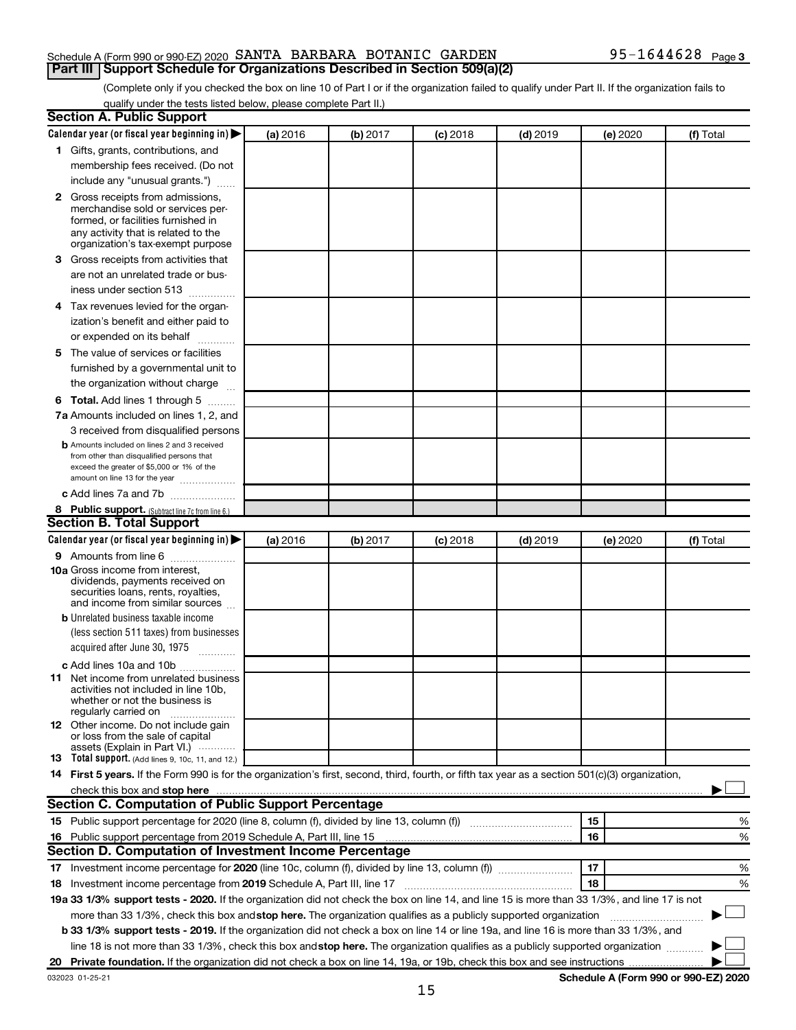## Schedule A (Form 990 or 990-EZ) 2020 SANTA BARBARA BOTANIC GARDEN  $95-1644628$  Page **Part III Support Schedule for Organizations Described in Section 509(a)(2)**

(Complete only if you checked the box on line 10 of Part I or if the organization failed to qualify under Part II. If the organization fails to qualify under the tests listed below, please complete Part II.)

| <b>Section A. Public Support</b>                                                                                                                                                                                              |          |          |            |            |          |                                      |
|-------------------------------------------------------------------------------------------------------------------------------------------------------------------------------------------------------------------------------|----------|----------|------------|------------|----------|--------------------------------------|
| Calendar year (or fiscal year beginning in)                                                                                                                                                                                   | (a) 2016 | (b) 2017 | $(c)$ 2018 | $(d)$ 2019 | (e) 2020 | (f) Total                            |
| 1 Gifts, grants, contributions, and                                                                                                                                                                                           |          |          |            |            |          |                                      |
| membership fees received. (Do not                                                                                                                                                                                             |          |          |            |            |          |                                      |
| include any "unusual grants.")                                                                                                                                                                                                |          |          |            |            |          |                                      |
| 2 Gross receipts from admissions,<br>merchandise sold or services per-<br>formed, or facilities furnished in<br>any activity that is related to the<br>organization's tax-exempt purpose                                      |          |          |            |            |          |                                      |
| 3 Gross receipts from activities that                                                                                                                                                                                         |          |          |            |            |          |                                      |
| are not an unrelated trade or bus-<br>iness under section 513                                                                                                                                                                 |          |          |            |            |          |                                      |
| 4 Tax revenues levied for the organ-                                                                                                                                                                                          |          |          |            |            |          |                                      |
| ization's benefit and either paid to<br>or expended on its behalf                                                                                                                                                             |          |          |            |            |          |                                      |
| 5 The value of services or facilities                                                                                                                                                                                         |          |          |            |            |          |                                      |
| furnished by a governmental unit to<br>the organization without charge                                                                                                                                                        |          |          |            |            |          |                                      |
| <b>6 Total.</b> Add lines 1 through 5                                                                                                                                                                                         |          |          |            |            |          |                                      |
| 7a Amounts included on lines 1, 2, and                                                                                                                                                                                        |          |          |            |            |          |                                      |
| 3 received from disqualified persons                                                                                                                                                                                          |          |          |            |            |          |                                      |
| <b>b</b> Amounts included on lines 2 and 3 received<br>from other than disqualified persons that<br>exceed the greater of \$5,000 or 1% of the<br>amount on line 13 for the year                                              |          |          |            |            |          |                                      |
| c Add lines 7a and 7b                                                                                                                                                                                                         |          |          |            |            |          |                                      |
| 8 Public support. (Subtract line 7c from line 6.)                                                                                                                                                                             |          |          |            |            |          |                                      |
| <b>Section B. Total Support</b>                                                                                                                                                                                               |          |          |            |            |          |                                      |
| Calendar year (or fiscal year beginning in) $\blacktriangleright$                                                                                                                                                             | (a) 2016 | (b) 2017 | $(c)$ 2018 | $(d)$ 2019 | (e) 2020 | (f) Total                            |
| <b>9</b> Amounts from line 6                                                                                                                                                                                                  |          |          |            |            |          |                                      |
| <b>10a</b> Gross income from interest,<br>dividends, payments received on<br>securities loans, rents, royalties,<br>and income from similar sources                                                                           |          |          |            |            |          |                                      |
| <b>b</b> Unrelated business taxable income                                                                                                                                                                                    |          |          |            |            |          |                                      |
| (less section 511 taxes) from businesses<br>acquired after June 30, 1975<br>$\mathcal{L}$ . The contract of $\mathcal{L}$                                                                                                     |          |          |            |            |          |                                      |
| c Add lines 10a and 10b                                                                                                                                                                                                       |          |          |            |            |          |                                      |
| <b>11</b> Net income from unrelated business<br>activities not included in line 10b.<br>whether or not the business is<br>regularly carried on                                                                                |          |          |            |            |          |                                      |
| <b>12</b> Other income. Do not include gain<br>or loss from the sale of capital<br>assets (Explain in Part VI.)                                                                                                               |          |          |            |            |          |                                      |
| <b>13</b> Total support. (Add lines 9, 10c, 11, and 12.)                                                                                                                                                                      |          |          |            |            |          |                                      |
| 14 First 5 years. If the Form 990 is for the organization's first, second, third, fourth, or fifth tax year as a section 501(c)(3) organization,                                                                              |          |          |            |            |          |                                      |
| check this box and stop here manufactured and stop here and stop here are manufactured and stop here and stop here and stop here and stop here and stop here and stop here and stop here and stop here and stop here and stop |          |          |            |            |          |                                      |
| Section C. Computation of Public Support Percentage                                                                                                                                                                           |          |          |            |            |          |                                      |
|                                                                                                                                                                                                                               |          |          |            |            | 15       | %                                    |
| 16 Public support percentage from 2019 Schedule A, Part III, line 15                                                                                                                                                          |          |          |            |            | 16       | %                                    |
| Section D. Computation of Investment Income Percentage                                                                                                                                                                        |          |          |            |            |          |                                      |
|                                                                                                                                                                                                                               |          |          |            |            | 17       | %                                    |
| 18 Investment income percentage from 2019 Schedule A, Part III, line 17                                                                                                                                                       |          |          |            |            | 18       | %                                    |
| 19a 33 1/3% support tests - 2020. If the organization did not check the box on line 14, and line 15 is more than 33 1/3%, and line 17 is not                                                                                  |          |          |            |            |          |                                      |
| more than 33 1/3%, check this box and stop here. The organization qualifies as a publicly supported organization                                                                                                              |          |          |            |            |          |                                      |
| <b>b 33 1/3% support tests - 2019.</b> If the organization did not check a box on line 14 or line 19a, and line 16 is more than 33 1/3%, and                                                                                  |          |          |            |            |          |                                      |
| line 18 is not more than 33 1/3%, check this box and stop here. The organization qualifies as a publicly supported organization <i>manner</i>                                                                                 |          |          |            |            |          |                                      |
|                                                                                                                                                                                                                               |          |          |            |            |          |                                      |
| 032023 01-25-21                                                                                                                                                                                                               |          |          |            |            |          | Schedule A (Form 990 or 990-EZ) 2020 |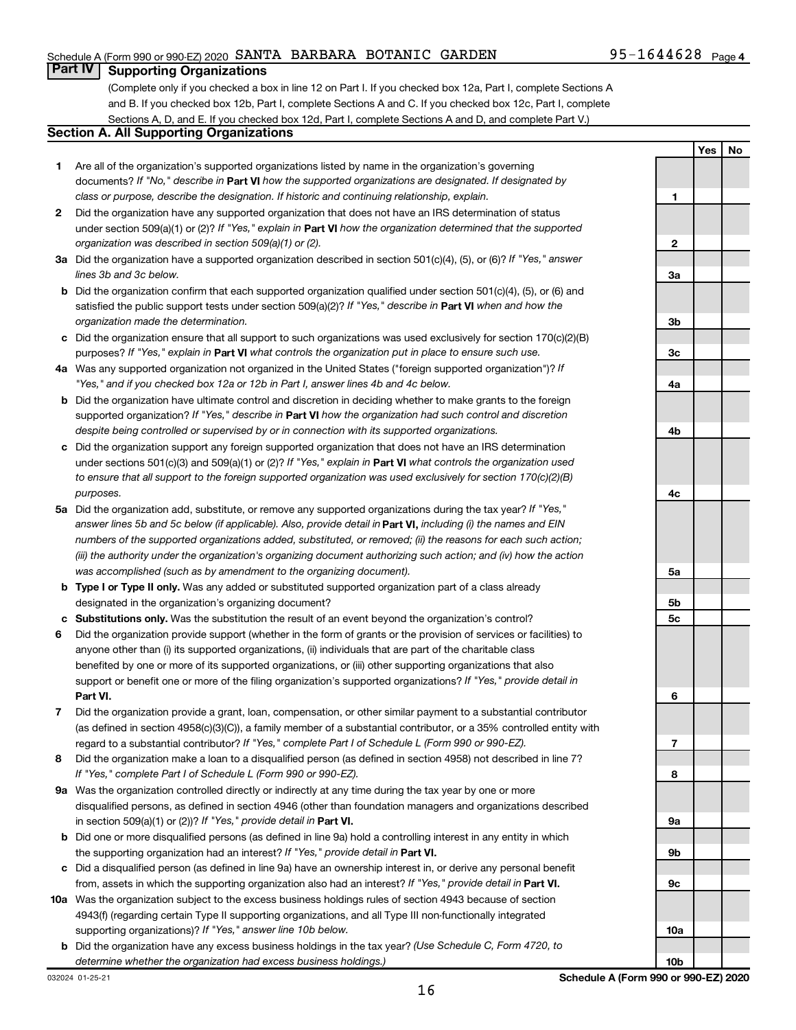## Schedule A (Form 990 or 990-EZ) 2020 SANTA BARBARA BOTANIC GARDEN  $95-1644628$  Page

**Yes No**

## **Part IV Supporting Organizations**

(Complete only if you checked a box in line 12 on Part I. If you checked box 12a, Part I, complete Sections A and B. If you checked box 12b, Part I, complete Sections A and C. If you checked box 12c, Part I, complete Sections A, D, and E. If you checked box 12d, Part I, complete Sections A and D, and complete Part V.)

## **Section A. All Supporting Organizations**

- **1** Are all of the organization's supported organizations listed by name in the organization's governing documents? If "No," describe in Part VI how the supported organizations are designated. If designated by *class or purpose, describe the designation. If historic and continuing relationship, explain.*
- **2** Did the organization have any supported organization that does not have an IRS determination of status under section 509(a)(1) or (2)? If "Yes," explain in Part **VI** how the organization determined that the supported *organization was described in section 509(a)(1) or (2).*
- **3a** Did the organization have a supported organization described in section 501(c)(4), (5), or (6)? If "Yes," answer *lines 3b and 3c below.*
- **b** Did the organization confirm that each supported organization qualified under section 501(c)(4), (5), or (6) and satisfied the public support tests under section 509(a)(2)? If "Yes," describe in Part VI when and how the *organization made the determination.*
- **c** Did the organization ensure that all support to such organizations was used exclusively for section 170(c)(2)(B) purposes? If "Yes," explain in Part VI what controls the organization put in place to ensure such use.
- **4 a** *If* Was any supported organization not organized in the United States ("foreign supported organization")? *"Yes," and if you checked box 12a or 12b in Part I, answer lines 4b and 4c below.*
- **b** Did the organization have ultimate control and discretion in deciding whether to make grants to the foreign supported organization? If "Yes," describe in Part VI how the organization had such control and discretion *despite being controlled or supervised by or in connection with its supported organizations.*
- **c** Did the organization support any foreign supported organization that does not have an IRS determination under sections 501(c)(3) and 509(a)(1) or (2)? If "Yes," explain in Part VI what controls the organization used *to ensure that all support to the foreign supported organization was used exclusively for section 170(c)(2)(B) purposes.*
- **5a** Did the organization add, substitute, or remove any supported organizations during the tax year? If "Yes," answer lines 5b and 5c below (if applicable). Also, provide detail in **Part VI,** including (i) the names and EIN *numbers of the supported organizations added, substituted, or removed; (ii) the reasons for each such action; (iii) the authority under the organization's organizing document authorizing such action; and (iv) how the action was accomplished (such as by amendment to the organizing document).*
- **b Type I or Type II only.** Was any added or substituted supported organization part of a class already designated in the organization's organizing document?
- **c Substitutions only.**  Was the substitution the result of an event beyond the organization's control?
- **6** Did the organization provide support (whether in the form of grants or the provision of services or facilities) to **Part VI.** support or benefit one or more of the filing organization's supported organizations? If "Yes," provide detail in anyone other than (i) its supported organizations, (ii) individuals that are part of the charitable class benefited by one or more of its supported organizations, or (iii) other supporting organizations that also
- **7** Did the organization provide a grant, loan, compensation, or other similar payment to a substantial contributor regard to a substantial contributor? If "Yes," complete Part I of Schedule L (Form 990 or 990-EZ). (as defined in section 4958(c)(3)(C)), a family member of a substantial contributor, or a 35% controlled entity with
- **8** Did the organization make a loan to a disqualified person (as defined in section 4958) not described in line 7? *If "Yes," complete Part I of Schedule L (Form 990 or 990-EZ).*
- **9 a** Was the organization controlled directly or indirectly at any time during the tax year by one or more in section 509(a)(1) or (2))? If "Yes," provide detail in **Part VI.** disqualified persons, as defined in section 4946 (other than foundation managers and organizations described
- **b** Did one or more disqualified persons (as defined in line 9a) hold a controlling interest in any entity in which the supporting organization had an interest? If "Yes," provide detail in Part VI.
- **c** Did a disqualified person (as defined in line 9a) have an ownership interest in, or derive any personal benefit from, assets in which the supporting organization also had an interest? If "Yes," provide detail in Part VI.
- **10 a** Was the organization subject to the excess business holdings rules of section 4943 because of section supporting organizations)? If "Yes," answer line 10b below. 4943(f) (regarding certain Type II supporting organizations, and all Type III non-functionally integrated
- **b** Did the organization have any excess business holdings in the tax year? (Use Schedule C, Form 4720, to *determine whether the organization had excess business holdings.)*

**1 2 3a 3b 3c 4a 4b 4c 5a 5b 5c 6 7 8 9a 9b 9c 10a**

**10b**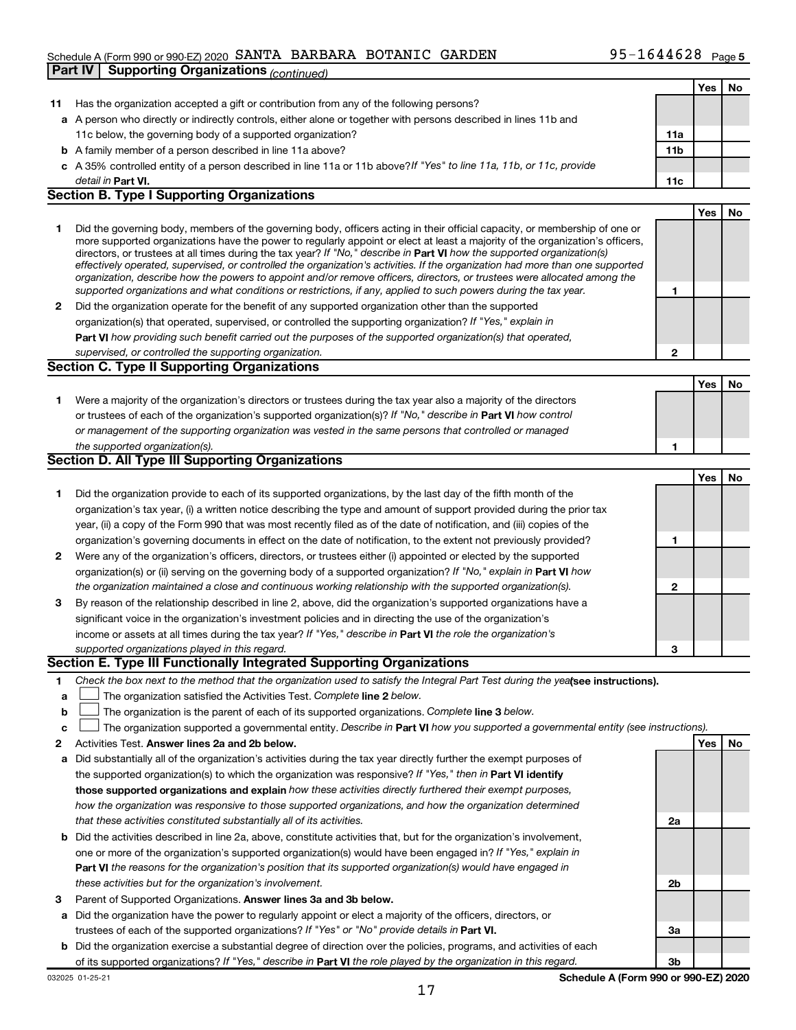## Schedule A (Form 990 or 990-EZ) 2020 SANTA BARBARA BOTANIC GARDEN  $95-1644628$  Page **Part IV | Supporting Organizations** *(continued)*

|              |                                                                                                                                                                                                                                                            |              | Yes | No  |
|--------------|------------------------------------------------------------------------------------------------------------------------------------------------------------------------------------------------------------------------------------------------------------|--------------|-----|-----|
| 11           | Has the organization accepted a gift or contribution from any of the following persons?                                                                                                                                                                    |              |     |     |
|              | a A person who directly or indirectly controls, either alone or together with persons described in lines 11b and                                                                                                                                           |              |     |     |
|              | 11c below, the governing body of a supported organization?                                                                                                                                                                                                 | 11a          |     |     |
|              | <b>b</b> A family member of a person described in line 11a above?                                                                                                                                                                                          | 11b          |     |     |
|              | c A 35% controlled entity of a person described in line 11a or 11b above? If "Yes" to line 11a, 11b, or 11c, provide                                                                                                                                       |              |     |     |
|              | detail in Part VI.                                                                                                                                                                                                                                         | 11c          |     |     |
|              | <b>Section B. Type I Supporting Organizations</b>                                                                                                                                                                                                          |              |     |     |
|              |                                                                                                                                                                                                                                                            |              | Yes | No. |
| 1.           | Did the governing body, members of the governing body, officers acting in their official capacity, or membership of one or                                                                                                                                 |              |     |     |
|              | more supported organizations have the power to regularly appoint or elect at least a majority of the organization's officers,                                                                                                                              |              |     |     |
|              | directors, or trustees at all times during the tax year? If "No," describe in Part VI how the supported organization(s)                                                                                                                                    |              |     |     |
|              | effectively operated, supervised, or controlled the organization's activities. If the organization had more than one supported<br>organization, describe how the powers to appoint and/or remove officers, directors, or trustees were allocated among the |              |     |     |
|              | supported organizations and what conditions or restrictions, if any, applied to such powers during the tax year.                                                                                                                                           | 1            |     |     |
| $\mathbf{2}$ | Did the organization operate for the benefit of any supported organization other than the supported                                                                                                                                                        |              |     |     |
|              | organization(s) that operated, supervised, or controlled the supporting organization? If "Yes," explain in                                                                                                                                                 |              |     |     |
|              | Part VI how providing such benefit carried out the purposes of the supported organization(s) that operated,                                                                                                                                                |              |     |     |
|              | supervised, or controlled the supporting organization.                                                                                                                                                                                                     | $\mathbf{2}$ |     |     |
|              | <b>Section C. Type II Supporting Organizations</b>                                                                                                                                                                                                         |              |     |     |
|              |                                                                                                                                                                                                                                                            |              | Yes | No  |
| 1.           | Were a majority of the organization's directors or trustees during the tax year also a majority of the directors                                                                                                                                           |              |     |     |
|              | or trustees of each of the organization's supported organization(s)? If "No," describe in Part VI how control                                                                                                                                              |              |     |     |
|              | or management of the supporting organization was vested in the same persons that controlled or managed                                                                                                                                                     |              |     |     |
|              | the supported organization(s).                                                                                                                                                                                                                             | 1            |     |     |
|              | Section D. All Type III Supporting Organizations                                                                                                                                                                                                           |              |     |     |
|              |                                                                                                                                                                                                                                                            |              | Yes | No  |
| 1.           | Did the organization provide to each of its supported organizations, by the last day of the fifth month of the                                                                                                                                             |              |     |     |
|              | organization's tax year, (i) a written notice describing the type and amount of support provided during the prior tax                                                                                                                                      |              |     |     |
|              | year, (ii) a copy of the Form 990 that was most recently filed as of the date of notification, and (iii) copies of the                                                                                                                                     |              |     |     |
|              | organization's governing documents in effect on the date of notification, to the extent not previously provided?                                                                                                                                           | 1            |     |     |
| $\mathbf{2}$ | Were any of the organization's officers, directors, or trustees either (i) appointed or elected by the supported                                                                                                                                           |              |     |     |
|              | organization(s) or (ii) serving on the governing body of a supported organization? If "No," explain in Part VI how                                                                                                                                         |              |     |     |
|              | the organization maintained a close and continuous working relationship with the supported organization(s).                                                                                                                                                | $\mathbf{2}$ |     |     |
| 3            | By reason of the relationship described in line 2, above, did the organization's supported organizations have a                                                                                                                                            |              |     |     |
|              | significant voice in the organization's investment policies and in directing the use of the organization's                                                                                                                                                 |              |     |     |
|              | income or assets at all times during the tax year? If "Yes," describe in Part VI the role the organization's                                                                                                                                               |              |     |     |
|              | supported organizations played in this regard.                                                                                                                                                                                                             | 3            |     |     |
|              | Section E. Type III Functionally Integrated Supporting Organizations                                                                                                                                                                                       |              |     |     |
| 1.           | Check the box next to the method that the organization used to satisfy the Integral Part Test during the yealsee instructions).                                                                                                                            |              |     |     |
| a            | The organization satisfied the Activities Test. Complete line 2 below.                                                                                                                                                                                     |              |     |     |
| $\mathbf b$  | The organization is the parent of each of its supported organizations. Complete line 3 below.                                                                                                                                                              |              |     |     |
| c            | The organization supported a governmental entity. Describe in Part VI how you supported a governmental entity (see instructions).                                                                                                                          |              |     |     |
| 2            | Activities Test. Answer lines 2a and 2b below.                                                                                                                                                                                                             |              | Yes | No  |
| а            | Did substantially all of the organization's activities during the tax year directly further the exempt purposes of                                                                                                                                         |              |     |     |
|              | the supported organization(s) to which the organization was responsive? If "Yes," then in Part VI identify                                                                                                                                                 |              |     |     |
|              | those supported organizations and explain how these activities directly furthered their exempt purposes,                                                                                                                                                   |              |     |     |
|              | how the organization was responsive to those supported organizations, and how the organization determined                                                                                                                                                  |              |     |     |
|              | that these activities constituted substantially all of its activities.                                                                                                                                                                                     | 2a           |     |     |
|              | <b>b</b> Did the activities described in line 2a, above, constitute activities that, but for the organization's involvement,                                                                                                                               |              |     |     |
|              | one or more of the organization's supported organization(s) would have been engaged in? If "Yes," explain in                                                                                                                                               |              |     |     |
|              | <b>Part VI</b> the reasons for the organization's position that its supported organization(s) would have engaged in                                                                                                                                        |              |     |     |
|              | these activities but for the organization's involvement.                                                                                                                                                                                                   | 2b           |     |     |
| 3            | Parent of Supported Organizations. Answer lines 3a and 3b below.                                                                                                                                                                                           |              |     |     |
| а            | Did the organization have the power to regularly appoint or elect a majority of the officers, directors, or                                                                                                                                                |              |     |     |
|              | trustees of each of the supported organizations? If "Yes" or "No" provide details in Part VI.                                                                                                                                                              | За           |     |     |
|              | <b>b</b> Did the organization exercise a substantial degree of direction over the policies, programs, and activities of each                                                                                                                               |              |     |     |
|              | of its supported organizations? If "Yes," describe in Part VI the role played by the organization in this regard.                                                                                                                                          | Зb           |     |     |
|              |                                                                                                                                                                                                                                                            |              |     |     |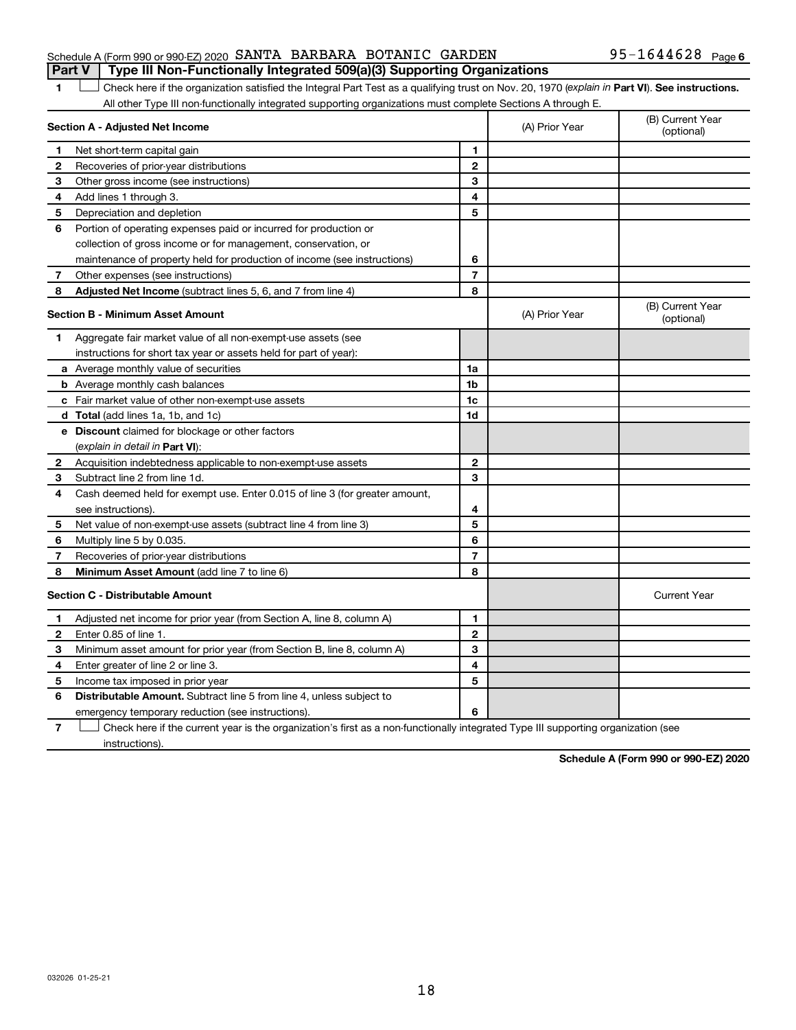## Schedule A (Form 990 or 990-EZ) 2020 SANTA BARBARA BOTANIC GARDEN  $95-1644628$  Page **Part V Type III Non-Functionally Integrated 509(a)(3) Supporting Organizations**

1 **Letter See instructions.** Check here if the organization satisfied the Integral Part Test as a qualifying trust on Nov. 20, 1970 (*explain in* Part **VI**). See instructions. All other Type III non-functionally integrated supporting organizations must complete Sections A through E.

|    | Section A - Adjusted Net Income                                             |                | (A) Prior Year | (B) Current Year<br>(optional) |
|----|-----------------------------------------------------------------------------|----------------|----------------|--------------------------------|
| 1  | Net short-term capital gain                                                 | 1              |                |                                |
| 2  | Recoveries of prior-year distributions                                      | $\mathbf{2}$   |                |                                |
| З  | Other gross income (see instructions)                                       | 3              |                |                                |
| 4  | Add lines 1 through 3.                                                      | 4              |                |                                |
| 5  | Depreciation and depletion                                                  | 5              |                |                                |
| 6  | Portion of operating expenses paid or incurred for production or            |                |                |                                |
|    | collection of gross income or for management, conservation, or              |                |                |                                |
|    | maintenance of property held for production of income (see instructions)    | 6              |                |                                |
| 7  | Other expenses (see instructions)                                           | $\overline{7}$ |                |                                |
| 8  | Adjusted Net Income (subtract lines 5, 6, and 7 from line 4)                | 8              |                |                                |
|    | <b>Section B - Minimum Asset Amount</b>                                     |                | (A) Prior Year | (B) Current Year<br>(optional) |
| 1. | Aggregate fair market value of all non-exempt-use assets (see               |                |                |                                |
|    | instructions for short tax year or assets held for part of year):           |                |                |                                |
|    | <b>a</b> Average monthly value of securities                                | 1a             |                |                                |
|    | <b>b</b> Average monthly cash balances                                      | 1b             |                |                                |
|    | c Fair market value of other non-exempt-use assets                          | 1c             |                |                                |
|    | d Total (add lines 1a, 1b, and 1c)                                          | 1d             |                |                                |
|    | <b>e</b> Discount claimed for blockage or other factors                     |                |                |                                |
|    | (explain in detail in Part VI):                                             |                |                |                                |
| 2  | Acquisition indebtedness applicable to non-exempt-use assets                | $\mathbf{2}$   |                |                                |
| З  | Subtract line 2 from line 1d.                                               | 3              |                |                                |
| 4  | Cash deemed held for exempt use. Enter 0.015 of line 3 (for greater amount, |                |                |                                |
|    | see instructions)                                                           | 4              |                |                                |
| 5  | Net value of non-exempt-use assets (subtract line 4 from line 3)            | 5              |                |                                |
| 6  | Multiply line 5 by 0.035.                                                   | 6              |                |                                |
| 7  | Recoveries of prior-year distributions                                      | $\overline{7}$ |                |                                |
| 8  | Minimum Asset Amount (add line 7 to line 6)                                 | 8              |                |                                |
|    | <b>Section C - Distributable Amount</b>                                     |                |                | <b>Current Year</b>            |
| 1  | Adjusted net income for prior year (from Section A, line 8, column A)       | 1              |                |                                |
| 2  | Enter 0.85 of line 1.                                                       | $\mathbf{2}$   |                |                                |
| З  | Minimum asset amount for prior year (from Section B, line 8, column A)      | 3              |                |                                |
| 4  | Enter greater of line 2 or line 3.                                          | 4              |                |                                |
| 5  | Income tax imposed in prior year                                            | 5              |                |                                |
| 6  | <b>Distributable Amount.</b> Subtract line 5 from line 4, unless subject to |                |                |                                |
|    | emergency temporary reduction (see instructions).                           | 6              |                |                                |
|    |                                                                             |                |                |                                |

**7** Let Check here if the current year is the organization's first as a non-functionally integrated Type III supporting organization (see instructions).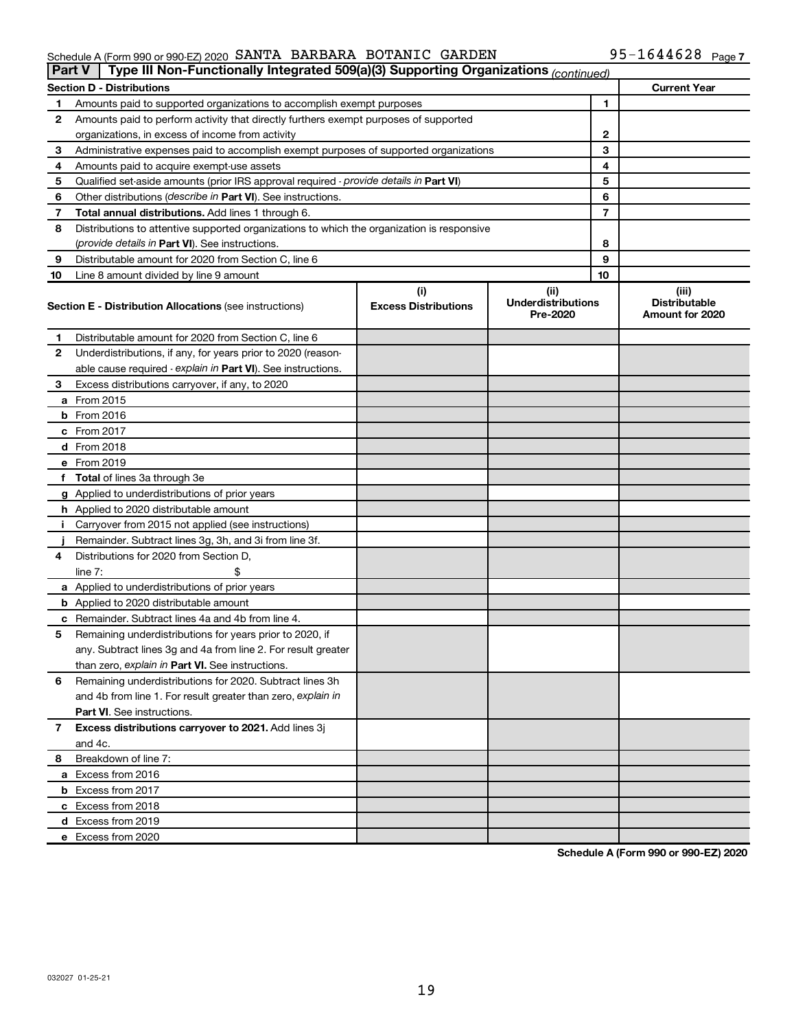### Schedule A (Form 990 or 990-EZ) 2020 SAN'I'A BARBARA BO'I'ANIC GARDEN 95-I 644628 Page SANTA BARBARA BOTANIC GARDEN 95-1644628

| <b>Part V</b> | Type III Non-Functionally Integrated 509(a)(3) Supporting Organizations (continued)        |                                    |                                               |    |                                                  |
|---------------|--------------------------------------------------------------------------------------------|------------------------------------|-----------------------------------------------|----|--------------------------------------------------|
|               | <b>Section D - Distributions</b>                                                           |                                    |                                               |    | <b>Current Year</b>                              |
| 1             | Amounts paid to supported organizations to accomplish exempt purposes                      | 1                                  |                                               |    |                                                  |
| 2             | Amounts paid to perform activity that directly furthers exempt purposes of supported       |                                    |                                               |    |                                                  |
|               | organizations, in excess of income from activity                                           | 2                                  |                                               |    |                                                  |
| 3             | Administrative expenses paid to accomplish exempt purposes of supported organizations      |                                    | 3                                             |    |                                                  |
| 4             | Amounts paid to acquire exempt-use assets                                                  |                                    |                                               | 4  |                                                  |
| 5             | Qualified set-aside amounts (prior IRS approval required - provide details in Part VI)     |                                    |                                               | 5  |                                                  |
| 6             | Other distributions ( <i>describe in Part VI</i> ). See instructions.                      |                                    |                                               | 6  |                                                  |
| 7             | Total annual distributions. Add lines 1 through 6.                                         |                                    |                                               | 7  |                                                  |
| 8             | Distributions to attentive supported organizations to which the organization is responsive |                                    |                                               |    |                                                  |
|               | (provide details in Part VI). See instructions.                                            |                                    |                                               | 8  |                                                  |
| 9             | Distributable amount for 2020 from Section C, line 6                                       |                                    |                                               | 9  |                                                  |
| 10            | Line 8 amount divided by line 9 amount                                                     |                                    |                                               | 10 |                                                  |
|               | <b>Section E - Distribution Allocations (see instructions)</b>                             | (i)<br><b>Excess Distributions</b> | (ii)<br><b>Underdistributions</b><br>Pre-2020 |    | (iii)<br><b>Distributable</b><br>Amount for 2020 |
| 1             | Distributable amount for 2020 from Section C, line 6                                       |                                    |                                               |    |                                                  |
| 2             | Underdistributions, if any, for years prior to 2020 (reason-                               |                                    |                                               |    |                                                  |
|               | able cause required - explain in Part VI). See instructions.                               |                                    |                                               |    |                                                  |
| 3             | Excess distributions carryover, if any, to 2020                                            |                                    |                                               |    |                                                  |
|               | a From 2015                                                                                |                                    |                                               |    |                                                  |
|               | <b>b</b> From 2016                                                                         |                                    |                                               |    |                                                  |
|               | c From 2017                                                                                |                                    |                                               |    |                                                  |
|               | d From 2018                                                                                |                                    |                                               |    |                                                  |
|               | e From 2019                                                                                |                                    |                                               |    |                                                  |
|               | f Total of lines 3a through 3e                                                             |                                    |                                               |    |                                                  |
|               | g Applied to underdistributions of prior years                                             |                                    |                                               |    |                                                  |
|               | <b>h</b> Applied to 2020 distributable amount                                              |                                    |                                               |    |                                                  |
| Ť.            | Carryover from 2015 not applied (see instructions)                                         |                                    |                                               |    |                                                  |
|               | Remainder. Subtract lines 3g, 3h, and 3i from line 3f.                                     |                                    |                                               |    |                                                  |
| 4             | Distributions for 2020 from Section D,                                                     |                                    |                                               |    |                                                  |
|               | line $7:$                                                                                  |                                    |                                               |    |                                                  |
|               | a Applied to underdistributions of prior years                                             |                                    |                                               |    |                                                  |
|               | <b>b</b> Applied to 2020 distributable amount                                              |                                    |                                               |    |                                                  |
|               | c Remainder. Subtract lines 4a and 4b from line 4.                                         |                                    |                                               |    |                                                  |
| 5             | Remaining underdistributions for years prior to 2020, if                                   |                                    |                                               |    |                                                  |
|               | any. Subtract lines 3g and 4a from line 2. For result greater                              |                                    |                                               |    |                                                  |
|               | than zero, explain in Part VI. See instructions.                                           |                                    |                                               |    |                                                  |
| 6             | Remaining underdistributions for 2020. Subtract lines 3h                                   |                                    |                                               |    |                                                  |
|               | and 4b from line 1. For result greater than zero, explain in                               |                                    |                                               |    |                                                  |
|               | <b>Part VI.</b> See instructions.                                                          |                                    |                                               |    |                                                  |
| 7             | Excess distributions carryover to 2021. Add lines 3j                                       |                                    |                                               |    |                                                  |
|               | and 4c.                                                                                    |                                    |                                               |    |                                                  |
| 8             | Breakdown of line 7:                                                                       |                                    |                                               |    |                                                  |
|               | a Excess from 2016                                                                         |                                    |                                               |    |                                                  |
|               | <b>b</b> Excess from 2017                                                                  |                                    |                                               |    |                                                  |
|               | c Excess from 2018                                                                         |                                    |                                               |    |                                                  |
|               | d Excess from 2019                                                                         |                                    |                                               |    |                                                  |
|               | e Excess from 2020                                                                         |                                    |                                               |    |                                                  |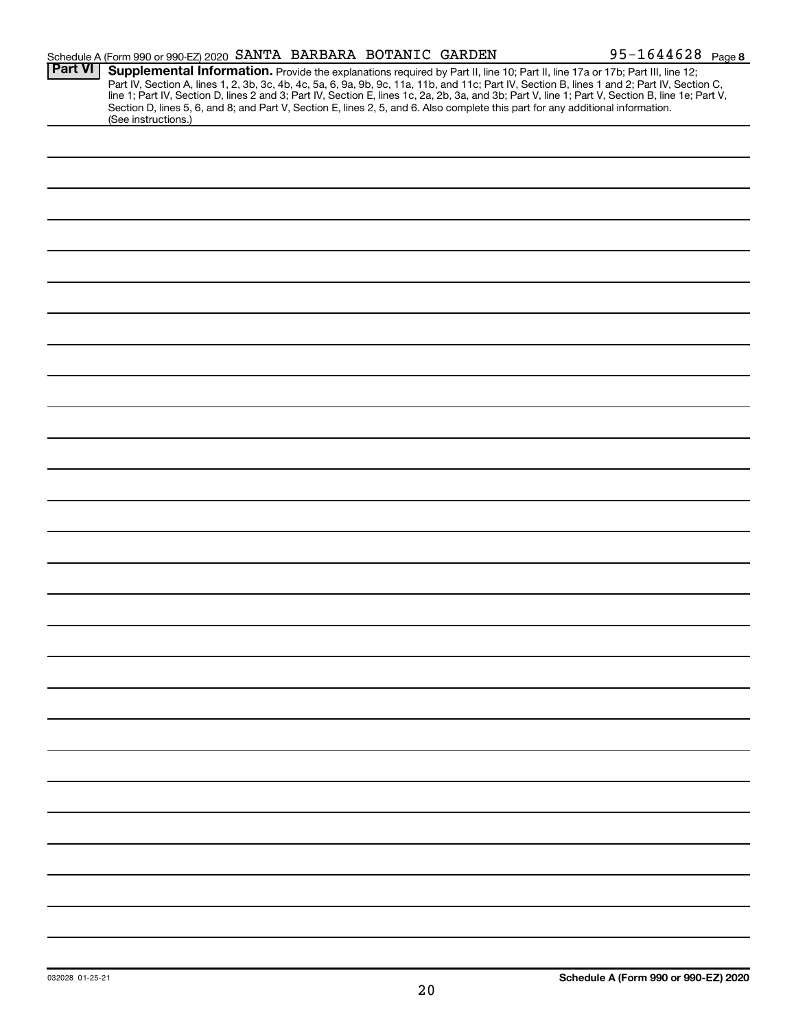|                | Schedule A (Form 990 or 990-EZ) 2020 SANTA BARBARA BOTANIC GARDEN                                                                                                                                                                                                                                                                                                                                                                                                                                                                                                                           |  | 95-1644628 Page 8 |
|----------------|---------------------------------------------------------------------------------------------------------------------------------------------------------------------------------------------------------------------------------------------------------------------------------------------------------------------------------------------------------------------------------------------------------------------------------------------------------------------------------------------------------------------------------------------------------------------------------------------|--|-------------------|
| <b>Part VI</b> | Supplemental Information. Provide the explanations required by Part II, line 10; Part II, line 17a or 17b; Part III, line 12;<br>Part IV, Section A, lines 1, 2, 3b, 3c, 4b, 4c, 5a, 6, 9a, 9b, 9c, 11a, 11b, and 11c; Part IV, Section B, lines 1 and 2; Part IV, Section C,<br>line 1; Part IV, Section D, lines 2 and 3; Part IV, Section E, lines 1c, 2a, 2b, 3a, and 3b; Part V, line 1; Part V, Section B, line 1e; Part V,<br>Section D, lines 5, 6, and 8; and Part V, Section E, lines 2, 5, and 6. Also complete this part for any additional information.<br>(See instructions.) |  |                   |
|                |                                                                                                                                                                                                                                                                                                                                                                                                                                                                                                                                                                                             |  |                   |
|                |                                                                                                                                                                                                                                                                                                                                                                                                                                                                                                                                                                                             |  |                   |
|                |                                                                                                                                                                                                                                                                                                                                                                                                                                                                                                                                                                                             |  |                   |
|                |                                                                                                                                                                                                                                                                                                                                                                                                                                                                                                                                                                                             |  |                   |
|                |                                                                                                                                                                                                                                                                                                                                                                                                                                                                                                                                                                                             |  |                   |
|                |                                                                                                                                                                                                                                                                                                                                                                                                                                                                                                                                                                                             |  |                   |
|                |                                                                                                                                                                                                                                                                                                                                                                                                                                                                                                                                                                                             |  |                   |
|                |                                                                                                                                                                                                                                                                                                                                                                                                                                                                                                                                                                                             |  |                   |
|                |                                                                                                                                                                                                                                                                                                                                                                                                                                                                                                                                                                                             |  |                   |
|                |                                                                                                                                                                                                                                                                                                                                                                                                                                                                                                                                                                                             |  |                   |
|                |                                                                                                                                                                                                                                                                                                                                                                                                                                                                                                                                                                                             |  |                   |
|                |                                                                                                                                                                                                                                                                                                                                                                                                                                                                                                                                                                                             |  |                   |
|                |                                                                                                                                                                                                                                                                                                                                                                                                                                                                                                                                                                                             |  |                   |
|                |                                                                                                                                                                                                                                                                                                                                                                                                                                                                                                                                                                                             |  |                   |
|                |                                                                                                                                                                                                                                                                                                                                                                                                                                                                                                                                                                                             |  |                   |
|                |                                                                                                                                                                                                                                                                                                                                                                                                                                                                                                                                                                                             |  |                   |
|                |                                                                                                                                                                                                                                                                                                                                                                                                                                                                                                                                                                                             |  |                   |
|                |                                                                                                                                                                                                                                                                                                                                                                                                                                                                                                                                                                                             |  |                   |
|                |                                                                                                                                                                                                                                                                                                                                                                                                                                                                                                                                                                                             |  |                   |
|                |                                                                                                                                                                                                                                                                                                                                                                                                                                                                                                                                                                                             |  |                   |
|                |                                                                                                                                                                                                                                                                                                                                                                                                                                                                                                                                                                                             |  |                   |
|                |                                                                                                                                                                                                                                                                                                                                                                                                                                                                                                                                                                                             |  |                   |
|                |                                                                                                                                                                                                                                                                                                                                                                                                                                                                                                                                                                                             |  |                   |
|                |                                                                                                                                                                                                                                                                                                                                                                                                                                                                                                                                                                                             |  |                   |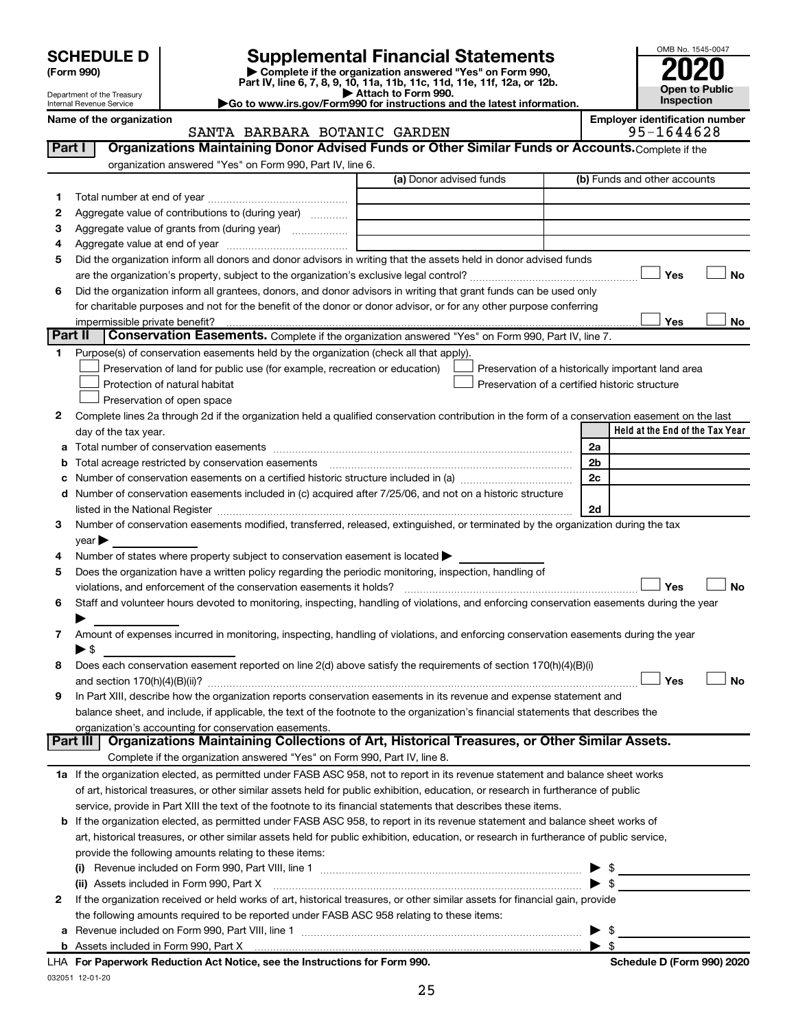| <b>SCHEDULE D</b> |  |
|-------------------|--|
|-------------------|--|

# **SCHEDULE D Supplemental Financial Statements**<br> **Form 990 2020**<br> **Part IV** line 6.7.8.9.10, 11a, 11b, 11d, 11d, 11d, 11d, 11d, 12a, 0r, 12b

**(Form 990) | Complete if the organization answered "Yes" on Form 990, Part IV, line 6, 7, 8, 9, 10, 11a, 11b, 11c, 11d, 11e, 11f, 12a, or 12b.**



| Department of the Treasury<br>Go to www.irs.gov/Form990 for instructions and the latest information.<br>Internal Revenue Service |                          |                                 | Attach to Form 990.                                |                                                                     |                                                                                                          |                         | Inspection                                                                                                                                                                                                                     | <b>Open to Public</b> |                                                     |           |
|----------------------------------------------------------------------------------------------------------------------------------|--------------------------|---------------------------------|----------------------------------------------------|---------------------------------------------------------------------|----------------------------------------------------------------------------------------------------------|-------------------------|--------------------------------------------------------------------------------------------------------------------------------------------------------------------------------------------------------------------------------|-----------------------|-----------------------------------------------------|-----------|
|                                                                                                                                  |                          | Name of the organization        |                                                    |                                                                     | SANTA BARBARA BOTANIC GARDEN                                                                             |                         |                                                                                                                                                                                                                                |                       | <b>Employer identification number</b><br>95-1644628 |           |
|                                                                                                                                  | Part I                   |                                 |                                                    |                                                                     |                                                                                                          |                         | Organizations Maintaining Donor Advised Funds or Other Similar Funds or Accounts. Complete if the                                                                                                                              |                       |                                                     |           |
|                                                                                                                                  |                          |                                 |                                                    | organization answered "Yes" on Form 990, Part IV, line 6.           |                                                                                                          |                         |                                                                                                                                                                                                                                |                       |                                                     |           |
|                                                                                                                                  |                          |                                 |                                                    |                                                                     |                                                                                                          | (a) Donor advised funds |                                                                                                                                                                                                                                |                       | (b) Funds and other accounts                        |           |
| 1.                                                                                                                               |                          |                                 |                                                    |                                                                     |                                                                                                          |                         |                                                                                                                                                                                                                                |                       |                                                     |           |
| 2                                                                                                                                |                          |                                 |                                                    | Aggregate value of contributions to (during year)                   |                                                                                                          |                         |                                                                                                                                                                                                                                |                       |                                                     |           |
| З                                                                                                                                |                          |                                 |                                                    | Aggregate value of grants from (during year)                        |                                                                                                          |                         |                                                                                                                                                                                                                                |                       |                                                     |           |
| 4                                                                                                                                |                          |                                 |                                                    |                                                                     |                                                                                                          |                         |                                                                                                                                                                                                                                |                       |                                                     |           |
| 5                                                                                                                                |                          |                                 |                                                    |                                                                     |                                                                                                          |                         | Did the organization inform all donors and donor advisors in writing that the assets held in donor advised funds                                                                                                               |                       |                                                     |           |
|                                                                                                                                  |                          |                                 |                                                    |                                                                     |                                                                                                          |                         |                                                                                                                                                                                                                                |                       | Yes                                                 | <b>No</b> |
| 6                                                                                                                                |                          |                                 |                                                    |                                                                     |                                                                                                          |                         | Did the organization inform all grantees, donors, and donor advisors in writing that grant funds can be used only                                                                                                              |                       |                                                     |           |
|                                                                                                                                  |                          |                                 |                                                    |                                                                     |                                                                                                          |                         | for charitable purposes and not for the benefit of the donor or donor advisor, or for any other purpose conferring                                                                                                             |                       |                                                     |           |
|                                                                                                                                  |                          | impermissible private benefit?  |                                                    |                                                                     |                                                                                                          |                         |                                                                                                                                                                                                                                |                       | Yes                                                 | No        |
|                                                                                                                                  | Part II                  |                                 |                                                    |                                                                     |                                                                                                          |                         | Conservation Easements. Complete if the organization answered "Yes" on Form 990, Part IV, line 7.                                                                                                                              |                       |                                                     |           |
| 1                                                                                                                                |                          |                                 |                                                    |                                                                     | Purpose(s) of conservation easements held by the organization (check all that apply).                    |                         |                                                                                                                                                                                                                                |                       |                                                     |           |
|                                                                                                                                  |                          |                                 |                                                    |                                                                     | Preservation of land for public use (for example, recreation or education)                               |                         | Preservation of a historically important land area                                                                                                                                                                             |                       |                                                     |           |
|                                                                                                                                  |                          | Protection of natural habitat   |                                                    |                                                                     |                                                                                                          |                         | Preservation of a certified historic structure                                                                                                                                                                                 |                       |                                                     |           |
|                                                                                                                                  |                          | Preservation of open space      |                                                    |                                                                     |                                                                                                          |                         |                                                                                                                                                                                                                                |                       |                                                     |           |
| 2                                                                                                                                |                          |                                 |                                                    |                                                                     |                                                                                                          |                         | Complete lines 2a through 2d if the organization held a qualified conservation contribution in the form of a conservation easement on the last                                                                                 |                       |                                                     |           |
|                                                                                                                                  |                          | day of the tax year.            |                                                    |                                                                     |                                                                                                          |                         |                                                                                                                                                                                                                                |                       | Held at the End of the Tax Year                     |           |
|                                                                                                                                  |                          |                                 |                                                    |                                                                     |                                                                                                          |                         |                                                                                                                                                                                                                                | 2a                    |                                                     |           |
| b                                                                                                                                |                          |                                 | Total acreage restricted by conservation easements |                                                                     |                                                                                                          |                         |                                                                                                                                                                                                                                | 2b                    |                                                     |           |
|                                                                                                                                  |                          |                                 |                                                    |                                                                     |                                                                                                          |                         |                                                                                                                                                                                                                                | 2c                    |                                                     |           |
| d                                                                                                                                |                          |                                 |                                                    |                                                                     | Number of conservation easements included in (c) acquired after 7/25/06, and not on a historic structure |                         |                                                                                                                                                                                                                                |                       |                                                     |           |
|                                                                                                                                  |                          |                                 |                                                    |                                                                     |                                                                                                          |                         | listed in the National Register [111] March 1999 State of the National Assembly of the National Register [11] March 1999 State of the National Register [11] March 1999 State of the National Assembly of the National Assembl | 2d                    |                                                     |           |
| З                                                                                                                                |                          |                                 |                                                    |                                                                     |                                                                                                          |                         | Number of conservation easements modified, transferred, released, extinguished, or terminated by the organization during the tax                                                                                               |                       |                                                     |           |
|                                                                                                                                  | $year \triangleright$    |                                 |                                                    |                                                                     |                                                                                                          |                         |                                                                                                                                                                                                                                |                       |                                                     |           |
| 4                                                                                                                                |                          |                                 |                                                    |                                                                     | Number of states where property subject to conservation easement is located >                            |                         |                                                                                                                                                                                                                                |                       |                                                     |           |
| 5                                                                                                                                |                          |                                 |                                                    |                                                                     | Does the organization have a written policy regarding the periodic monitoring, inspection, handling of   |                         |                                                                                                                                                                                                                                |                       |                                                     |           |
|                                                                                                                                  |                          |                                 |                                                    | violations, and enforcement of the conservation easements it holds? |                                                                                                          |                         |                                                                                                                                                                                                                                |                       | Yes                                                 | <b>No</b> |
| 6                                                                                                                                |                          |                                 |                                                    |                                                                     |                                                                                                          |                         | Staff and volunteer hours devoted to monitoring, inspecting, handling of violations, and enforcing conservation easements during the year                                                                                      |                       |                                                     |           |
|                                                                                                                                  |                          |                                 |                                                    |                                                                     |                                                                                                          |                         |                                                                                                                                                                                                                                |                       |                                                     |           |
| 7                                                                                                                                |                          |                                 |                                                    |                                                                     |                                                                                                          |                         | Amount of expenses incurred in monitoring, inspecting, handling of violations, and enforcing conservation easements during the year                                                                                            |                       |                                                     |           |
|                                                                                                                                  | $\blacktriangleright$ \$ |                                 |                                                    |                                                                     |                                                                                                          |                         |                                                                                                                                                                                                                                |                       |                                                     |           |
| 8                                                                                                                                |                          |                                 |                                                    |                                                                     |                                                                                                          |                         | Does each conservation easement reported on line 2(d) above satisfy the requirements of section 170(h)(4)(B)(i)                                                                                                                |                       |                                                     |           |
|                                                                                                                                  |                          | and section $170(h)(4)(B)(ii)?$ |                                                    |                                                                     |                                                                                                          |                         |                                                                                                                                                                                                                                |                       | Yes                                                 | No        |
| 9                                                                                                                                |                          |                                 |                                                    |                                                                     |                                                                                                          |                         | In Part XIII, describe how the organization reports conservation easements in its revenue and expense statement and                                                                                                            |                       |                                                     |           |
|                                                                                                                                  |                          |                                 |                                                    |                                                                     |                                                                                                          |                         | balance sheet, and include, if applicable, the text of the footnote to the organization's financial statements that describes the                                                                                              |                       |                                                     |           |
|                                                                                                                                  |                          |                                 |                                                    | organization's accounting for conservation easements.               |                                                                                                          |                         |                                                                                                                                                                                                                                |                       |                                                     |           |
|                                                                                                                                  | Part III                 |                                 |                                                    |                                                                     |                                                                                                          |                         | Organizations Maintaining Collections of Art, Historical Treasures, or Other Similar Assets.                                                                                                                                   |                       |                                                     |           |
|                                                                                                                                  |                          |                                 |                                                    |                                                                     | Complete if the organization answered "Yes" on Form 990, Part IV, line 8.                                |                         |                                                                                                                                                                                                                                |                       |                                                     |           |
|                                                                                                                                  |                          |                                 |                                                    |                                                                     |                                                                                                          |                         |                                                                                                                                                                                                                                |                       |                                                     |           |

**1 a** If the organization elected, as permitted under FASB ASC 958, not to report in its revenue statement and balance sheet works of art, historical treasures, or other similar assets held for public exhibition, education, or research in furtherance of public service, provide in Part XIII the text of the footnote to its financial statements that describes these items.

|                                                                                                                                         | <b>b</b> If the organization elected, as permitted under FASB ASC 958, to report in its revenue statement and balance sheet works of |               |  |  |  |  |
|-----------------------------------------------------------------------------------------------------------------------------------------|--------------------------------------------------------------------------------------------------------------------------------------|---------------|--|--|--|--|
| art, historical treasures, or other similar assets held for public exhibition, education, or research in furtherance of public service, |                                                                                                                                      |               |  |  |  |  |
|                                                                                                                                         | provide the following amounts relating to these items:                                                                               |               |  |  |  |  |
|                                                                                                                                         | (i) Revenue included on Form 990, Part VIII, line 1                                                                                  | $\rightarrow$ |  |  |  |  |

| Revenue included on Form 990, Part VIII, line 1                                                                                |                         |  |  |  |  |  |
|--------------------------------------------------------------------------------------------------------------------------------|-------------------------|--|--|--|--|--|
| (ii) Assets included in Form 990, Part X                                                                                       |                         |  |  |  |  |  |
| 2 If the organization received or held works of art, historical treasures, or other similar assets for financial gain, provide |                         |  |  |  |  |  |
| the following amounts required to be reported under FASB ASC 958 relating to these items:                                      |                         |  |  |  |  |  |
| a Revenue included on Form 990, Part VIII, line 1                                                                              | $\blacktriangleright$ s |  |  |  |  |  |
|                                                                                                                                |                         |  |  |  |  |  |

032051 12-01-20 **For Paperwork Reduction Act Notice, see the Instructions for Form 990. Schedule D (Form 990) 2020** LHA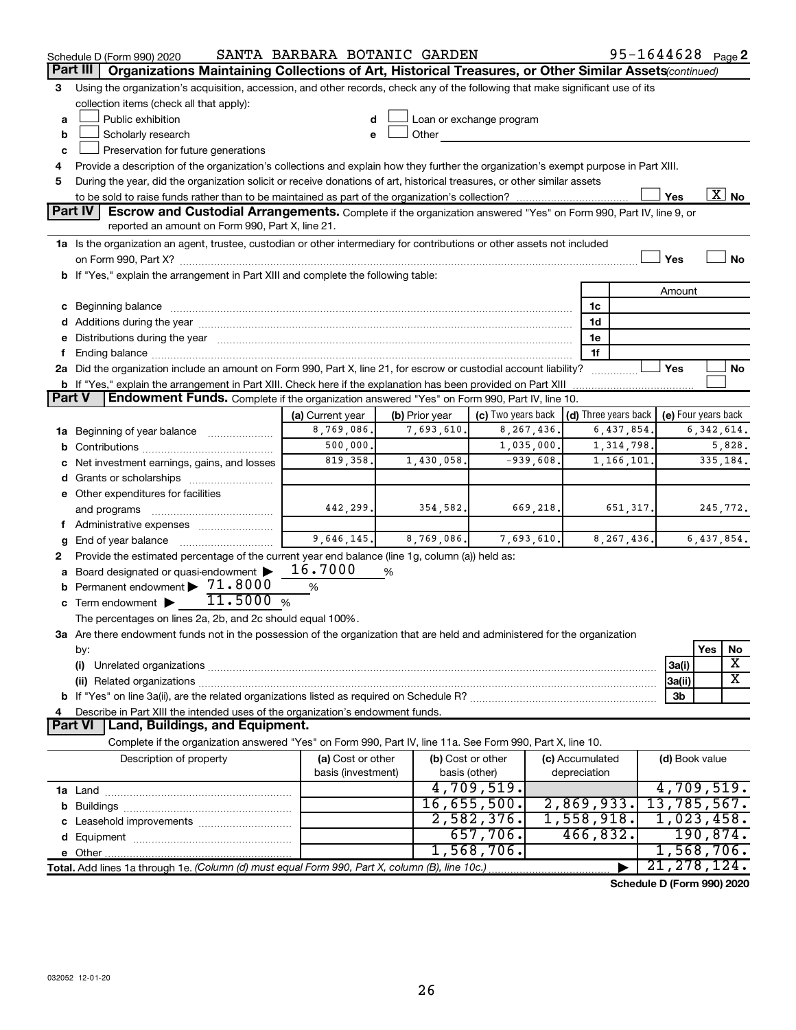|               | Schedule D (Form 990) 2020                                                                                                                                                                                                          | SANTA BARBARA BOTANIC GARDEN            |                |                                                         |                                 | 95-1644628 Page 2 |                     |              |                          |  |  |  |
|---------------|-------------------------------------------------------------------------------------------------------------------------------------------------------------------------------------------------------------------------------------|-----------------------------------------|----------------|---------------------------------------------------------|---------------------------------|-------------------|---------------------|--------------|--------------------------|--|--|--|
|               | Part III<br>Organizations Maintaining Collections of Art, Historical Treasures, or Other Similar Assets (continued)                                                                                                                 |                                         |                |                                                         |                                 |                   |                     |              |                          |  |  |  |
| 3             | Using the organization's acquisition, accession, and other records, check any of the following that make significant use of its                                                                                                     |                                         |                |                                                         |                                 |                   |                     |              |                          |  |  |  |
|               | collection items (check all that apply):                                                                                                                                                                                            |                                         |                |                                                         |                                 |                   |                     |              |                          |  |  |  |
| a             | Public exhibition                                                                                                                                                                                                                   |                                         |                | Loan or exchange program                                |                                 |                   |                     |              |                          |  |  |  |
| b             | Scholarly research                                                                                                                                                                                                                  |                                         | Other          |                                                         |                                 |                   |                     |              |                          |  |  |  |
| с             | Preservation for future generations                                                                                                                                                                                                 |                                         |                |                                                         |                                 |                   |                     |              |                          |  |  |  |
| 4             | Provide a description of the organization's collections and explain how they further the organization's exempt purpose in Part XIII.                                                                                                |                                         |                |                                                         |                                 |                   |                     |              |                          |  |  |  |
| 5             | During the year, did the organization solicit or receive donations of art, historical treasures, or other similar assets                                                                                                            |                                         |                |                                                         |                                 |                   |                     |              |                          |  |  |  |
|               |                                                                                                                                                                                                                                     |                                         |                |                                                         |                                 |                   | Yes                 |              | $\overline{\text{X}}$ No |  |  |  |
|               | Part IV<br><b>Escrow and Custodial Arrangements.</b> Complete if the organization answered "Yes" on Form 990, Part IV, line 9, or                                                                                                   |                                         |                |                                                         |                                 |                   |                     |              |                          |  |  |  |
|               | reported an amount on Form 990, Part X, line 21.                                                                                                                                                                                    |                                         |                |                                                         |                                 |                   |                     |              |                          |  |  |  |
|               | 1a Is the organization an agent, trustee, custodian or other intermediary for contributions or other assets not included                                                                                                            |                                         |                |                                                         |                                 |                   |                     |              |                          |  |  |  |
|               |                                                                                                                                                                                                                                     |                                         |                |                                                         |                                 |                   | Yes                 |              | <b>No</b>                |  |  |  |
|               | b If "Yes," explain the arrangement in Part XIII and complete the following table:                                                                                                                                                  |                                         |                |                                                         |                                 |                   |                     |              |                          |  |  |  |
|               |                                                                                                                                                                                                                                     |                                         |                |                                                         |                                 |                   | Amount              |              |                          |  |  |  |
|               | c Beginning balance <b>communications</b> and a construction of the construction of the construction of the construction of the construction of the construction of the construction of the construction of the construction of the |                                         |                |                                                         | 1c<br>1d                        |                   |                     |              |                          |  |  |  |
|               | e Distributions during the year manufactured and continuum control of the control of the control of the state of the state of the control of the control of the control of the control of the control of the control of the co      |                                         |                |                                                         | 1e                              |                   |                     |              |                          |  |  |  |
| f.            |                                                                                                                                                                                                                                     |                                         |                |                                                         | 1f                              |                   |                     |              |                          |  |  |  |
|               | 2a Did the organization include an amount on Form 990, Part X, line 21, for escrow or custodial account liability?                                                                                                                  |                                         |                |                                                         |                                 |                   | Yes                 |              | No                       |  |  |  |
|               | <b>b</b> If "Yes," explain the arrangement in Part XIII. Check here if the explanation has been provided on Part XIII                                                                                                               |                                         |                |                                                         |                                 |                   |                     |              |                          |  |  |  |
| <b>Part V</b> | Endowment Funds. Complete if the organization answered "Yes" on Form 990, Part IV, line 10.                                                                                                                                         |                                         |                |                                                         |                                 |                   |                     |              |                          |  |  |  |
|               |                                                                                                                                                                                                                                     | (a) Current year                        | (b) Prior year | (c) Two years back $\vert$ (d) Three years back $\vert$ |                                 |                   | (e) Four years back |              |                          |  |  |  |
|               | 1a Beginning of year balance                                                                                                                                                                                                        | 8,769,086.                              | 7,693,610.     | 8, 267, 436.                                            |                                 | 6,437,854.        |                     | 6, 342, 614. |                          |  |  |  |
| b             |                                                                                                                                                                                                                                     | 500,000.                                |                | 1,035,000.                                              |                                 | 1,314,798.        |                     |              | 5,828.                   |  |  |  |
| с             | Net investment earnings, gains, and losses                                                                                                                                                                                          | 819,358.                                | 1,430,058.     | $-939,608.$                                             |                                 | 1,166,101.        |                     | 335,184.     |                          |  |  |  |
|               |                                                                                                                                                                                                                                     |                                         |                |                                                         |                                 |                   |                     |              |                          |  |  |  |
|               | e Other expenditures for facilities                                                                                                                                                                                                 |                                         |                |                                                         |                                 |                   |                     |              |                          |  |  |  |
|               | and programs                                                                                                                                                                                                                        | 442,299.                                | 354,582.       | 669, 218.                                               |                                 | 651, 317.         |                     | 245,772.     |                          |  |  |  |
|               | f Administrative expenses                                                                                                                                                                                                           |                                         |                |                                                         |                                 |                   |                     |              |                          |  |  |  |
| g             |                                                                                                                                                                                                                                     | 9,646,145.                              | 8,769,086.     | 7,693,610.                                              |                                 | 8, 267, 436.      |                     | 6,437,854.   |                          |  |  |  |
| 2             | Provide the estimated percentage of the current year end balance (line 1g, column (a)) held as:                                                                                                                                     |                                         |                |                                                         |                                 |                   |                     |              |                          |  |  |  |
|               | a Board designated or quasi-endowment >                                                                                                                                                                                             | 16.7000                                 | %              |                                                         |                                 |                   |                     |              |                          |  |  |  |
|               | <b>b</b> Permanent endowment $\blacktriangleright$ 71.8000                                                                                                                                                                          | %                                       |                |                                                         |                                 |                   |                     |              |                          |  |  |  |
|               | 11.5000%<br>$\mathbf c$ Term endowment $\blacktriangleright$                                                                                                                                                                        |                                         |                |                                                         |                                 |                   |                     |              |                          |  |  |  |
|               | The percentages on lines 2a, 2b, and 2c should equal 100%.                                                                                                                                                                          |                                         |                |                                                         |                                 |                   |                     |              |                          |  |  |  |
|               | 3a Are there endowment funds not in the possession of the organization that are held and administered for the organization                                                                                                          |                                         |                |                                                         |                                 |                   |                     |              |                          |  |  |  |
|               | by:                                                                                                                                                                                                                                 |                                         |                |                                                         |                                 |                   |                     | Yes          | No                       |  |  |  |
|               | (i)                                                                                                                                                                                                                                 |                                         |                |                                                         |                                 |                   | 3a(i)               |              | х                        |  |  |  |
|               | (ii) Related organizations [11] Related organizations [11] Maximum material contract to the contract of the contract of the contract of the contract of the contract of the contract of the contract of the contract of the co      |                                         |                |                                                         |                                 |                   | 3a(ii)              |              | X                        |  |  |  |
|               |                                                                                                                                                                                                                                     |                                         |                |                                                         |                                 |                   | 3b                  |              |                          |  |  |  |
| 4             | Describe in Part XIII the intended uses of the organization's endowment funds.                                                                                                                                                      |                                         |                |                                                         |                                 |                   |                     |              |                          |  |  |  |
|               | Land, Buildings, and Equipment.<br><b>Part VI</b>                                                                                                                                                                                   |                                         |                |                                                         |                                 |                   |                     |              |                          |  |  |  |
|               | Complete if the organization answered "Yes" on Form 990, Part IV, line 11a. See Form 990, Part X, line 10.                                                                                                                          |                                         |                |                                                         |                                 |                   |                     |              |                          |  |  |  |
|               | Description of property                                                                                                                                                                                                             | (a) Cost or other<br>basis (investment) |                | (b) Cost or other<br>basis (other)                      | (c) Accumulated<br>depreciation |                   | (d) Book value      |              |                          |  |  |  |
|               |                                                                                                                                                                                                                                     |                                         |                | 4,709,519.                                              |                                 |                   | 4,709,519.          |              |                          |  |  |  |
|               |                                                                                                                                                                                                                                     |                                         |                | 16,655,500.                                             | 2,869,933.                      |                   | 13,785,567.         |              |                          |  |  |  |
| b             |                                                                                                                                                                                                                                     |                                         |                | 2,582,376.                                              | 1,558,918.                      |                   | 1,023,458.          |              |                          |  |  |  |
|               |                                                                                                                                                                                                                                     |                                         |                | 657,706.                                                | 466,832.                        |                   |                     | 190,874.     |                          |  |  |  |
|               |                                                                                                                                                                                                                                     |                                         |                | 1,568,706.                                              |                                 |                   | 1,568,706.          |              |                          |  |  |  |
|               | Total. Add lines 1a through 1e. (Column (d) must equal Form 990, Part X, column (B), line 10c.)                                                                                                                                     |                                         |                |                                                         |                                 |                   | 21, 278, 124.       |              |                          |  |  |  |
|               |                                                                                                                                                                                                                                     |                                         |                |                                                         |                                 |                   |                     |              |                          |  |  |  |

**Schedule D (Form 990) 2020**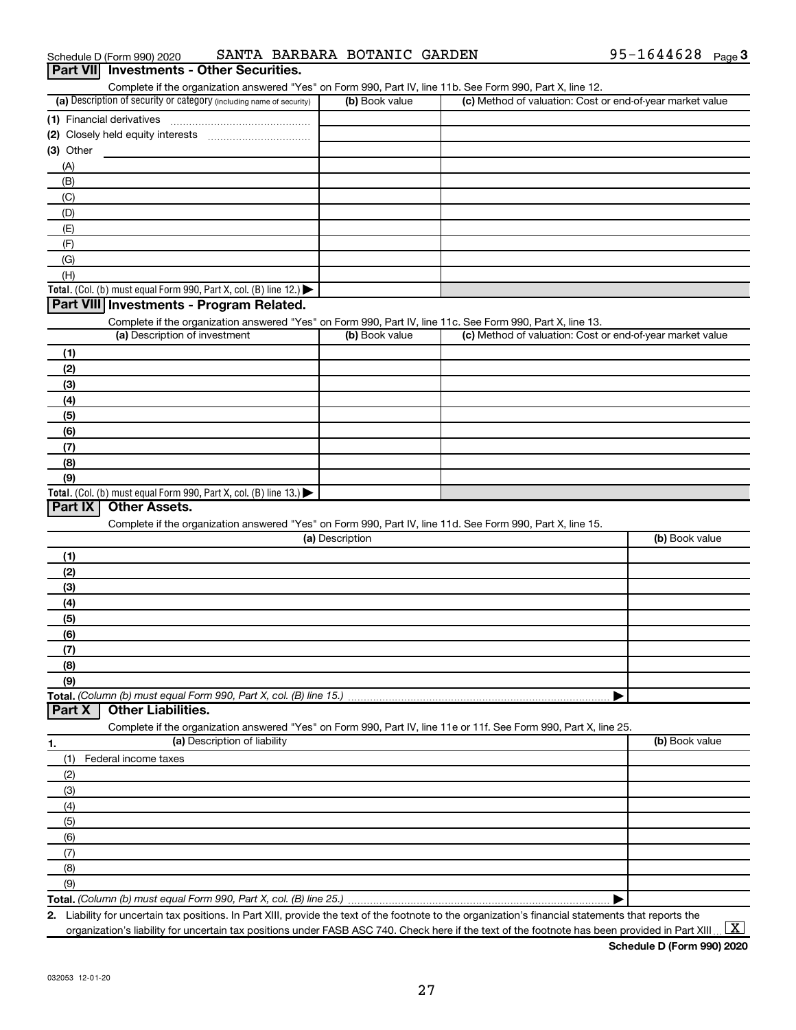| Schedule D (Form 990) 2020 |                                          | SANTA BARBARA BOTANIC GARDEN |  | 95-1644628 $_{Page}$ 3 |  |
|----------------------------|------------------------------------------|------------------------------|--|------------------------|--|
|                            | Part VII Investments - Other Securities. |                              |  |                        |  |

| Complete if the organization answered "Yes" on Form 990, Part IV, line 11b. See Form 990, Part X, line 12.        |                 |                                                           |                |
|-------------------------------------------------------------------------------------------------------------------|-----------------|-----------------------------------------------------------|----------------|
| (a) Description of security or category (including name of security)                                              | (b) Book value  | (c) Method of valuation: Cost or end-of-year market value |                |
|                                                                                                                   |                 |                                                           |                |
|                                                                                                                   |                 |                                                           |                |
| (3) Other                                                                                                         |                 |                                                           |                |
| (A)                                                                                                               |                 |                                                           |                |
| (B)                                                                                                               |                 |                                                           |                |
| (C)                                                                                                               |                 |                                                           |                |
|                                                                                                                   |                 |                                                           |                |
| (D)                                                                                                               |                 |                                                           |                |
| (E)                                                                                                               |                 |                                                           |                |
| (F)                                                                                                               |                 |                                                           |                |
| (G)                                                                                                               |                 |                                                           |                |
| (H)                                                                                                               |                 |                                                           |                |
| Total. (Col. (b) must equal Form 990, Part X, col. (B) line 12.)                                                  |                 |                                                           |                |
| Part VIII Investments - Program Related.                                                                          |                 |                                                           |                |
| Complete if the organization answered "Yes" on Form 990, Part IV, line 11c. See Form 990, Part X, line 13.        |                 |                                                           |                |
| (a) Description of investment                                                                                     | (b) Book value  | (c) Method of valuation: Cost or end-of-year market value |                |
| (1)                                                                                                               |                 |                                                           |                |
| (2)                                                                                                               |                 |                                                           |                |
| (3)                                                                                                               |                 |                                                           |                |
| (4)                                                                                                               |                 |                                                           |                |
| (5)                                                                                                               |                 |                                                           |                |
|                                                                                                                   |                 |                                                           |                |
| (6)                                                                                                               |                 |                                                           |                |
| (7)                                                                                                               |                 |                                                           |                |
| (8)                                                                                                               |                 |                                                           |                |
| (9)                                                                                                               |                 |                                                           |                |
| Total. (Col. (b) must equal Form 990, Part X, col. (B) line 13.)                                                  |                 |                                                           |                |
| <b>Other Assets.</b><br>Part IX                                                                                   |                 |                                                           |                |
| Complete if the organization answered "Yes" on Form 990, Part IV, line 11d. See Form 990, Part X, line 15.        |                 |                                                           |                |
|                                                                                                                   | (a) Description |                                                           | (b) Book value |
| (1)                                                                                                               |                 |                                                           |                |
| (2)                                                                                                               |                 |                                                           |                |
| (3)                                                                                                               |                 |                                                           |                |
| (4)                                                                                                               |                 |                                                           |                |
| (5)                                                                                                               |                 |                                                           |                |
| (6)                                                                                                               |                 |                                                           |                |
| (7)                                                                                                               |                 |                                                           |                |
|                                                                                                                   |                 |                                                           |                |
| (8)                                                                                                               |                 |                                                           |                |
| (9)                                                                                                               |                 |                                                           |                |
|                                                                                                                   |                 |                                                           |                |
| Part X<br><b>Other Liabilities.</b>                                                                               |                 |                                                           |                |
| Complete if the organization answered "Yes" on Form 990, Part IV, line 11e or 11f. See Form 990, Part X, line 25. |                 |                                                           |                |
| (a) Description of liability<br>1.                                                                                |                 |                                                           | (b) Book value |
| (1)<br>Federal income taxes                                                                                       |                 |                                                           |                |
| (2)                                                                                                               |                 |                                                           |                |
| (3)                                                                                                               |                 |                                                           |                |
| (4)                                                                                                               |                 |                                                           |                |
| (5)                                                                                                               |                 |                                                           |                |
|                                                                                                                   |                 |                                                           |                |
| (6)                                                                                                               |                 |                                                           |                |
| (7)                                                                                                               |                 |                                                           |                |
| (8)                                                                                                               |                 |                                                           |                |
| (9)                                                                                                               |                 |                                                           |                |
|                                                                                                                   |                 |                                                           |                |

**2.** Liability for uncertain tax positions. In Part XIII, provide the text of the footnote to the organization's financial statements that reports the organization's liability for uncertain tax positions under FASB ASC 740. Check here if the text of the footnote has been provided in Part XIII ...  $\fbox{\bf X}$ 

**Schedule D (Form 990) 2020**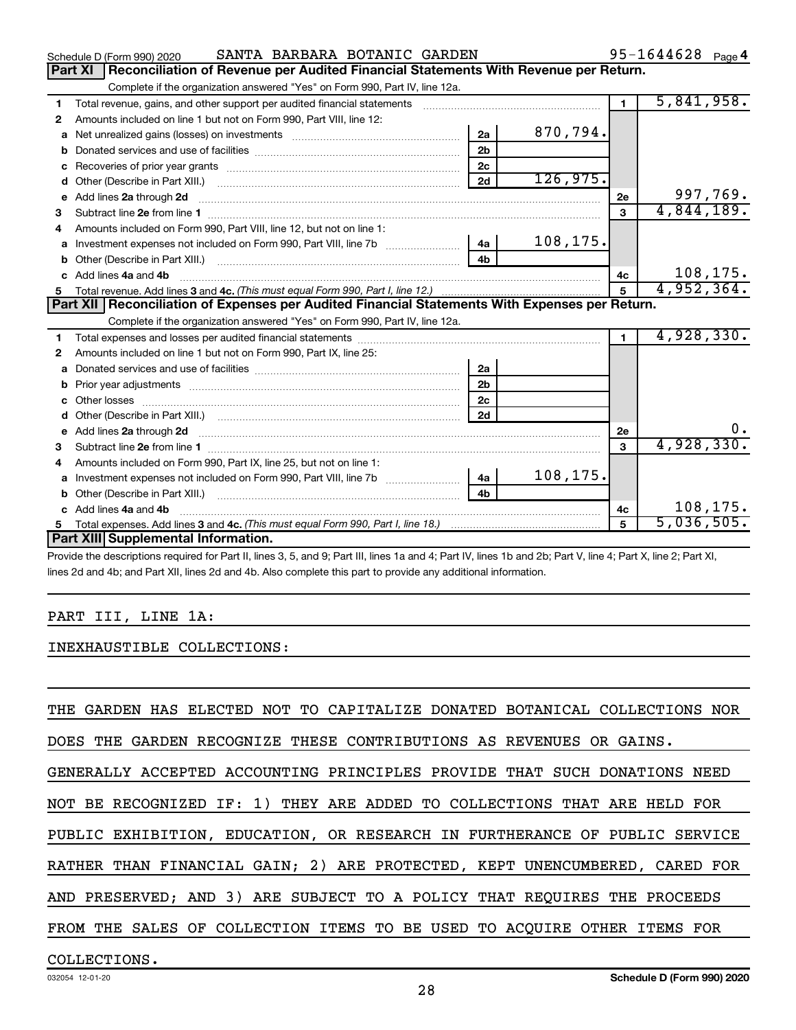|    | SANTA BARBARA BOTANIC GARDEN<br>Schedule D (Form 990) 2020                                                                                                                                                                         |                |          |                | $95 - 1644628$ Page 4 |
|----|------------------------------------------------------------------------------------------------------------------------------------------------------------------------------------------------------------------------------------|----------------|----------|----------------|-----------------------|
|    | <b>Part XI</b><br>Reconciliation of Revenue per Audited Financial Statements With Revenue per Return.                                                                                                                              |                |          |                |                       |
|    | Complete if the organization answered "Yes" on Form 990, Part IV, line 12a.                                                                                                                                                        |                |          |                |                       |
| 1  | Total revenue, gains, and other support per audited financial statements                                                                                                                                                           |                |          | $\blacksquare$ | 5,841,958.            |
| 2  | Amounts included on line 1 but not on Form 990, Part VIII, line 12:                                                                                                                                                                |                |          |                |                       |
| a  |                                                                                                                                                                                                                                    | 2a             | 870,794. |                |                       |
| b  |                                                                                                                                                                                                                                    | 2 <sub>b</sub> |          |                |                       |
|    |                                                                                                                                                                                                                                    | 2 <sub>c</sub> |          |                |                       |
| d  |                                                                                                                                                                                                                                    | 2d             | 126,975. |                |                       |
| е  | Add lines 2a through 2d                                                                                                                                                                                                            |                |          | 2e             | 997,769.              |
| З  |                                                                                                                                                                                                                                    |                |          | 3              | 4,844,189.            |
| 4  | Amounts included on Form 990, Part VIII, line 12, but not on line 1:                                                                                                                                                               |                |          |                |                       |
| a  |                                                                                                                                                                                                                                    | 4a l           | 108,175. |                |                       |
|    |                                                                                                                                                                                                                                    | 4h             |          |                |                       |
| c. | Add lines 4a and 4b                                                                                                                                                                                                                |                |          | 4c             | 108, 175.             |
| 5  |                                                                                                                                                                                                                                    |                |          |                | 4,952,364.            |
|    | Part XII Reconciliation of Expenses per Audited Financial Statements With Expenses per Return.                                                                                                                                     |                |          |                |                       |
|    | Complete if the organization answered "Yes" on Form 990, Part IV, line 12a.                                                                                                                                                        |                |          |                |                       |
| 1  |                                                                                                                                                                                                                                    |                |          | $\blacksquare$ | 4,928,330.            |
| 2  | Amounts included on line 1 but not on Form 990, Part IX, line 25:                                                                                                                                                                  |                |          |                |                       |
| a  |                                                                                                                                                                                                                                    | 2a             |          |                |                       |
| b  |                                                                                                                                                                                                                                    | 2 <sub>b</sub> |          |                |                       |
|    | Other losses                                                                                                                                                                                                                       | 2 <sub>c</sub> |          |                |                       |
| d  |                                                                                                                                                                                                                                    | 2d             |          |                |                       |
| e  | Add lines 2a through 2d <b>[10]</b> Communication and the state of the state of the state of the state of the state of the state of the state of the state of the state of the state of the state of the state of the state of the |                |          | 2e             |                       |
| з  |                                                                                                                                                                                                                                    |                |          | 3              | 4,928,330.            |
|    | Amounts included on Form 990, Part IX, line 25, but not on line 1:                                                                                                                                                                 |                |          |                |                       |
| a  |                                                                                                                                                                                                                                    | 4a             | 108,175. |                |                       |
|    | Other (Describe in Part XIII.)                                                                                                                                                                                                     | 4 <sub>b</sub> |          |                |                       |
|    | Add lines 4a and 4b                                                                                                                                                                                                                |                |          | 4c             | 108,175.              |
| 5. |                                                                                                                                                                                                                                    |                |          | 5              | 5,036,505.            |
|    | <b>Part XIII Supplemental Information.</b>                                                                                                                                                                                         |                |          |                |                       |
|    |                                                                                                                                                                                                                                    |                |          |                |                       |

Provide the descriptions required for Part II, lines 3, 5, and 9; Part III, lines 1a and 4; Part IV, lines 1b and 2b; Part V, line 4; Part X, line 2; Part XI, lines 2d and 4b; and Part XII, lines 2d and 4b. Also complete this part to provide any additional information.

## PART III, LINE 1A:

INEXHAUSTIBLE COLLECTIONS:

THE GARDEN HAS ELECTED NOT TO CAPITALIZE DONATED BOTANICAL COLLECTIONS NOR DOES THE GARDEN RECOGNIZE THESE CONTRIBUTIONS AS REVENUES OR GAINS. GENERALLY ACCEPTED ACCOUNTING PRINCIPLES PROVIDE THAT SUCH DONATIONS NEED NOT BE RECOGNIZED IF: 1) THEY ARE ADDED TO COLLECTIONS THAT ARE HELD FOR PUBLIC EXHIBITION, EDUCATION, OR RESEARCH IN FURTHERANCE OF PUBLIC SERVICE RATHER THAN FINANCIAL GAIN; 2) ARE PROTECTED, KEPT UNENCUMBERED, CARED FOR AND PRESERVED; AND 3) ARE SUBJECT TO A POLICY THAT REQUIRES THE PROCEEDS FROM THE SALES OF COLLECTION ITEMS TO BE USED TO ACQUIRE OTHER ITEMS FOR

## COLLECTIONS.

 $95 - 1644628$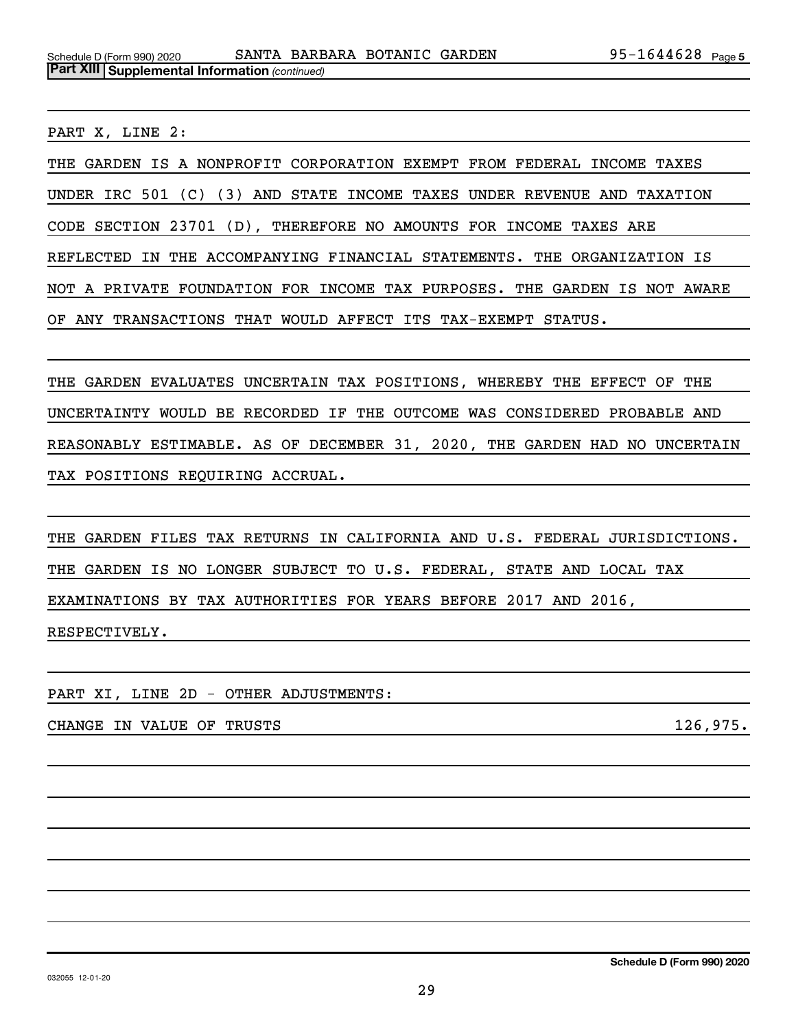PART X, LINE 2:

THE GARDEN IS A NONPROFIT CORPORATION EXEMPT FROM FEDERAL INCOME TAXES UNDER IRC 501 (C) (3) AND STATE INCOME TAXES UNDER REVENUE AND TAXATION CODE SECTION 23701 (D), THEREFORE NO AMOUNTS FOR INCOME TAXES ARE REFLECTED IN THE ACCOMPANYING FINANCIAL STATEMENTS. THE ORGANIZATION IS NOT A PRIVATE FOUNDATION FOR INCOME TAX PURPOSES. THE GARDEN IS NOT AWARE OF ANY TRANSACTIONS THAT WOULD AFFECT ITS TAX-EXEMPT STATUS.

THE GARDEN EVALUATES UNCERTAIN TAX POSITIONS, WHEREBY THE EFFECT OF THE UNCERTAINTY WOULD BE RECORDED IF THE OUTCOME WAS CONSIDERED PROBABLE AND REASONABLY ESTIMABLE. AS OF DECEMBER 31, 2020, THE GARDEN HAD NO UNCERTAIN TAX POSITIONS REQUIRING ACCRUAL.

THE GARDEN FILES TAX RETURNS IN CALIFORNIA AND U.S. FEDERAL JURISDICTIONS. THE GARDEN IS NO LONGER SUBJECT TO U.S. FEDERAL, STATE AND LOCAL TAX EXAMINATIONS BY TAX AUTHORITIES FOR YEARS BEFORE 2017 AND 2016, RESPECTIVELY.

PART XI, LINE 2D - OTHER ADJUSTMENTS:

CHANGE IN VALUE OF TRUSTS 126,975.

**Schedule D (Form 990) 2020**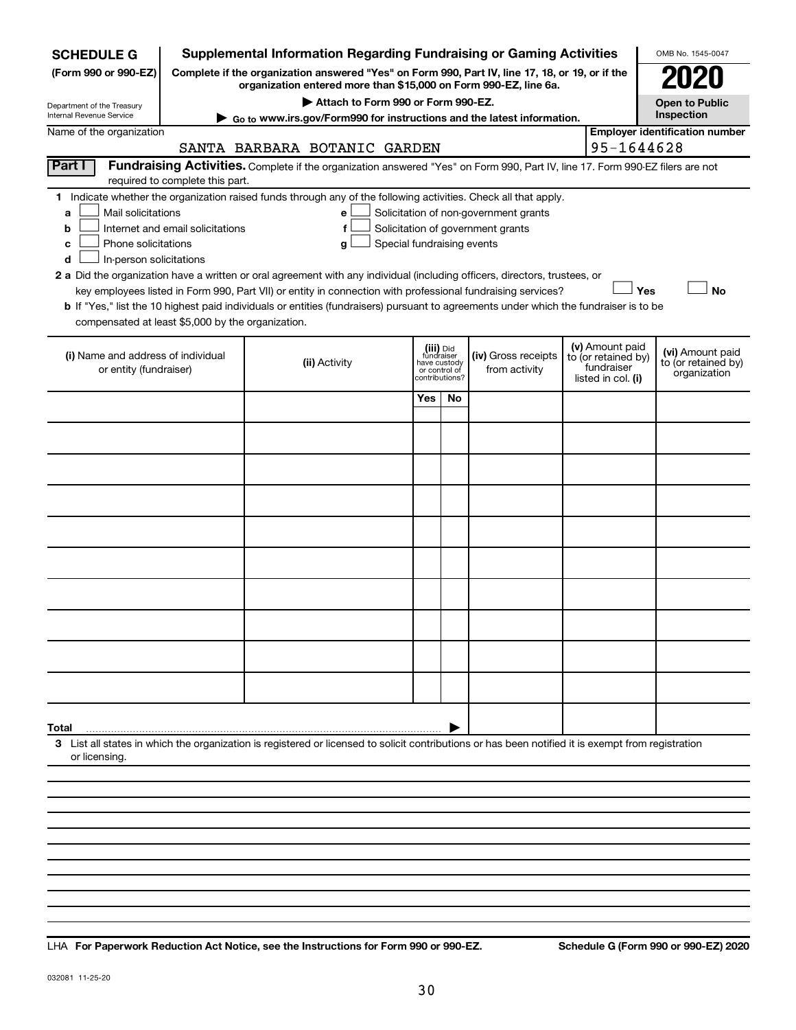| <b>SCHEDULE G</b>                                                                                                                             |                                  | <b>Supplemental Information Regarding Fundraising or Gaming Activities</b>                                                                                                                                                                                                                                                                                                                                                                                                                                           |                            |                         |                                                 |                                                                            |                                                                            | OMB No. 1545-0047                                       |
|-----------------------------------------------------------------------------------------------------------------------------------------------|----------------------------------|----------------------------------------------------------------------------------------------------------------------------------------------------------------------------------------------------------------------------------------------------------------------------------------------------------------------------------------------------------------------------------------------------------------------------------------------------------------------------------------------------------------------|----------------------------|-------------------------|-------------------------------------------------|----------------------------------------------------------------------------|----------------------------------------------------------------------------|---------------------------------------------------------|
| (Form 990 or 990-EZ)                                                                                                                          |                                  | Complete if the organization answered "Yes" on Form 990, Part IV, line 17, 18, or 19, or if the<br>organization entered more than \$15,000 on Form 990-EZ, line 6a.                                                                                                                                                                                                                                                                                                                                                  |                            |                         |                                                 |                                                                            |                                                                            |                                                         |
| Department of the Treasury                                                                                                                    |                                  | Attach to Form 990 or Form 990-EZ.                                                                                                                                                                                                                                                                                                                                                                                                                                                                                   |                            |                         |                                                 |                                                                            |                                                                            | <b>Open to Public</b>                                   |
| <b>Internal Revenue Service</b><br>Name of the organization                                                                                   |                                  | Go to www.irs.gov/Form990 for instructions and the latest information.                                                                                                                                                                                                                                                                                                                                                                                                                                               |                            |                         |                                                 |                                                                            |                                                                            | Inspection<br><b>Employer identification number</b>     |
|                                                                                                                                               |                                  | SANTA BARBARA BOTANIC GARDEN                                                                                                                                                                                                                                                                                                                                                                                                                                                                                         |                            |                         |                                                 |                                                                            | 95-1644628                                                                 |                                                         |
| Part I                                                                                                                                        | required to complete this part.  | Fundraising Activities. Complete if the organization answered "Yes" on Form 990, Part IV, line 17. Form 990-EZ filers are not                                                                                                                                                                                                                                                                                                                                                                                        |                            |                         |                                                 |                                                                            |                                                                            |                                                         |
| Mail solicitations<br>a<br>b<br>Phone solicitations<br>c<br>In-person solicitations<br>d<br>compensated at least \$5,000 by the organization. | Internet and email solicitations | 1 Indicate whether the organization raised funds through any of the following activities. Check all that apply.<br>e<br>f<br>g<br>2 a Did the organization have a written or oral agreement with any individual (including officers, directors, trustees, or<br>key employees listed in Form 990, Part VII) or entity in connection with professional fundraising services?<br>b If "Yes," list the 10 highest paid individuals or entities (fundraisers) pursuant to agreements under which the fundraiser is to be | Special fundraising events |                         |                                                 | Solicitation of non-government grants<br>Solicitation of government grants |                                                                            | Yes<br><b>No</b>                                        |
| (i) Name and address of individual<br>or entity (fundraiser)                                                                                  |                                  | (ii) Activity                                                                                                                                                                                                                                                                                                                                                                                                                                                                                                        |                            | (iii) Did<br>fundraiser | have custody<br>or control of<br>contributions? | (iv) Gross receipts<br>from activity                                       | (v) Amount paid<br>to (or retained by)<br>fundraiser<br>listed in col. (i) | (vi) Amount paid<br>to (or retained by)<br>organization |
|                                                                                                                                               |                                  |                                                                                                                                                                                                                                                                                                                                                                                                                                                                                                                      |                            | Yes                     | No                                              |                                                                            |                                                                            |                                                         |
|                                                                                                                                               |                                  |                                                                                                                                                                                                                                                                                                                                                                                                                                                                                                                      |                            |                         |                                                 |                                                                            |                                                                            |                                                         |
|                                                                                                                                               |                                  |                                                                                                                                                                                                                                                                                                                                                                                                                                                                                                                      |                            |                         |                                                 |                                                                            |                                                                            |                                                         |
|                                                                                                                                               |                                  |                                                                                                                                                                                                                                                                                                                                                                                                                                                                                                                      |                            |                         |                                                 |                                                                            |                                                                            |                                                         |
|                                                                                                                                               |                                  |                                                                                                                                                                                                                                                                                                                                                                                                                                                                                                                      |                            |                         |                                                 |                                                                            |                                                                            |                                                         |
|                                                                                                                                               |                                  |                                                                                                                                                                                                                                                                                                                                                                                                                                                                                                                      |                            |                         |                                                 |                                                                            |                                                                            |                                                         |
|                                                                                                                                               |                                  |                                                                                                                                                                                                                                                                                                                                                                                                                                                                                                                      |                            |                         |                                                 |                                                                            |                                                                            |                                                         |
|                                                                                                                                               |                                  |                                                                                                                                                                                                                                                                                                                                                                                                                                                                                                                      |                            |                         |                                                 |                                                                            |                                                                            |                                                         |
|                                                                                                                                               |                                  |                                                                                                                                                                                                                                                                                                                                                                                                                                                                                                                      |                            |                         |                                                 |                                                                            |                                                                            |                                                         |
|                                                                                                                                               |                                  |                                                                                                                                                                                                                                                                                                                                                                                                                                                                                                                      |                            |                         |                                                 |                                                                            |                                                                            |                                                         |
|                                                                                                                                               |                                  |                                                                                                                                                                                                                                                                                                                                                                                                                                                                                                                      |                            |                         |                                                 |                                                                            |                                                                            |                                                         |
| Total<br>or licensing.                                                                                                                        |                                  | 3 List all states in which the organization is registered or licensed to solicit contributions or has been notified it is exempt from registration                                                                                                                                                                                                                                                                                                                                                                   |                            |                         |                                                 |                                                                            |                                                                            |                                                         |
|                                                                                                                                               |                                  |                                                                                                                                                                                                                                                                                                                                                                                                                                                                                                                      |                            |                         |                                                 |                                                                            |                                                                            |                                                         |
|                                                                                                                                               |                                  |                                                                                                                                                                                                                                                                                                                                                                                                                                                                                                                      |                            |                         |                                                 |                                                                            |                                                                            |                                                         |
|                                                                                                                                               |                                  |                                                                                                                                                                                                                                                                                                                                                                                                                                                                                                                      |                            |                         |                                                 |                                                                            |                                                                            |                                                         |
|                                                                                                                                               |                                  |                                                                                                                                                                                                                                                                                                                                                                                                                                                                                                                      |                            |                         |                                                 |                                                                            |                                                                            |                                                         |

**For Paperwork Reduction Act Notice, see the Instructions for Form 990 or 990-EZ. Schedule G (Form 990 or 990-EZ) 2020** LHA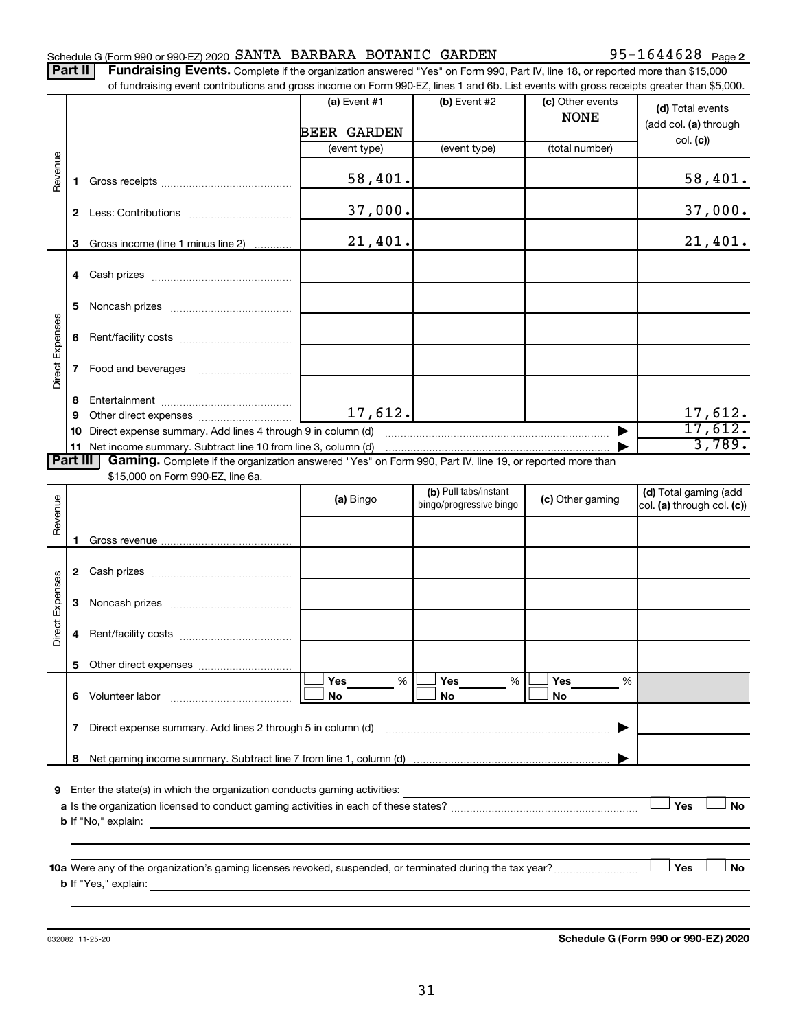|  | Schedule G (Form 990 or 990-EZ) 2020 SANTA BARBARA BOTANIC GARDEN |  |  |  |  | 95-1644628 $_{\text{Page 2}}$ |  |
|--|-------------------------------------------------------------------|--|--|--|--|-------------------------------|--|
|--|-------------------------------------------------------------------|--|--|--|--|-------------------------------|--|

Part II | Fundraising Events. Complete if the organization answered "Yes" on Form 990, Part IV, line 18, or reported more than \$15,000 of fundraising event contributions and gross income on Form 990-EZ, lines 1 and 6b. List events with gross receipts greater than \$5,000.

|                        |              | or fundraising event contributions and gross income on Form 990-EZ, lines T and 6D. List events with gross receipts greater than \$5,000. |                    |                                                  |                                 |                                                     |
|------------------------|--------------|-------------------------------------------------------------------------------------------------------------------------------------------|--------------------|--------------------------------------------------|---------------------------------|-----------------------------------------------------|
|                        |              |                                                                                                                                           | (a) Event $#1$     | $(b)$ Event #2                                   | (c) Other events<br><b>NONE</b> | (d) Total events<br>(add col. (a) through           |
|                        |              |                                                                                                                                           | <b>BEER GARDEN</b> |                                                  |                                 | col. (c)                                            |
|                        |              |                                                                                                                                           | (event type)       | (event type)                                     | (total number)                  |                                                     |
| Revenue                | 1.           |                                                                                                                                           | 58,401.            |                                                  |                                 | 58,401.                                             |
|                        |              |                                                                                                                                           | 37,000.            |                                                  |                                 | 37,000.                                             |
|                        | 3            | Gross income (line 1 minus line 2)                                                                                                        | 21,401.            |                                                  |                                 | 21,401.                                             |
|                        |              |                                                                                                                                           |                    |                                                  |                                 |                                                     |
|                        | 5.           |                                                                                                                                           |                    |                                                  |                                 |                                                     |
|                        | 6            |                                                                                                                                           |                    |                                                  |                                 |                                                     |
| Direct Expenses        | $\mathbf{7}$ |                                                                                                                                           |                    |                                                  |                                 |                                                     |
|                        | 8            |                                                                                                                                           |                    |                                                  |                                 |                                                     |
|                        | 9            |                                                                                                                                           | 17,612.            |                                                  |                                 | 17,612.                                             |
|                        | 10.          | Direct expense summary. Add lines 4 through 9 in column (d)                                                                               |                    |                                                  |                                 | 17,612.                                             |
|                        |              |                                                                                                                                           |                    |                                                  |                                 | 3,789.                                              |
| Part III               |              | Gaming. Complete if the organization answered "Yes" on Form 990, Part IV, line 19, or reported more than                                  |                    |                                                  |                                 |                                                     |
|                        |              | \$15,000 on Form 990-EZ, line 6a.                                                                                                         |                    |                                                  |                                 |                                                     |
| Revenue                |              |                                                                                                                                           | (a) Bingo          | (b) Pull tabs/instant<br>bingo/progressive bingo | (c) Other gaming                | (d) Total gaming (add<br>col. (a) through col. (c)) |
|                        |              |                                                                                                                                           |                    |                                                  |                                 |                                                     |
|                        | 1.           |                                                                                                                                           |                    |                                                  |                                 |                                                     |
|                        |              |                                                                                                                                           |                    |                                                  |                                 |                                                     |
| <b>Direct Expenses</b> | 3            |                                                                                                                                           |                    |                                                  |                                 |                                                     |
|                        | 4            |                                                                                                                                           |                    |                                                  |                                 |                                                     |
|                        | 5.           |                                                                                                                                           |                    |                                                  |                                 |                                                     |
|                        |              |                                                                                                                                           | Yes<br>%           | Yes<br>%                                         | Yes<br>%                        |                                                     |
|                        |              | 6 Volunteer labor                                                                                                                         | No                 | No                                               | No                              |                                                     |
|                        | $\mathbf{7}$ | Direct expense summary. Add lines 2 through 5 in column (d)                                                                               |                    |                                                  |                                 |                                                     |
|                        | 8            |                                                                                                                                           |                    |                                                  |                                 |                                                     |
|                        |              |                                                                                                                                           |                    |                                                  |                                 |                                                     |
| 9                      |              | Enter the state(s) in which the organization conducts gaming activities:                                                                  |                    |                                                  |                                 |                                                     |
|                        |              |                                                                                                                                           |                    |                                                  |                                 | Yes<br>No                                           |
|                        |              | <b>b</b> If "No," explain:                                                                                                                |                    |                                                  |                                 |                                                     |
|                        |              |                                                                                                                                           |                    |                                                  |                                 |                                                     |
|                        |              |                                                                                                                                           |                    |                                                  |                                 |                                                     |
|                        |              | <b>b</b> If "Yes," explain:                                                                                                               |                    |                                                  |                                 | Yes<br>No                                           |
|                        |              | <u> 1989 - Johann Stoff, deutscher Stoff, der Stoff, der Stoff, der Stoff, der Stoff, der Stoff, der Stoff, der S</u>                     |                    |                                                  |                                 |                                                     |
|                        |              |                                                                                                                                           |                    |                                                  |                                 |                                                     |

032082 11-25-20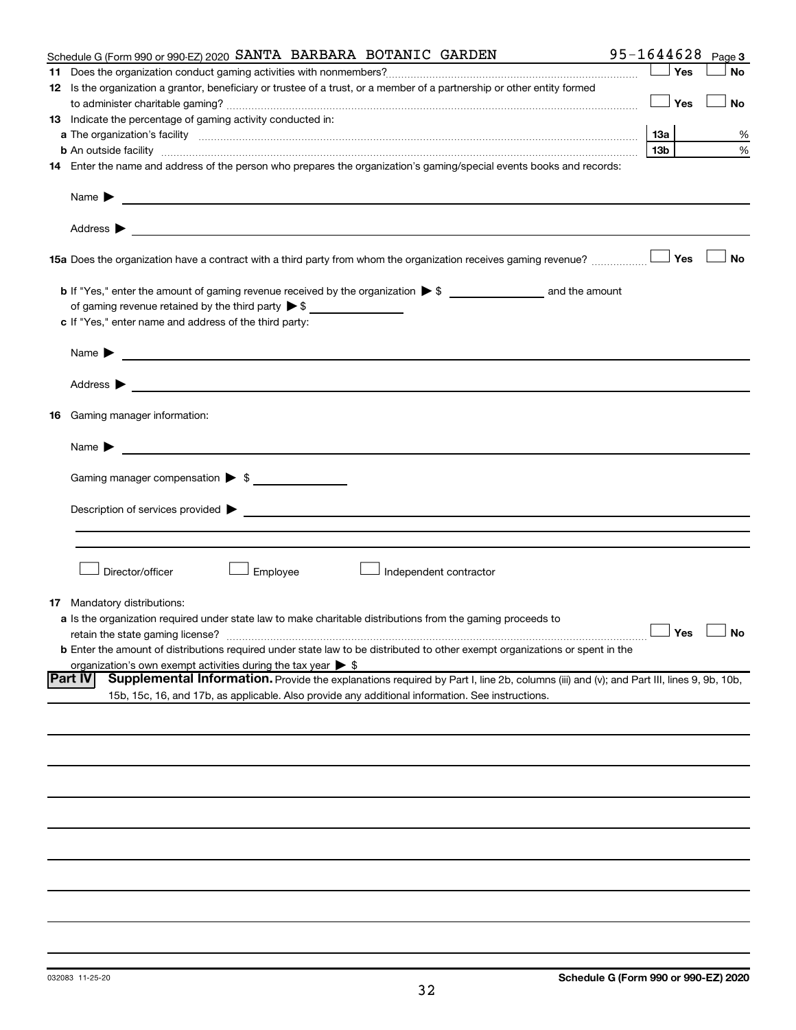|    | Schedule G (Form 990 or 990-EZ) 2020 SANTA BARBARA BOTANIC GARDEN                                                                                                                                                                                                  | 95-1644628      | Page 3               |
|----|--------------------------------------------------------------------------------------------------------------------------------------------------------------------------------------------------------------------------------------------------------------------|-----------------|----------------------|
|    |                                                                                                                                                                                                                                                                    | Yes             | <b>No</b>            |
|    | 12 Is the organization a grantor, beneficiary or trustee of a trust, or a member of a partnership or other entity formed                                                                                                                                           |                 |                      |
|    |                                                                                                                                                                                                                                                                    | Yes             | No                   |
|    | 13 Indicate the percentage of gaming activity conducted in:                                                                                                                                                                                                        |                 |                      |
|    |                                                                                                                                                                                                                                                                    | 1За             | %                    |
|    | <b>b</b> An outside facility <i>www.communicality www.communicality.communicality www.communicality www.communicality.communicality www.communicality.com</i>                                                                                                      | 13 <sub>b</sub> | %                    |
|    | 14 Enter the name and address of the person who prepares the organization's gaming/special events books and records:                                                                                                                                               |                 |                      |
|    |                                                                                                                                                                                                                                                                    |                 |                      |
|    | Name $\blacktriangleright$<br><u> 1989 - Johann Barn, fransk politik formuler (d. 1989)</u>                                                                                                                                                                        |                 |                      |
|    |                                                                                                                                                                                                                                                                    |                 |                      |
|    | 15a Does the organization have a contract with a third party from whom the organization receives gaming revenue?                                                                                                                                                   | Yes             | <b>No</b>            |
|    |                                                                                                                                                                                                                                                                    |                 |                      |
|    | of gaming revenue retained by the third party $\triangleright$ \$                                                                                                                                                                                                  |                 |                      |
|    | c If "Yes," enter name and address of the third party:                                                                                                                                                                                                             |                 |                      |
|    |                                                                                                                                                                                                                                                                    |                 |                      |
|    | Name $\blacktriangleright$<br><u>and the state of the state of the state of the state of the state of the state of the state of the state of the state of the state of the state of the state of the state of the state of the state of the state of the state</u> |                 |                      |
|    | Address $\blacktriangleright$<br><u>and the contract of the contract of the contract of the contract of the contract of the contract of the contract of</u>                                                                                                        |                 |                      |
| 16 | Gaming manager information:                                                                                                                                                                                                                                        |                 |                      |
|    | <u> 1989 - Johann Barbara, martin amerikan basal da</u><br>Name $\blacktriangleright$                                                                                                                                                                              |                 |                      |
|    | Gaming manager compensation > \$                                                                                                                                                                                                                                   |                 |                      |
|    |                                                                                                                                                                                                                                                                    |                 |                      |
|    |                                                                                                                                                                                                                                                                    |                 |                      |
|    |                                                                                                                                                                                                                                                                    |                 |                      |
|    |                                                                                                                                                                                                                                                                    |                 |                      |
|    |                                                                                                                                                                                                                                                                    |                 |                      |
|    | Director/officer<br>Employee<br>Independent contractor                                                                                                                                                                                                             |                 |                      |
|    |                                                                                                                                                                                                                                                                    |                 |                      |
|    | <b>17</b> Mandatory distributions:                                                                                                                                                                                                                                 |                 |                      |
|    | a Is the organization required under state law to make charitable distributions from the gaming proceeds to                                                                                                                                                        |                 |                      |
|    | retain the state gaming license?                                                                                                                                                                                                                                   |                 | $\Box$ Yes $\Box$ No |
|    | b Enter the amount of distributions required under state law to be distributed to other exempt organizations or spent in the                                                                                                                                       |                 |                      |
|    | organization's own exempt activities during the tax year $\triangleright$ \$                                                                                                                                                                                       |                 |                      |
|    | <b>Part IV</b><br>Supplemental Information. Provide the explanations required by Part I, line 2b, columns (iii) and (v); and Part III, lines 9, 9b, 10b,                                                                                                           |                 |                      |
|    | 15b, 15c, 16, and 17b, as applicable. Also provide any additional information. See instructions.                                                                                                                                                                   |                 |                      |
|    |                                                                                                                                                                                                                                                                    |                 |                      |
|    |                                                                                                                                                                                                                                                                    |                 |                      |
|    |                                                                                                                                                                                                                                                                    |                 |                      |
|    |                                                                                                                                                                                                                                                                    |                 |                      |
|    |                                                                                                                                                                                                                                                                    |                 |                      |
|    |                                                                                                                                                                                                                                                                    |                 |                      |
|    |                                                                                                                                                                                                                                                                    |                 |                      |
|    |                                                                                                                                                                                                                                                                    |                 |                      |
|    |                                                                                                                                                                                                                                                                    |                 |                      |
|    |                                                                                                                                                                                                                                                                    |                 |                      |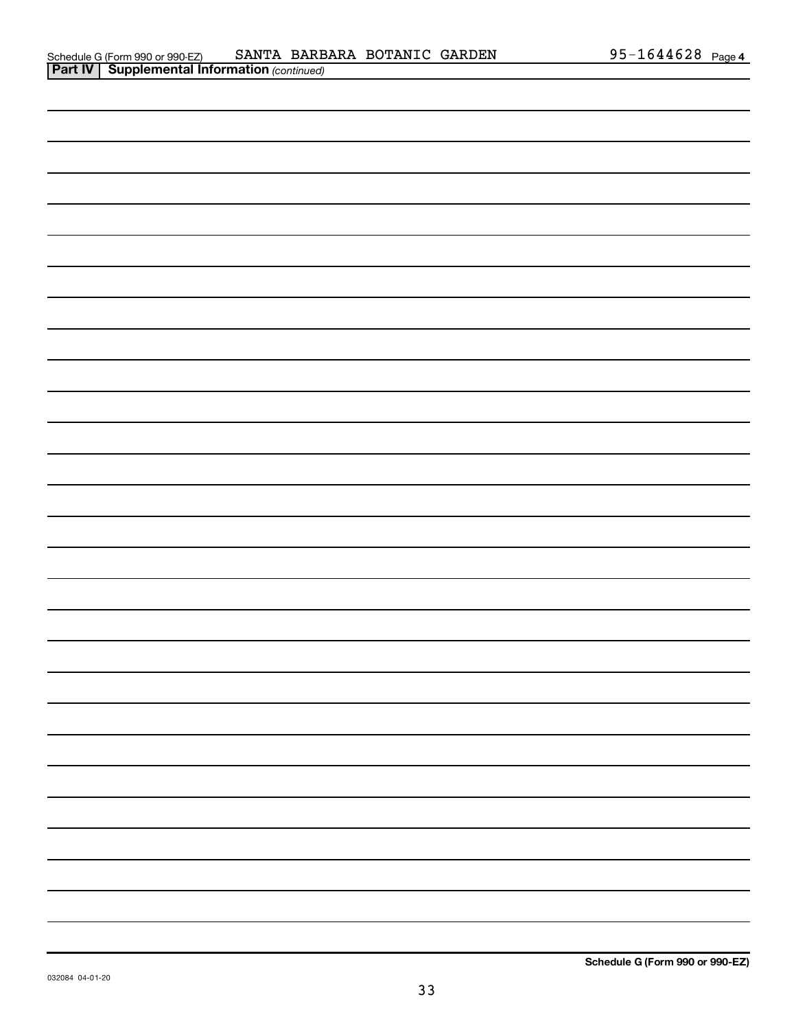|  | ╾ |
|--|---|
|  | — |
|  | — |
|  | — |
|  | — |
|  | - |
|  |   |
|  |   |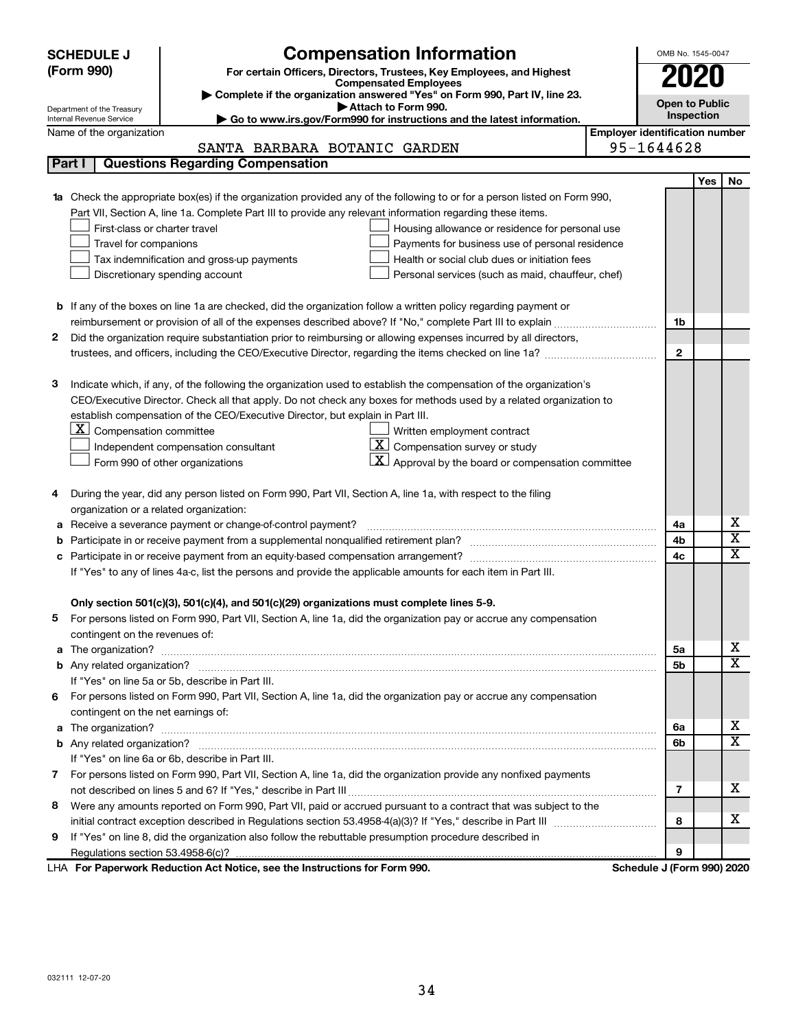|    | <b>Compensation Information</b><br><b>SCHEDULE J</b>                                                                             |                                       | OMB No. 1545-0047     |            |                             |  |
|----|----------------------------------------------------------------------------------------------------------------------------------|---------------------------------------|-----------------------|------------|-----------------------------|--|
|    | (Form 990)<br>For certain Officers, Directors, Trustees, Key Employees, and Highest                                              |                                       |                       |            |                             |  |
|    | <b>Compensated Employees</b>                                                                                                     |                                       |                       |            |                             |  |
|    | Complete if the organization answered "Yes" on Form 990, Part IV, line 23.<br>Attach to Form 990.                                |                                       | <b>Open to Public</b> |            |                             |  |
|    | Department of the Treasury<br>Go to www.irs.gov/Form990 for instructions and the latest information.<br>Internal Revenue Service |                                       | Inspection            |            |                             |  |
|    | Name of the organization                                                                                                         | <b>Employer identification number</b> |                       |            |                             |  |
|    | SANTA BARBARA BOTANIC GARDEN                                                                                                     | 95-1644628                            |                       |            |                             |  |
|    | <b>Questions Regarding Compensation</b><br>Part I                                                                                |                                       |                       |            |                             |  |
|    |                                                                                                                                  |                                       |                       | <b>Yes</b> | No                          |  |
|    | Check the appropriate box(es) if the organization provided any of the following to or for a person listed on Form 990,           |                                       |                       |            |                             |  |
|    | Part VII, Section A, line 1a. Complete Part III to provide any relevant information regarding these items.                       |                                       |                       |            |                             |  |
|    | First-class or charter travel<br>Housing allowance or residence for personal use                                                 |                                       |                       |            |                             |  |
|    | Travel for companions<br>Payments for business use of personal residence                                                         |                                       |                       |            |                             |  |
|    | Tax indemnification and gross-up payments<br>Health or social club dues or initiation fees                                       |                                       |                       |            |                             |  |
|    | Discretionary spending account<br>Personal services (such as maid, chauffeur, chef)                                              |                                       |                       |            |                             |  |
|    |                                                                                                                                  |                                       |                       |            |                             |  |
|    | <b>b</b> If any of the boxes on line 1a are checked, did the organization follow a written policy regarding payment or           |                                       |                       |            |                             |  |
|    | reimbursement or provision of all of the expenses described above? If "No," complete Part III to explain                         |                                       | 1b                    |            |                             |  |
| 2  | Did the organization require substantiation prior to reimbursing or allowing expenses incurred by all directors,                 |                                       |                       |            |                             |  |
|    |                                                                                                                                  |                                       | $\mathbf{2}$          |            |                             |  |
|    |                                                                                                                                  |                                       |                       |            |                             |  |
| З  | Indicate which, if any, of the following the organization used to establish the compensation of the organization's               |                                       |                       |            |                             |  |
|    | CEO/Executive Director. Check all that apply. Do not check any boxes for methods used by a related organization to               |                                       |                       |            |                             |  |
|    | establish compensation of the CEO/Executive Director, but explain in Part III.<br>$ \mathbf{X} $ Compensation committee          |                                       |                       |            |                             |  |
|    | Written employment contract<br>$\boxed{\textbf{X}}$ Compensation survey or study                                                 |                                       |                       |            |                             |  |
|    | Independent compensation consultant<br>Approval by the board or compensation committee                                           |                                       |                       |            |                             |  |
|    | Form 990 of other organizations                                                                                                  |                                       |                       |            |                             |  |
| 4  | During the year, did any person listed on Form 990, Part VII, Section A, line 1a, with respect to the filing                     |                                       |                       |            |                             |  |
|    | organization or a related organization:                                                                                          |                                       |                       |            |                             |  |
| а  | Receive a severance payment or change-of-control payment?                                                                        |                                       | 4a                    |            | х                           |  |
| b  |                                                                                                                                  |                                       | 4b                    |            | $\overline{\textnormal{x}}$ |  |
| с  |                                                                                                                                  |                                       | 4c                    |            | $\overline{\textnormal{x}}$ |  |
|    | If "Yes" to any of lines 4a-c, list the persons and provide the applicable amounts for each item in Part III.                    |                                       |                       |            |                             |  |
|    |                                                                                                                                  |                                       |                       |            |                             |  |
|    | Only section 501(c)(3), 501(c)(4), and 501(c)(29) organizations must complete lines 5-9.                                         |                                       |                       |            |                             |  |
|    | For persons listed on Form 990, Part VII, Section A, line 1a, did the organization pay or accrue any compensation                |                                       |                       |            |                             |  |
|    | contingent on the revenues of:                                                                                                   |                                       |                       |            |                             |  |
| a  |                                                                                                                                  |                                       | 5a                    |            | х                           |  |
|    |                                                                                                                                  |                                       | 5b                    |            | $\overline{\mathbf{X}}$     |  |
|    | If "Yes" on line 5a or 5b, describe in Part III.                                                                                 |                                       |                       |            |                             |  |
| 6. | For persons listed on Form 990, Part VII, Section A, line 1a, did the organization pay or accrue any compensation                |                                       |                       |            |                             |  |
|    | contingent on the net earnings of:                                                                                               |                                       |                       |            |                             |  |
| a  |                                                                                                                                  |                                       | 6а                    |            | х                           |  |
|    |                                                                                                                                  |                                       | 6b                    |            | $\overline{\mathbf{X}}$     |  |
|    | If "Yes" on line 6a or 6b, describe in Part III.                                                                                 |                                       |                       |            |                             |  |
|    | 7 For persons listed on Form 990, Part VII, Section A, line 1a, did the organization provide any nonfixed payments               |                                       |                       |            |                             |  |
|    |                                                                                                                                  |                                       | 7                     |            | x                           |  |
| 8  | Were any amounts reported on Form 990, Part VII, paid or accrued pursuant to a contract that was subject to the                  |                                       |                       |            |                             |  |
|    |                                                                                                                                  |                                       | 8                     |            | х                           |  |
| 9  | If "Yes" on line 8, did the organization also follow the rebuttable presumption procedure described in                           |                                       |                       |            |                             |  |
|    |                                                                                                                                  |                                       | 9                     |            |                             |  |
|    | LHA For Paperwork Reduction Act Notice, see the Instructions for Form 990.                                                       | Schedule J (Form 990) 2020            |                       |            |                             |  |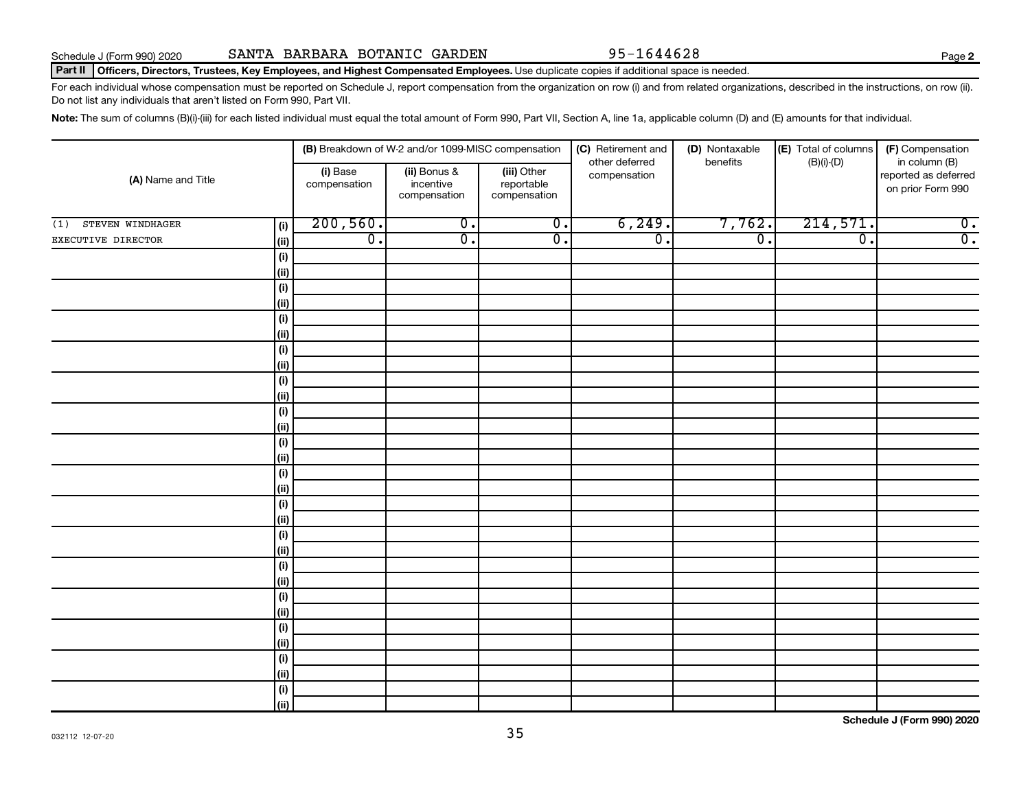### Part II | Officers, Directors, Trustees, Key Employees, and Highest Compensated Employees. Use duplicate copies if additional space is needed.

For each individual whose compensation must be reported on Schedule J, report compensation from the organization on row (i) and from related organizations, described in the instructions, on row (ii). Do not list any individuals that aren't listed on Form 990, Part VII.

Note: The sum of columns (B)(i)-(iii) for each listed individual must equal the total amount of Form 990, Part VII, Section A, line 1a, applicable column (D) and (E) amounts for that individual.

|                         |                    |                          | (B) Breakdown of W-2 and/or 1099-MISC compensation |                                           | (C) Retirement and             | (D) Nontaxable   | (E) Total of columns        | (F) Compensation                                           |  |
|-------------------------|--------------------|--------------------------|----------------------------------------------------|-------------------------------------------|--------------------------------|------------------|-----------------------------|------------------------------------------------------------|--|
| (A) Name and Title      |                    | (i) Base<br>compensation | (ii) Bonus &<br>incentive<br>compensation          | (iii) Other<br>reportable<br>compensation | other deferred<br>compensation | benefits         | $(B)(i)$ - $(D)$            | in column (B)<br>reported as deferred<br>on prior Form 990 |  |
| STEVEN WINDHAGER<br>(1) | (i)                | 200, 560.                | $\overline{0}$ .                                   | $\overline{0}$ .                          | 6, 249.                        | 7,762.           | 214,571.                    | $\overline{0}$ .                                           |  |
| EXECUTIVE DIRECTOR      | (ii)               | $\overline{0}$ .         | $\overline{0}$ .                                   | $\overline{0}$ .                          | $\overline{0}$ .               | $\overline{0}$ . | $\overline{\mathfrak{o}}$ . | $\overline{0}$ .                                           |  |
|                         | $(\sf{i})$         |                          |                                                    |                                           |                                |                  |                             |                                                            |  |
|                         | (ii)               |                          |                                                    |                                           |                                |                  |                             |                                                            |  |
|                         | $(\sf{i})$         |                          |                                                    |                                           |                                |                  |                             |                                                            |  |
|                         | (ii)               |                          |                                                    |                                           |                                |                  |                             |                                                            |  |
|                         | $(\sf{i})$         |                          |                                                    |                                           |                                |                  |                             |                                                            |  |
|                         | (ii)               |                          |                                                    |                                           |                                |                  |                             |                                                            |  |
|                         | $(\sf{i})$         |                          |                                                    |                                           |                                |                  |                             |                                                            |  |
|                         | (ii)               |                          |                                                    |                                           |                                |                  |                             |                                                            |  |
|                         | $(\sf{i})$         |                          |                                                    |                                           |                                |                  |                             |                                                            |  |
|                         | (i)                |                          |                                                    |                                           |                                |                  |                             |                                                            |  |
|                         | $(\sf{i})$         |                          |                                                    |                                           |                                |                  |                             |                                                            |  |
|                         | (ii)<br>$(\sf{i})$ |                          |                                                    |                                           |                                |                  |                             |                                                            |  |
|                         | (ii)               |                          |                                                    |                                           |                                |                  |                             |                                                            |  |
|                         | $(\sf{i})$         |                          |                                                    |                                           |                                |                  |                             |                                                            |  |
|                         | (ii)               |                          |                                                    |                                           |                                |                  |                             |                                                            |  |
|                         | $(\sf{i})$         |                          |                                                    |                                           |                                |                  |                             |                                                            |  |
|                         | (i)                |                          |                                                    |                                           |                                |                  |                             |                                                            |  |
|                         | $(\sf{i})$         |                          |                                                    |                                           |                                |                  |                             |                                                            |  |
|                         | (i)                |                          |                                                    |                                           |                                |                  |                             |                                                            |  |
|                         | $(\sf{i})$         |                          |                                                    |                                           |                                |                  |                             |                                                            |  |
|                         | (ii)               |                          |                                                    |                                           |                                |                  |                             |                                                            |  |
|                         | (i)                |                          |                                                    |                                           |                                |                  |                             |                                                            |  |
|                         | (ii)               |                          |                                                    |                                           |                                |                  |                             |                                                            |  |
|                         | (i)                |                          |                                                    |                                           |                                |                  |                             |                                                            |  |
|                         | (ii)               |                          |                                                    |                                           |                                |                  |                             |                                                            |  |
|                         | (i)                |                          |                                                    |                                           |                                |                  |                             |                                                            |  |
|                         | (ii)               |                          |                                                    |                                           |                                |                  |                             |                                                            |  |
|                         | (i)                |                          |                                                    |                                           |                                |                  |                             |                                                            |  |
|                         | (ii)               |                          |                                                    |                                           |                                |                  |                             |                                                            |  |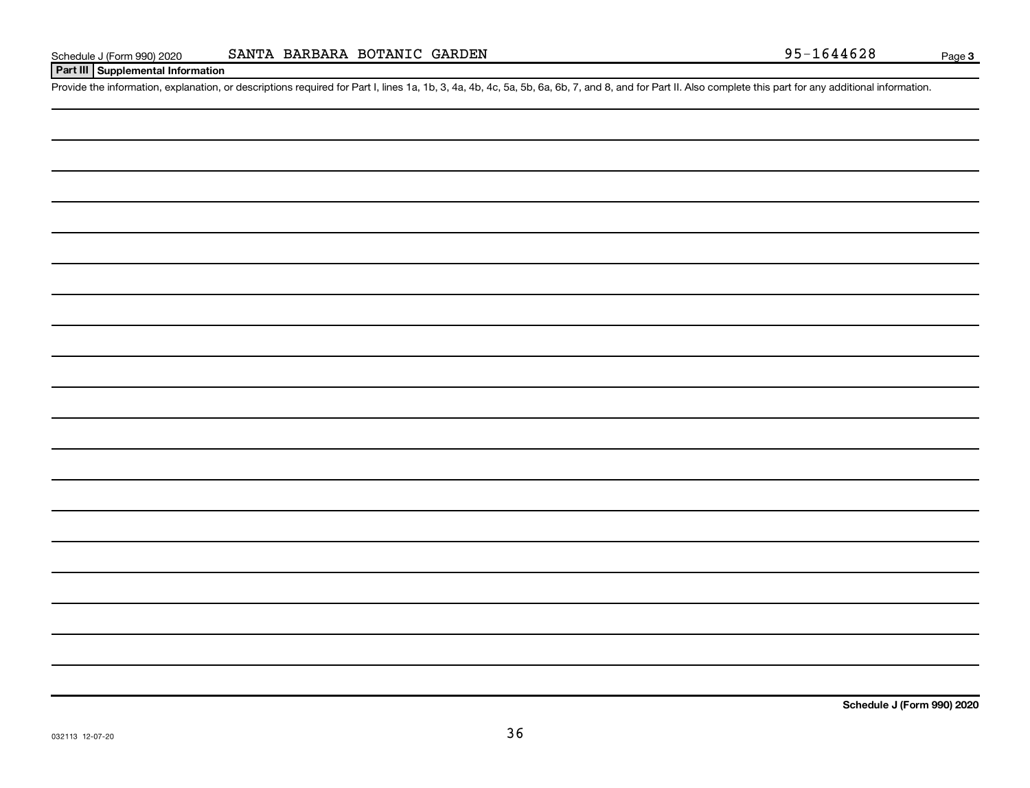## **Part III Supplemental Information**

Provide the information, explanation, or descriptions required for Part I, lines 1a, 1b, 3, 4a, 4b, 4c, 5a, 5b, 6a, 6b, 7, and 8, and for Part II. Also complete this part for any additional information.

**Schedule J (Form 990) 2020**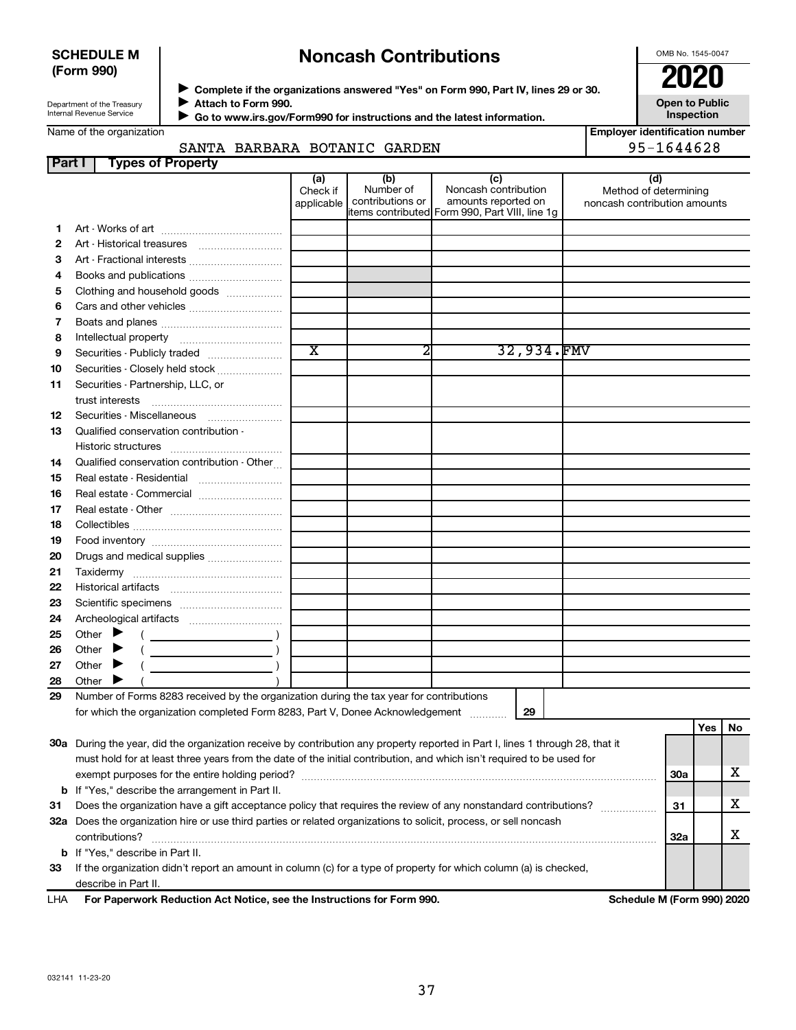## **SCHEDULE M (Form 990)**

# **Noncash Contributions**

OMB No. 1545-0047

**Open to Public**

Department of the Treasury Internal Revenue Service

Name of the organization

◆ Complete if the organizations answered "Yes" on Form 990, Part IV, lines 29 or 30.<br>● Complete if the organizations answered "Yes" on Form 990, Part IV, lines 29 or 30. **Attach to Form 990.** J

 **Go to www.irs.gov/Form990 for instructions and the latest information.** J

**Inspection Employer identification number**

## SANTA BARBARA BOTANIC GARDEN 95-1644628

| <b>Part I</b> | <b>Types of Property</b>                                                                                                       |                               |                                      |                                                                                                       |                                                              |     |     |    |
|---------------|--------------------------------------------------------------------------------------------------------------------------------|-------------------------------|--------------------------------------|-------------------------------------------------------------------------------------------------------|--------------------------------------------------------------|-----|-----|----|
|               |                                                                                                                                | (a)<br>Check if<br>applicable | (b)<br>Number of<br>contributions or | (c)<br>Noncash contribution<br>amounts reported on<br>litems contributed Form 990, Part VIII, line 1g | (d)<br>Method of determining<br>noncash contribution amounts |     |     |    |
| 1             |                                                                                                                                |                               |                                      |                                                                                                       |                                                              |     |     |    |
| 2             | Art - Historical treasures                                                                                                     |                               |                                      |                                                                                                       |                                                              |     |     |    |
| 3             | Art - Fractional interests                                                                                                     |                               |                                      |                                                                                                       |                                                              |     |     |    |
| 4             | Books and publications                                                                                                         |                               |                                      |                                                                                                       |                                                              |     |     |    |
| 5             | Clothing and household goods                                                                                                   |                               |                                      |                                                                                                       |                                                              |     |     |    |
| 6             | Cars and other vehicles                                                                                                        |                               |                                      |                                                                                                       |                                                              |     |     |    |
| 7             |                                                                                                                                |                               |                                      |                                                                                                       |                                                              |     |     |    |
| 8             |                                                                                                                                |                               |                                      |                                                                                                       |                                                              |     |     |    |
| 9             | Securities - Publicly traded                                                                                                   | $\overline{\text{x}}$         | 2                                    | 32,934.FMV                                                                                            |                                                              |     |     |    |
| 10            | Securities - Closely held stock                                                                                                |                               |                                      |                                                                                                       |                                                              |     |     |    |
| 11            | Securities - Partnership, LLC, or                                                                                              |                               |                                      |                                                                                                       |                                                              |     |     |    |
|               | trust interests                                                                                                                |                               |                                      |                                                                                                       |                                                              |     |     |    |
| 12            | Securities - Miscellaneous                                                                                                     |                               |                                      |                                                                                                       |                                                              |     |     |    |
| 13            | Qualified conservation contribution -                                                                                          |                               |                                      |                                                                                                       |                                                              |     |     |    |
|               |                                                                                                                                |                               |                                      |                                                                                                       |                                                              |     |     |    |
| 14            | Qualified conservation contribution - Other                                                                                    |                               |                                      |                                                                                                       |                                                              |     |     |    |
| 15            |                                                                                                                                |                               |                                      |                                                                                                       |                                                              |     |     |    |
| 16            | Real estate - Commercial                                                                                                       |                               |                                      |                                                                                                       |                                                              |     |     |    |
| 17            |                                                                                                                                |                               |                                      |                                                                                                       |                                                              |     |     |    |
| 18            |                                                                                                                                |                               |                                      |                                                                                                       |                                                              |     |     |    |
| 19            |                                                                                                                                |                               |                                      |                                                                                                       |                                                              |     |     |    |
| 20            | Drugs and medical supplies                                                                                                     |                               |                                      |                                                                                                       |                                                              |     |     |    |
| 21            |                                                                                                                                |                               |                                      |                                                                                                       |                                                              |     |     |    |
| 22            |                                                                                                                                |                               |                                      |                                                                                                       |                                                              |     |     |    |
| 23            |                                                                                                                                |                               |                                      |                                                                                                       |                                                              |     |     |    |
| 24            |                                                                                                                                |                               |                                      |                                                                                                       |                                                              |     |     |    |
| 25            | Other                                                                                                                          |                               |                                      |                                                                                                       |                                                              |     |     |    |
| 26            | Other                                                                                                                          |                               |                                      |                                                                                                       |                                                              |     |     |    |
| 27            | Other                                                                                                                          |                               |                                      |                                                                                                       |                                                              |     |     |    |
| 28            | Other                                                                                                                          |                               |                                      |                                                                                                       |                                                              |     |     |    |
| 29            | Number of Forms 8283 received by the organization during the tax year for contributions                                        |                               |                                      |                                                                                                       |                                                              |     |     |    |
|               | for which the organization completed Form 8283, Part V, Donee Acknowledgement                                                  |                               |                                      | 29                                                                                                    |                                                              |     |     |    |
|               |                                                                                                                                |                               |                                      |                                                                                                       |                                                              |     | Yes | No |
|               | 30a During the year, did the organization receive by contribution any property reported in Part I, lines 1 through 28, that it |                               |                                      |                                                                                                       |                                                              |     |     |    |
|               | must hold for at least three years from the date of the initial contribution, and which isn't required to be used for          |                               |                                      |                                                                                                       |                                                              |     |     |    |
|               |                                                                                                                                |                               |                                      |                                                                                                       |                                                              | 30a |     | х  |
|               | <b>b</b> If "Yes," describe the arrangement in Part II.                                                                        |                               |                                      |                                                                                                       |                                                              |     |     |    |
| 31            | Does the organization have a gift acceptance policy that requires the review of any nonstandard contributions?                 |                               |                                      |                                                                                                       |                                                              | 31  |     | х  |
|               | 32a Does the organization hire or use third parties or related organizations to solicit, process, or sell noncash              |                               |                                      |                                                                                                       |                                                              |     |     |    |
|               | contributions?                                                                                                                 |                               |                                      |                                                                                                       |                                                              | 32a |     | х  |
|               | <b>b</b> If "Yes," describe in Part II.                                                                                        |                               |                                      |                                                                                                       |                                                              |     |     |    |
| 33            | If the organization didn't report an amount in column (c) for a type of property for which column (a) is checked,              |                               |                                      |                                                                                                       |                                                              |     |     |    |
|               | describe in Part II.                                                                                                           |                               |                                      |                                                                                                       |                                                              |     |     |    |
| LHA           | For Paperwork Reduction Act Notice, see the Instructions for Form 990.                                                         |                               |                                      |                                                                                                       | Schedule M (Form 990) 2020                                   |     |     |    |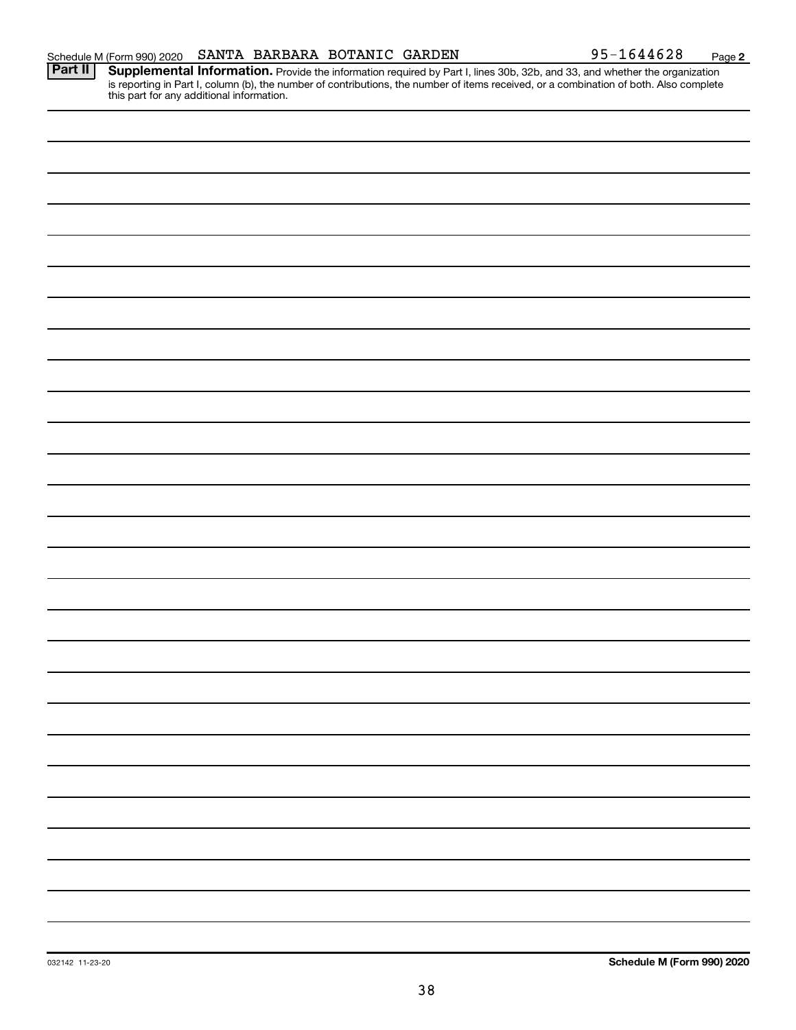**2**

Provide the information required by Part I, lines 30b, 32b, and 33, and whether the organization is reporting in Part I, column (b), the number of contributions, the number of items received, or a combination of both. Also complete this part for any additional information. **Part II Supplemental Information.**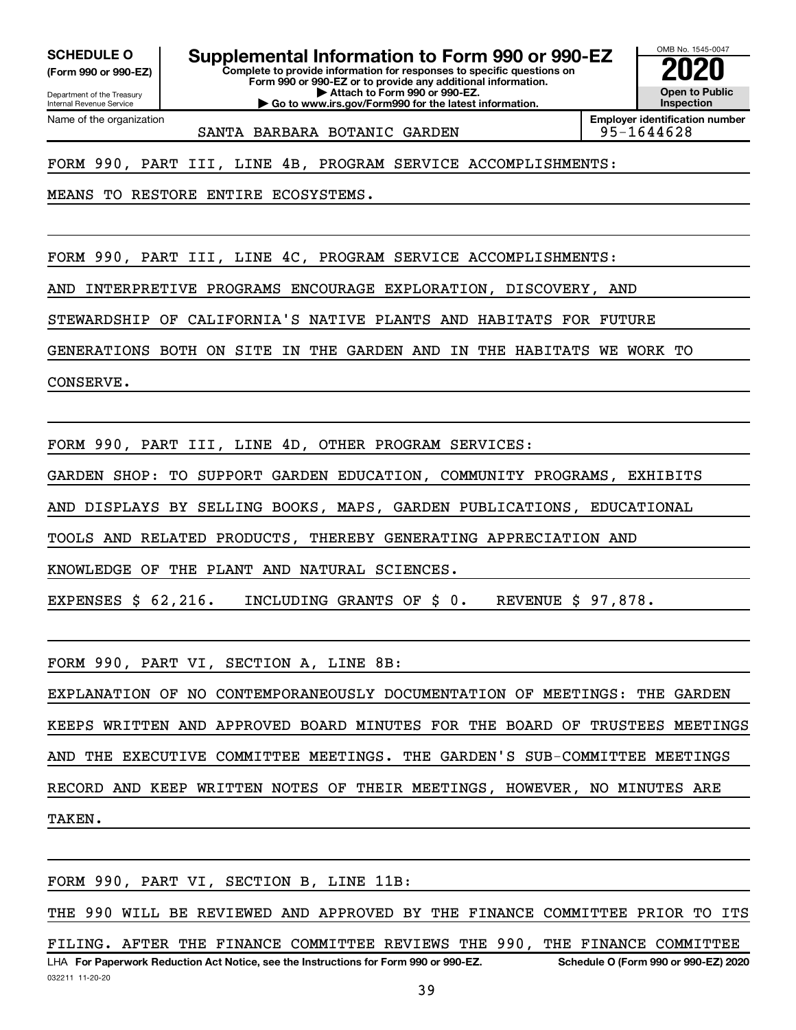**(Form 990 or 990-EZ)**

**SCHEDULE O Supplemental Information to Form 990 or 990-EZ 2020**<br>(Form 990 or 990-EZ) Complete to provide information for responses to specific questions on

**Complete to provide information for responses to specific questions on Form 990 or 990-EZ or to provide any additional information. | Attach to Form 990 or 990-EZ. | Go to www.irs.gov/Form990 for the latest information.**

Department of the Treasury Internal Revenue Service Name of the organization

**Employer identification number** SANTA BARBARA BOTANIC GARDEN 195-1644628

OMB No. 1545-0047

**Open to Public Inspection**

FORM 990, PART III, LINE 4B, PROGRAM SERVICE ACCOMPLISHMENTS:

MEANS TO RESTORE ENTIRE ECOSYSTEMS.

FORM 990, PART III, LINE 4C, PROGRAM SERVICE ACCOMPLISHMENTS:

AND INTERPRETIVE PROGRAMS ENCOURAGE EXPLORATION, DISCOVERY, AND

STEWARDSHIP OF CALIFORNIA'S NATIVE PLANTS AND HABITATS FOR FUTURE

GENERATIONS BOTH ON SITE IN THE GARDEN AND IN THE HABITATS WE WORK TO

CONSERVE.

FORM 990, PART III, LINE 4D, OTHER PROGRAM SERVICES:

GARDEN SHOP: TO SUPPORT GARDEN EDUCATION, COMMUNITY PROGRAMS, EXHIBITS

AND DISPLAYS BY SELLING BOOKS, MAPS, GARDEN PUBLICATIONS, EDUCATIONAL

TOOLS AND RELATED PRODUCTS, THEREBY GENERATING APPRECIATION AND

KNOWLEDGE OF THE PLANT AND NATURAL SCIENCES.

EXPENSES \$ 62,216. INCLUDING GRANTS OF \$ 0. REVENUE \$ 97,878.

FORM 990, PART VI, SECTION A, LINE 8B:

EXPLANATION OF NO CONTEMPORANEOUSLY DOCUMENTATION OF MEETINGS: THE GARDEN KEEPS WRITTEN AND APPROVED BOARD MINUTES FOR THE BOARD OF TRUSTEES MEETINGS AND THE EXECUTIVE COMMITTEE MEETINGS. THE GARDEN'S SUB-COMMITTEE MEETINGS RECORD AND KEEP WRITTEN NOTES OF THEIR MEETINGS, HOWEVER, NO MINUTES ARE TAKEN.

032211 11-20-20 **For Paperwork Reduction Act Notice, see the Instructions for Form 990 or 990-EZ. Schedule O (Form 990 or 990-EZ) 2020** LHA FORM 990, PART VI, SECTION B, LINE 11B: THE 990 WILL BE REVIEWED AND APPROVED BY THE FINANCE COMMITTEE PRIOR TO ITS FILING. AFTER THE FINANCE COMMITTEE REVIEWS THE 990, THE FINANCE COMMITTEE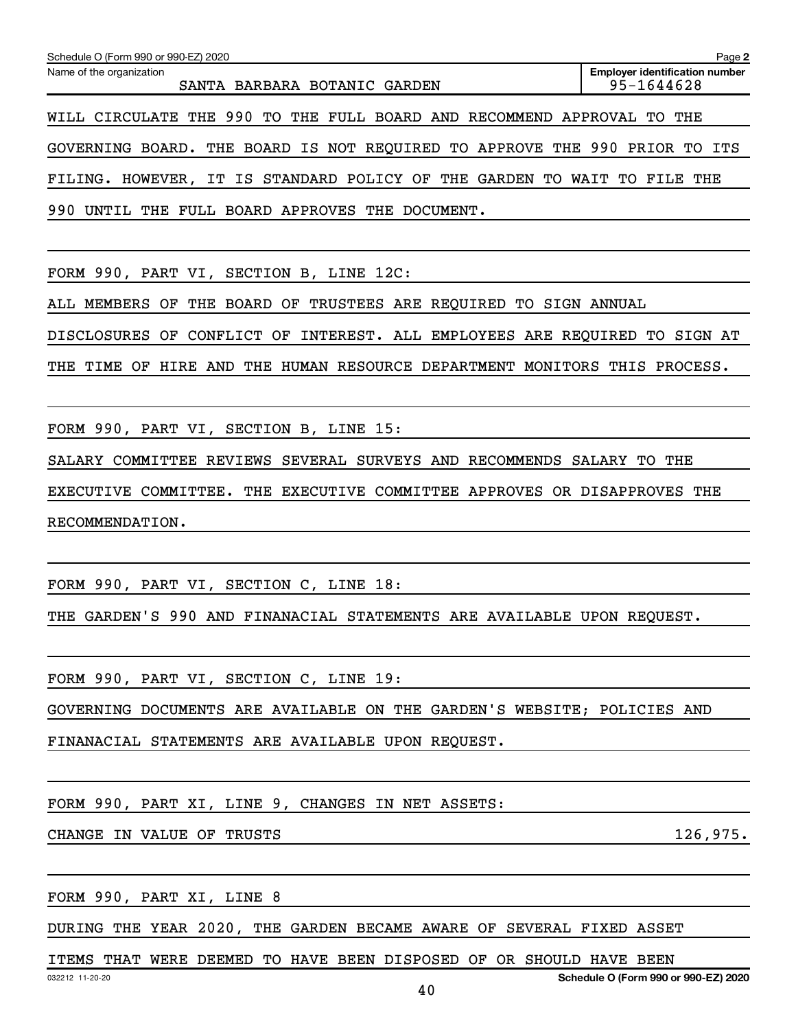| Schedule O (Form 990 or 990-EZ) 2020                                   | Page 2                                              |
|------------------------------------------------------------------------|-----------------------------------------------------|
| Name of the organization<br>SANTA BARBARA BOTANIC GARDEN               | <b>Employer identification number</b><br>95-1644628 |
| WILL CIRCULATE THE 990 TO THE FULL BOARD AND RECOMMEND APPROVAL TO THE |                                                     |
| GOVERNING BOARD. THE BOARD IS NOT REQUIRED TO APPROVE THE 990 PRIOR TO | ITS                                                 |
| FILING. HOWEVER, IT IS STANDARD POLICY OF THE GARDEN TO                | WAIT<br>TO FILE<br>THE                              |
| 990<br>UNTIL THE FULL BOARD APPROVES THE DOCUMENT.                     |                                                     |
|                                                                        |                                                     |
| FORM 990, PART VI,<br>SECTION B, LINE 12C:                             |                                                     |

ALL MEMBERS OF THE BOARD OF TRUSTEES ARE REQUIRED TO SIGN ANNUAL

DISCLOSURES OF CONFLICT OF INTEREST. ALL EMPLOYEES ARE REQUIRED TO SIGN AT

THE TIME OF HIRE AND THE HUMAN RESOURCE DEPARTMENT MONITORS THIS PROCESS.

FORM 990, PART VI, SECTION B, LINE 15:

SALARY COMMITTEE REVIEWS SEVERAL SURVEYS AND RECOMMENDS SALARY TO THE

EXECUTIVE COMMITTEE. THE EXECUTIVE COMMITTEE APPROVES OR DISAPPROVES THE RECOMMENDATION.

FORM 990, PART VI, SECTION C, LINE 18:

THE GARDEN'S 990 AND FINANACIAL STATEMENTS ARE AVAILABLE UPON REQUEST.

FORM 990, PART VI, SECTION C, LINE 19:

GOVERNING DOCUMENTS ARE AVAILABLE ON THE GARDEN'S WEBSITE; POLICIES AND

FINANACIAL STATEMENTS ARE AVAILABLE UPON REQUEST.

FORM 990, PART XI, LINE 9, CHANGES IN NET ASSETS:

CHANGE IN VALUE OF TRUSTS 126,975.

FORM 990, PART XI, LINE 8

DURING THE YEAR 2020, THE GARDEN BECAME AWARE OF SEVERAL FIXED ASSET

ITEMS THAT WERE DEEMED TO HAVE BEEN DISPOSED OF OR SHOULD HAVE BEEN

40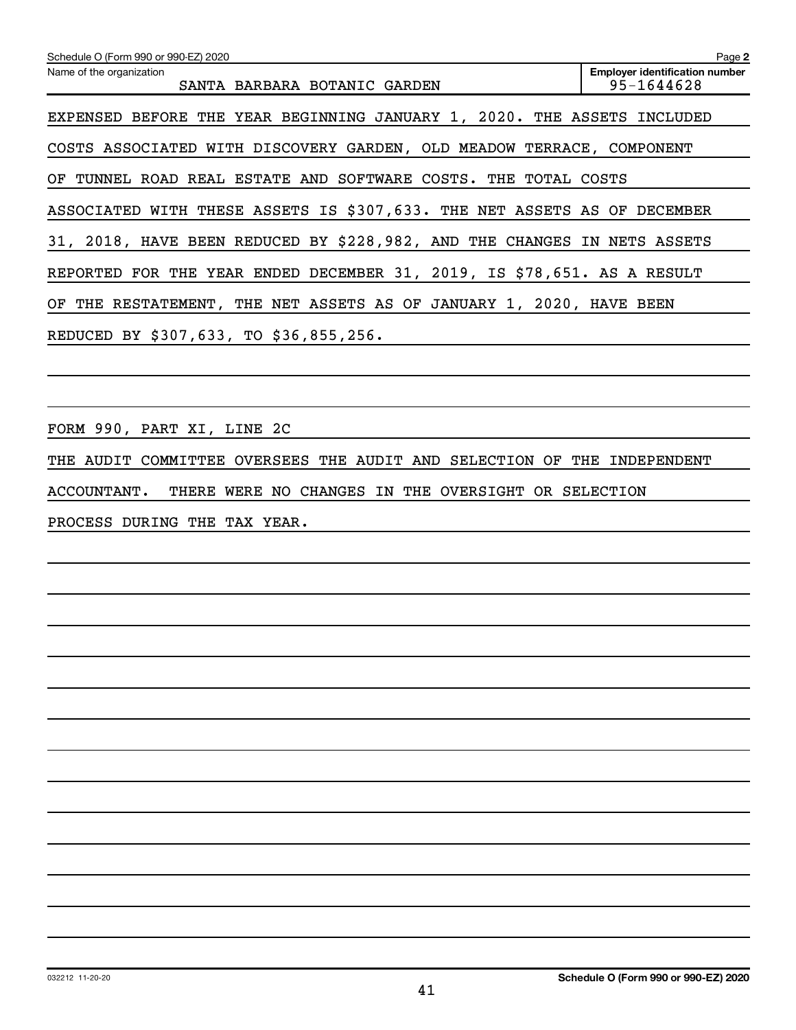| Schedule O (Form 990 or 990-EZ) 2020<br>Name of the organization<br>SANTA BARBARA BOTANIC GARDEN | Page 2<br><b>Employer identification number</b><br>95-1644628 |
|--------------------------------------------------------------------------------------------------|---------------------------------------------------------------|
| EXPENSED BEFORE THE YEAR BEGINNING JANUARY 1, 2020. THE ASSETS INCLUDED                          |                                                               |
| COSTS ASSOCIATED WITH DISCOVERY GARDEN, OLD MEADOW TERRACE, COMPONENT                            |                                                               |
| OF TUNNEL ROAD REAL ESTATE AND SOFTWARE COSTS. THE TOTAL COSTS                                   |                                                               |
| ASSOCIATED WITH THESE ASSETS IS \$307,633. THE NET ASSETS AS OF DECEMBER                         |                                                               |
| 31, 2018, HAVE BEEN REDUCED BY \$228,982, AND THE CHANGES IN NETS ASSETS                         |                                                               |
| REPORTED FOR THE YEAR ENDED DECEMBER 31, 2019, IS \$78,651. AS A RESULT                          |                                                               |
| OF THE RESTATEMENT, THE NET ASSETS AS OF JANUARY 1, 2020, HAVE BEEN                              |                                                               |
| REDUCED BY \$307,633, TO \$36,855,256.                                                           |                                                               |
|                                                                                                  |                                                               |
|                                                                                                  |                                                               |
| FORM 990, PART XI, LINE 2C                                                                       |                                                               |
| THE AUDIT COMMITTEE OVERSEES THE AUDIT AND SELECTION OF THE INDEPENDENT                          |                                                               |
| ACCOUNTANT.<br>THERE WERE NO CHANGES IN THE OVERSIGHT OR SELECTION                               |                                                               |
| PROCESS DURING THE TAX YEAR.                                                                     |                                                               |
|                                                                                                  |                                                               |
|                                                                                                  |                                                               |
|                                                                                                  |                                                               |
|                                                                                                  |                                                               |
|                                                                                                  |                                                               |
|                                                                                                  |                                                               |
|                                                                                                  |                                                               |
|                                                                                                  |                                                               |
|                                                                                                  |                                                               |
|                                                                                                  |                                                               |
|                                                                                                  |                                                               |
|                                                                                                  |                                                               |
|                                                                                                  |                                                               |